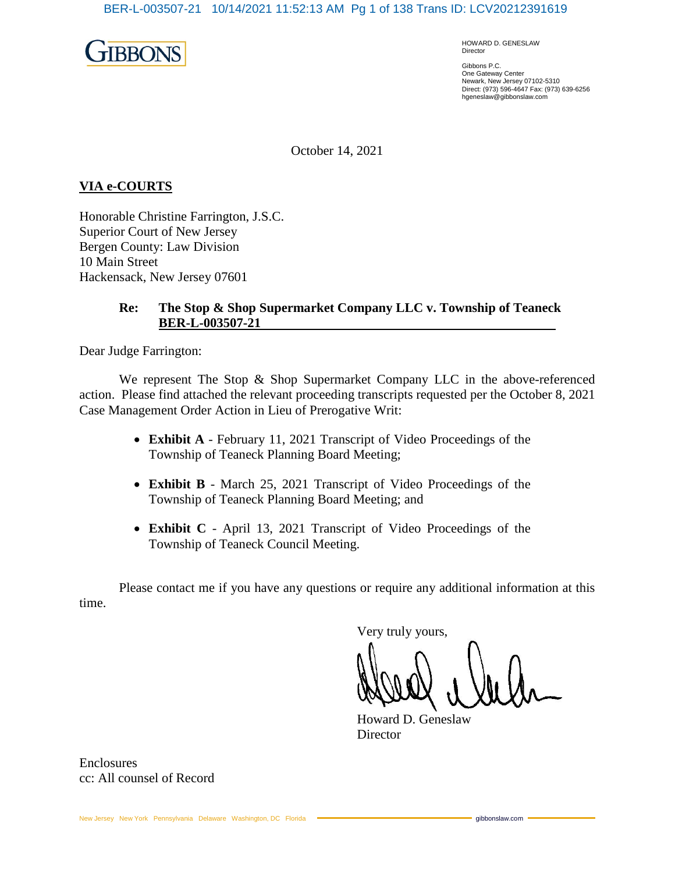

HOWARD D. GENESLAW Director

Gibbons P.C. One Gateway Center Newark, New Jersey 07102-5310 Direct: (973) 596-4647 Fax: (973) 639-6256 hgeneslaw@gibbonslaw.com

October 14, 2021

## **VIA e-COURTS**

Honorable Christine Farrington, J.S.C. Superior Court of New Jersey Bergen County: Law Division 10 Main Street Hackensack, New Jersey 07601

## **Re: The Stop & Shop Supermarket Company LLC v. Township of Teaneck BER-L-003507-21**

Dear Judge Farrington:

We represent The Stop & Shop Supermarket Company LLC in the above-referenced action. Please find attached the relevant proceeding transcripts requested per the October 8, 2021 Case Management Order Action in Lieu of Prerogative Writ:

- **Exhibit A** February 11, 2021 Transcript of Video Proceedings of the Township of Teaneck Planning Board Meeting;
- **Exhibit B** March 25, 2021 Transcript of Video Proceedings of the Township of Teaneck Planning Board Meeting; and
- **Exhibit C** April 13, 2021 Transcript of Video Proceedings of the Township of Teaneck Council Meeting.

Please contact me if you have any questions or require any additional information at this time.

Very truly yours,

Howard D. Geneslaw **Director** 

**Enclosures** cc: All counsel of Record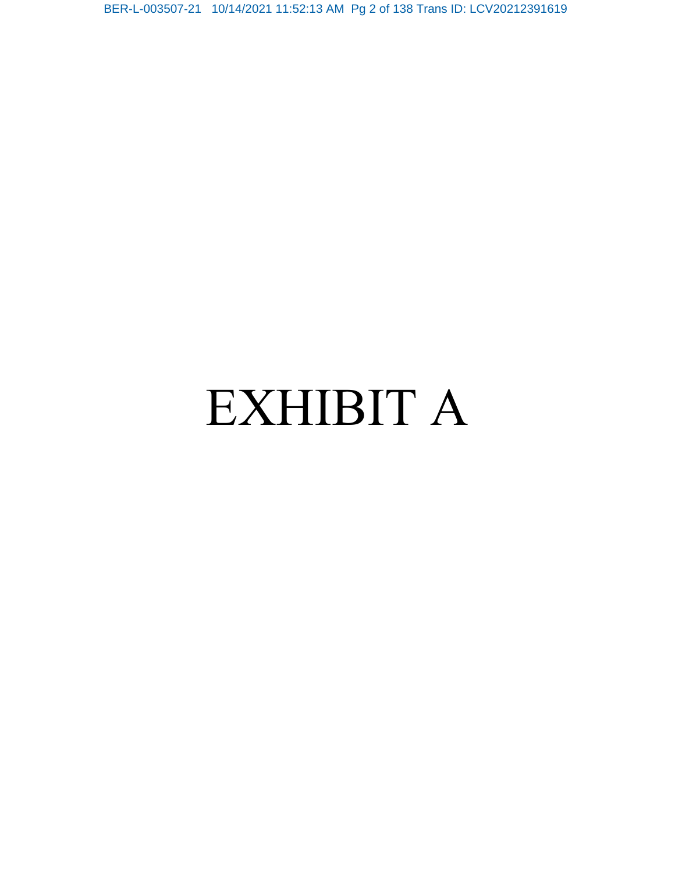BER-L-003507-21 10/14/2021 11:52:13 AM Pg 2 of 138 Trans ID: LCV20212391619

# EXHIBIT A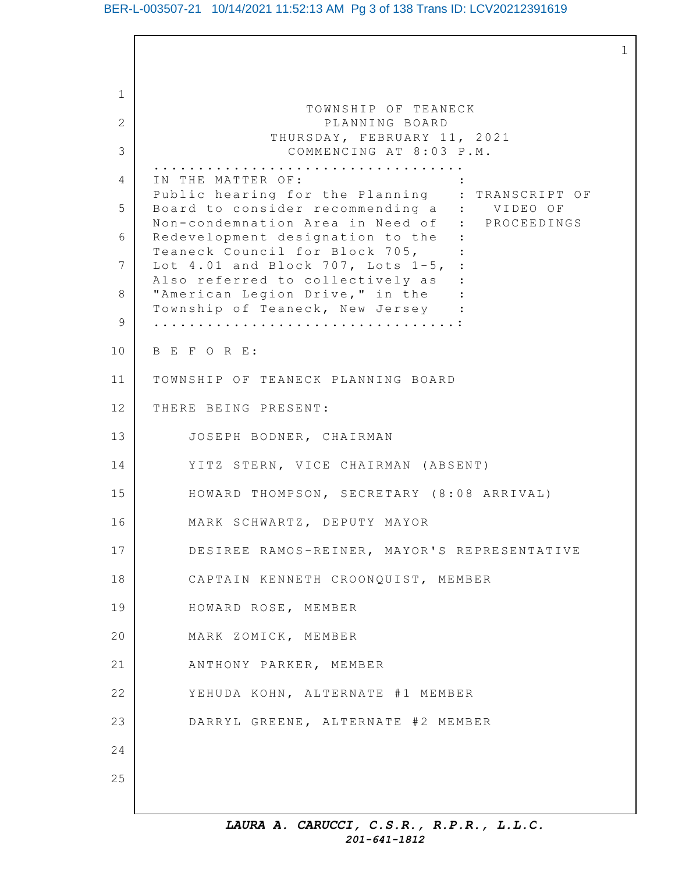## BER-L-003507-21 10/14/2021 11:52:13 AM Pg 3 of 138 Trans ID: LCV20212391619

1

1 2 3 4 5 6 7 8 9 10 11 12 13 14 15 16 17 18 19 20 21 22 23 24 25 TOWNSHIP OF TEANECK PLANNING BOARD THURSDAY, FEBRUARY 11, 2021 COMMENCING AT 8:03 P.M. ................................... IN THE MATTER OF: Public hearing for the Planning : TRANSCRIPT OF Board to consider recommending a : VIDEO OF Non-condemnation Area in Need of : PROCEEDINGS Redevelopment designation to the : Teaneck Council for Block 705, : Lot  $4.01$  and Block 707, Lots  $1-5$ , : Also referred to collectively as : "American Legion Drive," in the : Township of Teaneck, New Jersey : ..................................: B E F O R E: TOWNSHIP OF TEANECK PLANNING BOARD THERE BEING PRESENT: JOSEPH BODNER, CHAIRMAN YITZ STERN, VICE CHAIRMAN (ABSENT) HOWARD THOMPSON, SECRETARY (8:08 ARRIVAL) MARK SCHWARTZ, DEPUTY MAYOR DESIREE RAMOS-REINER, MAYOR'S REPRESENTATIVE CAPTAIN KENNETH CROONQUIST, MEMBER HOWARD ROSE, MEMBER MARK ZOMICK, MEMBER ANTHONY PARKER, MEMBER YEHUDA KOHN, ALTERNATE #1 MEMBER DARRYL GREENE, ALTERNATE #2 MEMBER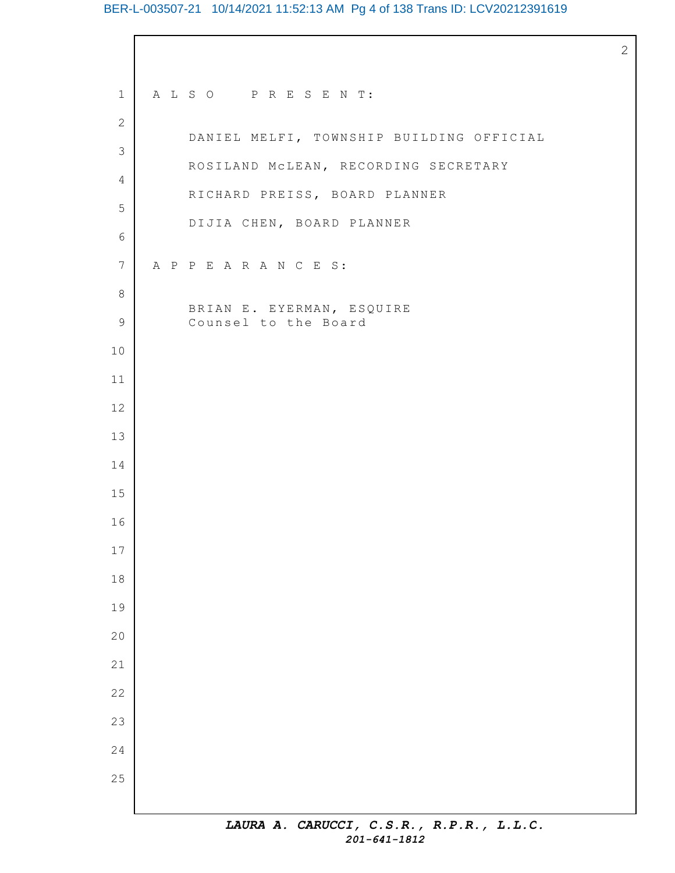# BER-L-003507-21 10/14/2021 11:52:13 AM Pg 4 of 138 Trans ID: LCV20212391619

| $\mathbf 1$     | ALSO PRESENT:                            |
|-----------------|------------------------------------------|
| $\mathbf{2}$    | DANIEL MELFI, TOWNSHIP BUILDING OFFICIAL |
| 3               | ROSILAND MCLEAN, RECORDING SECRETARY     |
| 4               | RICHARD PREISS, BOARD PLANNER            |
| 5               | DIJIA CHEN, BOARD PLANNER                |
| 6               |                                          |
| $7\phantom{.0}$ | A P P E A R A N C E S:                   |
| 8               | BRIAN E. EYERMAN, ESQUIRE                |
| $\mathsf 9$     | Counsel to the Board                     |
| 10              |                                          |
| 11              |                                          |
| 12              |                                          |
| 13              |                                          |
| 14              |                                          |
| 15              |                                          |
| 16              |                                          |
| 17              |                                          |
| $18$            |                                          |
| 19              |                                          |
| 20              |                                          |
| 21              |                                          |
| 22              |                                          |
| 23              |                                          |
| 24              |                                          |
| 25              |                                          |
|                 | TRIIDR A CADIICCT C C D D D D T T C      |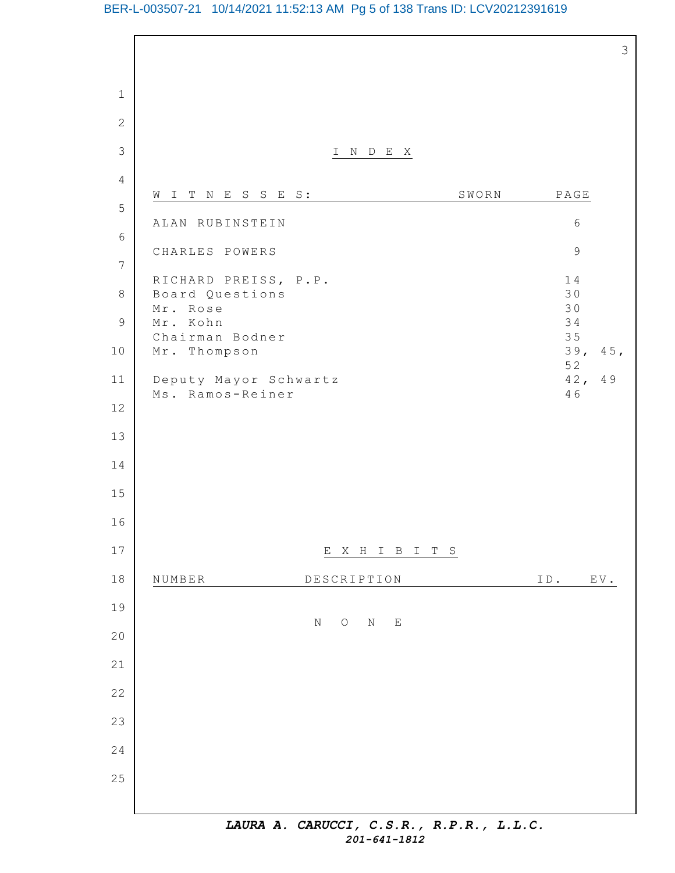# BER-L-003507-21 10/14/2021 11:52:13 AM Pg 5 of 138 Trans ID: LCV20212391619

|                |                                                                 | 3                                                |
|----------------|-----------------------------------------------------------------|--------------------------------------------------|
| $\mathbf 1$    |                                                                 |                                                  |
| $\overline{2}$ |                                                                 |                                                  |
| 3              | I N D E X                                                       |                                                  |
| $\overline{4}$ |                                                                 |                                                  |
| 5              | SWORN<br>WITNESSES:                                             | $\mathbb{P}\,\mathbb{A}\,\mathbb{G}\,\mathbb{E}$ |
| $\epsilon$     | ALAN RUBINSTEIN                                                 | $\epsilon$                                       |
| $\overline{7}$ | CHARLES POWERS                                                  | $\mathcal{G}$                                    |
| $\,8\,$        | RICHARD PREISS, P.P.<br>Board Questions                         | 14<br>30                                         |
| $\mathcal{G}$  | Mr. Rose<br>Mr. Kohn                                            | 30<br>34                                         |
| 10             | Chairman Bodner<br>Mr. Thompson                                 | 35<br>39,<br>45,                                 |
| 11             |                                                                 | 52<br>42,<br>49                                  |
| $12$           | Deputy Mayor Schwartz<br>Ms. Ramos-Reiner                       | 46                                               |
|                |                                                                 |                                                  |
| 13<br>14       |                                                                 |                                                  |
|                |                                                                 |                                                  |
| 15             |                                                                 |                                                  |
| 16             |                                                                 |                                                  |
| $17$           | X H I B I<br>Е<br>T S                                           |                                                  |
| 18             | NUMBER<br>DESCRIPTION                                           | ID. EV.                                          |
| 19             | $\rm N$<br>$\rm N$<br>$\bigcirc$<br>$\mathop{}\!\textnormal{E}$ |                                                  |
| 20             |                                                                 |                                                  |
| 21             |                                                                 |                                                  |
| 22             |                                                                 |                                                  |
| 23             |                                                                 |                                                  |
| 24             |                                                                 |                                                  |
| 25             |                                                                 |                                                  |
|                | LAURA A. CARUCCI, C.S.R., R.P.R., L.L.C.                        |                                                  |

*201-641-1812*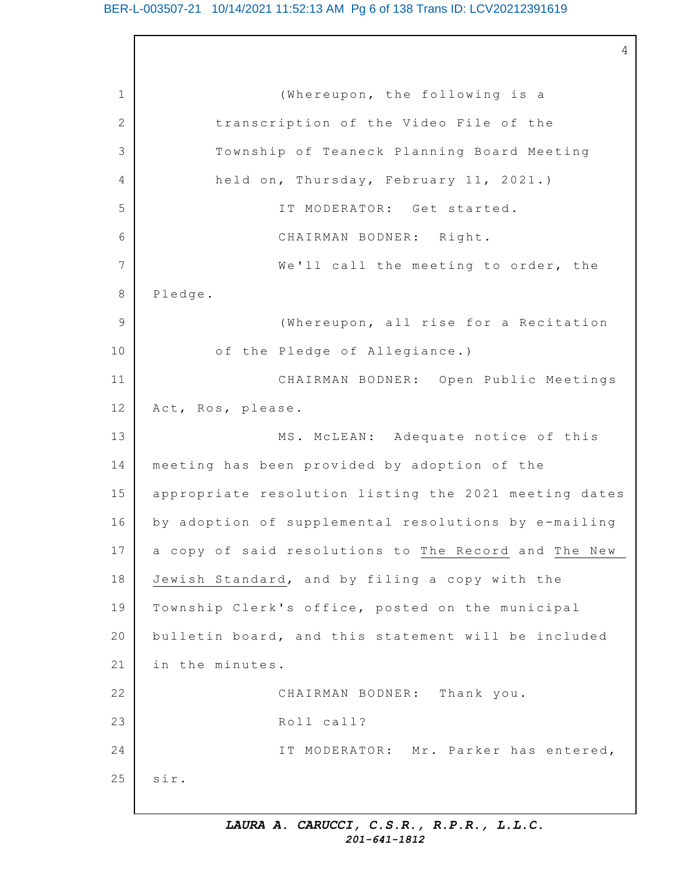4

1 2 3 4 5 6 7 8 9 10 11 12 13 14 15 16 17 18 19 20 21 22 23 24 25 (Whereupon, the following is a transcription of the Video File of the Township of Teaneck Planning Board Meeting held on, Thursday, February 11, 2021.) IT MODERATOR: Get started. CHAIRMAN BODNER: Right. We'll call the meeting to order, the Pledge. (Whereupon, all rise for a Recitation of the Pledge of Allegiance.) CHAIRMAN BODNER: Open Public Meetings Act, Ros, please. MS. McLEAN: Adequate notice of this meeting has been provided by adoption of the appropriate resolution listing the 2021 meeting dates by adoption of supplemental resolutions by e-mailing a copy of said resolutions to The Record and The New Jewish Standard, and by filing a copy with the Township Clerk's office, posted on the municipal bulletin board, and this statement will be included in the minutes. CHAIRMAN BODNER: Thank you. Roll call? IT MODERATOR: Mr. Parker has entered, sir.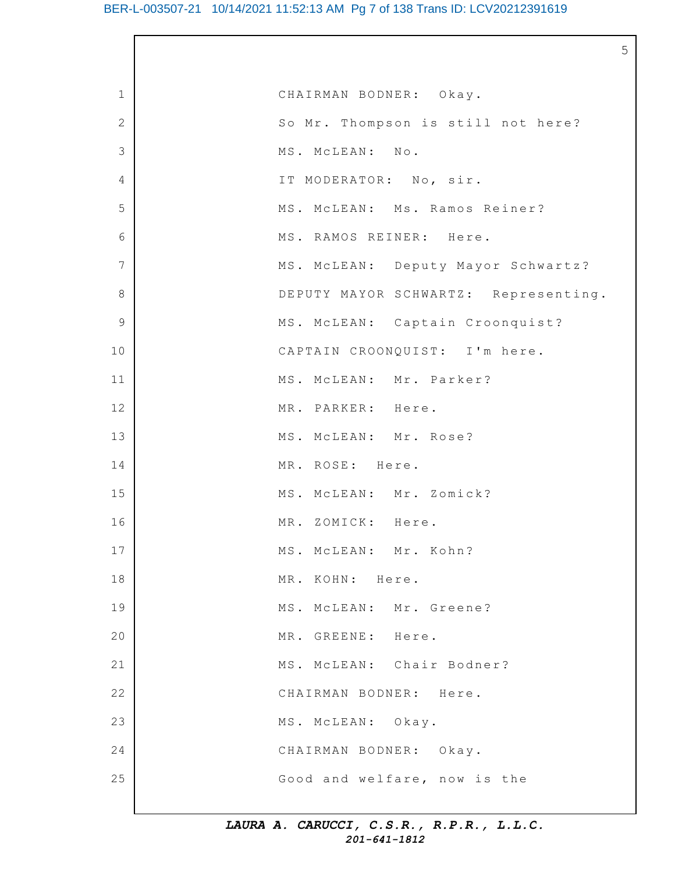## BER-L-003507-21 10/14/2021 11:52:13 AM Pg 7 of 138 Trans ID: LCV20212391619

5

| $\mathbf 1$    | CHAIRMAN BODNER: Okay.               |
|----------------|--------------------------------------|
| $\mathbf{2}$   | So Mr. Thompson is still not here?   |
| 3              | MS. MCLEAN: No.                      |
| 4              | IT MODERATOR: No, sir.               |
| 5              | MS. MCLEAN: Ms. Ramos Reiner?        |
| 6              | MS. RAMOS REINER: Here.              |
| $7\phantom{.}$ | MS. MCLEAN: Deputy Mayor Schwartz?   |
| $\,8\,$        | DEPUTY MAYOR SCHWARTZ: Representing. |
| 9              | MS. MCLEAN: Captain Croonquist?      |
| 10             | CAPTAIN CROONQUIST: I'm here.        |
| 11             | MS. MCLEAN: Mr. Parker?              |
| 12             | MR. PARKER: Here.                    |
| 13             | MS. MCLEAN: Mr. Rose?                |
| 14             | MR. ROSE: Here.                      |
| 15             | MS. MCLEAN: Mr. Zomick?              |
| 16             | MR. ZOMICK: Here.                    |
| 17             | MS. MCLEAN: Mr. Kohn?                |
| 18             | MR. KOHN: Here.                      |
| 19             | MS. MCLEAN: Mr. Greene?              |
| 20             | MR. GREENE: Here.                    |
| 21             | MS. MCLEAN: Chair Bodner?            |
| 22             | CHAIRMAN BODNER: Here.               |
| 23             | MS. MCLEAN: Okay.                    |
| 24             | CHAIRMAN BODNER: Okay.               |
| 25             | Good and welfare, now is the         |
|                |                                      |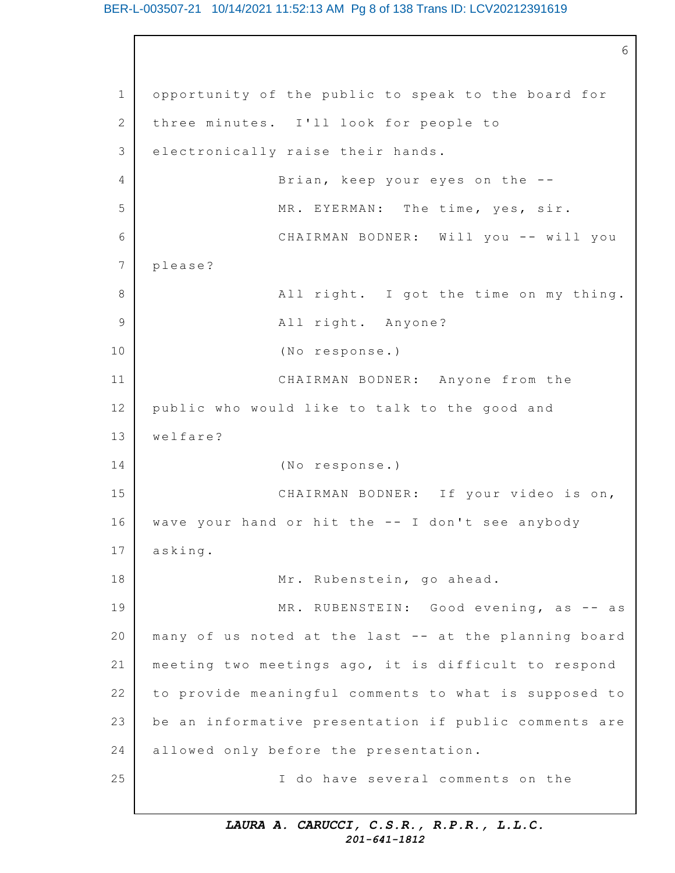## BER-L-003507-21 10/14/2021 11:52:13 AM Pg 8 of 138 Trans ID: LCV20212391619

1 2 3  $\Delta$ 5 6 7 8 9 10 11 12 13 14 15 16 17 18 19 20 21 22 23 24 25 6 opportunity of the public to speak to the board for three minutes. I'll look for people to electronically raise their hands. Brian, keep your eyes on the  $-$ -MR. EYERMAN: The time, yes, sir. CHAIRMAN BODNER: Will you -- will you please? All right. I got the time on my thing. All right. Anyone? (No response.) CHAIRMAN BODNER: Anyone from the public who would like to talk to the good and welfare? (No response.) CHAIRMAN BODNER: If your video is on, wave your hand or hit the -- I don't see anybody asking. Mr. Rubenstein, go ahead. MR. RUBENSTEIN: Good evening, as  $-$  as many of us noted at the last -- at the planning board meeting two meetings ago, it is difficult to respond to provide meaningful comments to what is supposed to be an informative presentation if public comments are allowed only before the presentation. I do have several comments on the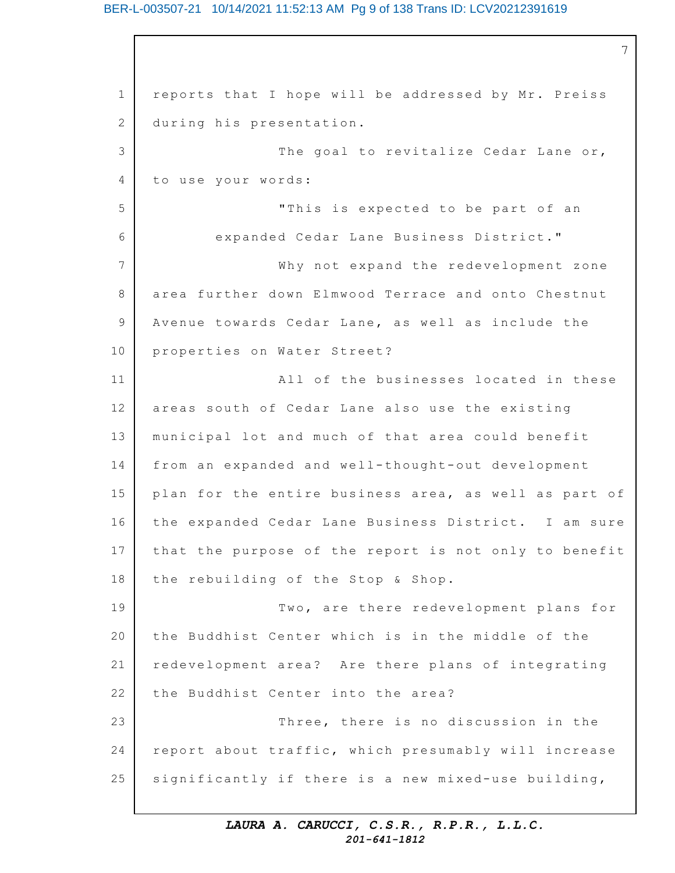## BER-L-003507-21 10/14/2021 11:52:13 AM Pg 9 of 138 Trans ID: LCV20212391619

1 2 3 4 5 6 7 8 9 10 11 12 13 14 15 16 17 18 19 20 21 22 23 24 25 7 reports that I hope will be addressed by Mr. Preiss during his presentation. The goal to revitalize Cedar Lane or, to use your words: "This is expected to be part of an expanded Cedar Lane Business District." Why not expand the redevelopment zone area further down Elmwood Terrace and onto Chestnut Avenue towards Cedar Lane, as well as include the properties on Water Street? All of the businesses located in these areas south of Cedar Lane also use the existing municipal lot and much of that area could benefit from an expanded and well-thought-out development plan for the entire business area, as well as part of the expanded Cedar Lane Business District. I am sure that the purpose of the report is not only to benefit the rebuilding of the Stop & Shop. Two, are there redevelopment plans for the Buddhist Center which is in the middle of the redevelopment area? Are there plans of integrating the Buddhist Center into the area? Three, there is no discussion in the report about traffic, which presumably will increase significantly if there is a new mixed-use building,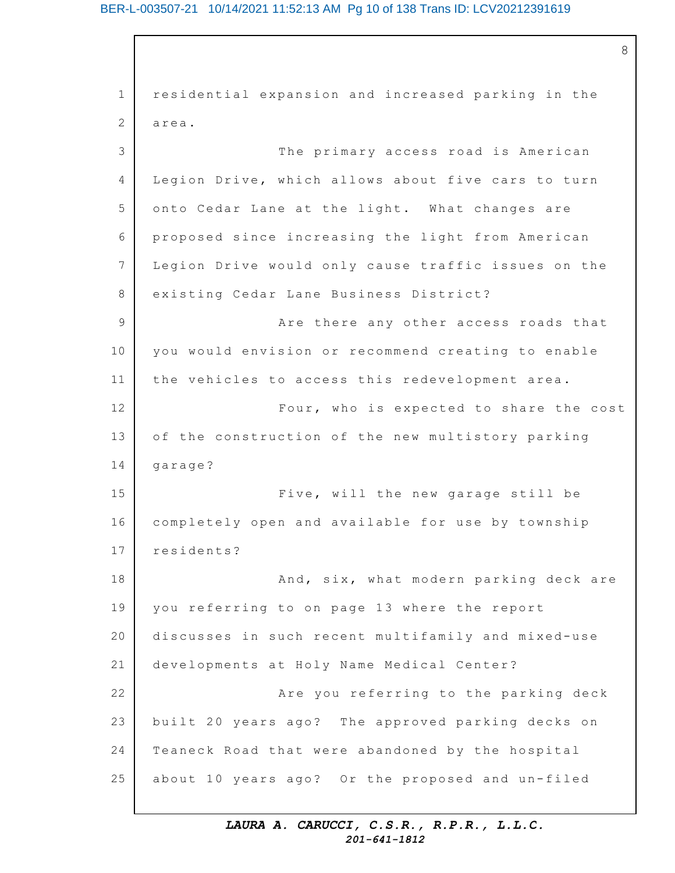## BER-L-003507-21 10/14/2021 11:52:13 AM Pg 10 of 138 Trans ID: LCV20212391619

8

1 2 3 4 5 6 7 8 9 10 11 12 13 14 15 16 17 18 19 20 21 22 23 24 25 residential expansion and increased parking in the area. The primary access road is American Legion Drive, which allows about five cars to turn onto Cedar Lane at the light. What changes are proposed since increasing the light from American Legion Drive would only cause traffic issues on the existing Cedar Lane Business District? Are there any other access roads that you would envision or recommend creating to enable the vehicles to access this redevelopment area. Four, who is expected to share the cost of the construction of the new multistory parking garage? Five, will the new garage still be completely open and available for use by township residents? And, six, what modern parking deck are you referring to on page 13 where the report discusses in such recent multifamily and mixed-use developments at Holy Name Medical Center? Are you referring to the parking deck built 20 years ago? The approved parking decks on Teaneck Road that were abandoned by the hospital about 10 years ago? Or the proposed and un-filed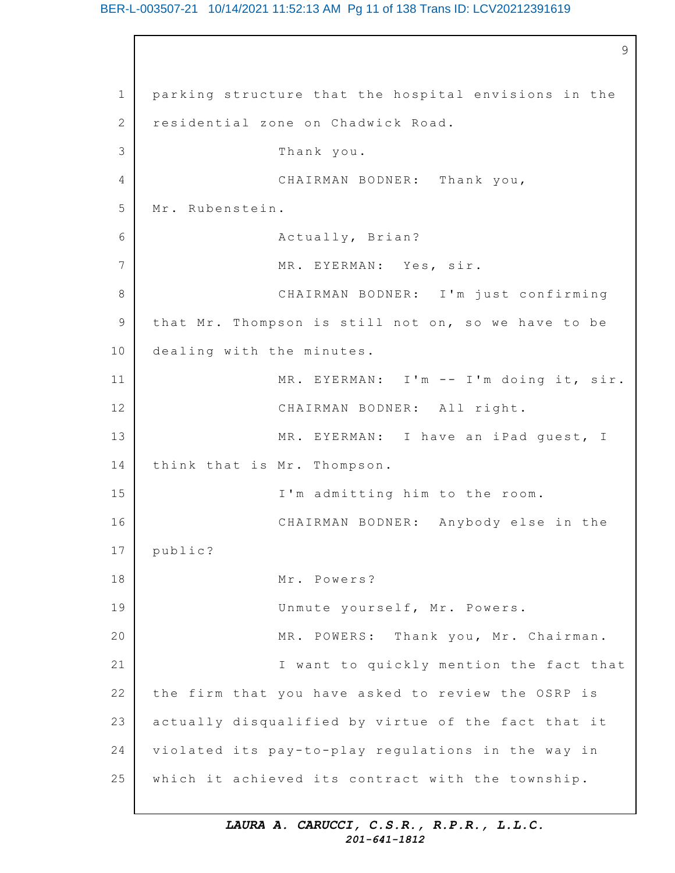## BER-L-003507-21 10/14/2021 11:52:13 AM Pg 11 of 138 Trans ID: LCV20212391619

1 2 3 4 5 6 7 8 9 10 11 12 13 14 15 16 17 18 19 20 21 22 23 24 25 9 parking structure that the hospital envisions in the residential zone on Chadwick Road. Thank you. CHAIRMAN BODNER: Thank you, Mr. Rubenstein. Actually, Brian? MR. EYERMAN: Yes, sir. CHAIRMAN BODNER: I'm just confirming that Mr. Thompson is still not on, so we have to be dealing with the minutes. MR. EYERMAN: I'm -- I'm doing it, sir. CHAIRMAN BODNER: All right. MR. EYERMAN: I have an iPad quest, I think that is Mr. Thompson. I'm admitting him to the room. CHAIRMAN BODNER: Anybody else in the public? Mr. Powers? Unmute yourself, Mr. Powers. MR. POWERS: Thank you, Mr. Chairman. I want to quickly mention the fact that the firm that you have asked to review the OSRP is actually disqualified by virtue of the fact that it violated its pay-to-play requlations in the way in which it achieved its contract with the township.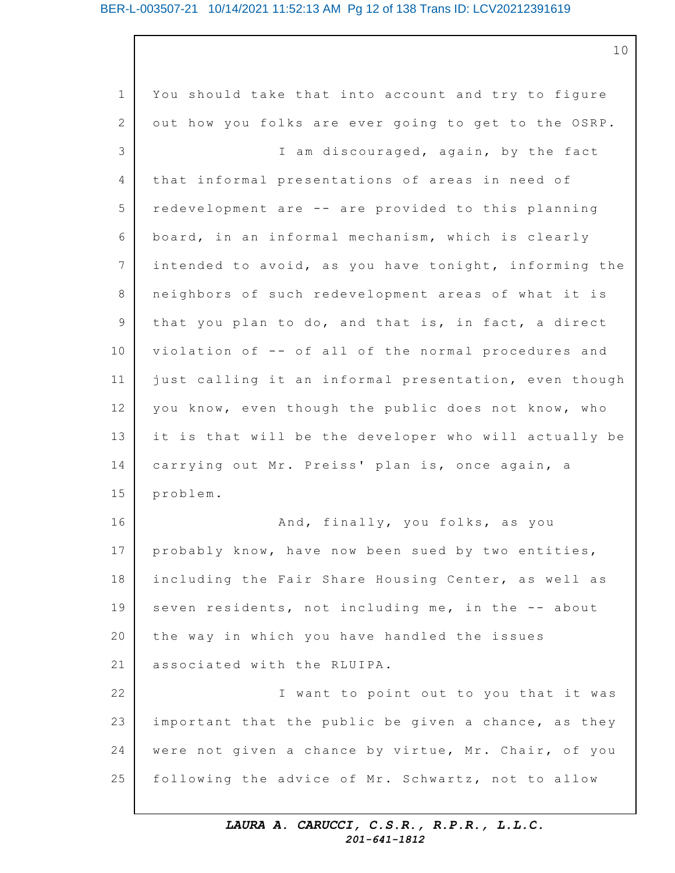## BER-L-003507-21 10/14/2021 11:52:13 AM Pg 12 of 138 Trans ID: LCV20212391619

1 2 3 4 5 6 7 8 9 10 11 12 13 14 15 16 17 18 19 20 21 22 23 24 25 You should take that into account and try to figure out how you folks are ever going to get to the OSRP. I am discouraged, again, by the fact that informal presentations of areas in need of redevelopment are -- are provided to this planning board, in an informal mechanism, which is clearly intended to avoid, as you have tonight, informing the neighbors of such redevelopment areas of what it is that you plan to do, and that is, in fact, a direct violation of -- of all of the normal procedures and just calling it an informal presentation, even though you know, even though the public does not know, who it is that will be the developer who will actually be carrying out Mr. Preiss' plan is, once again, a problem. And, finally, you folks, as you probably know, have now been sued by two entities, including the Fair Share Housing Center, as well as seven residents, not including me, in the -- about the way in which you have handled the issues associated with the RLUIPA. I want to point out to you that it was important that the public be given a chance, as they were not given a chance by virtue, Mr. Chair, of you following the advice of Mr. Schwartz, not to allow

## *LAURA A. CARUCCI, C.S.R., R.P.R., L.L.C. 201-641-1812*

10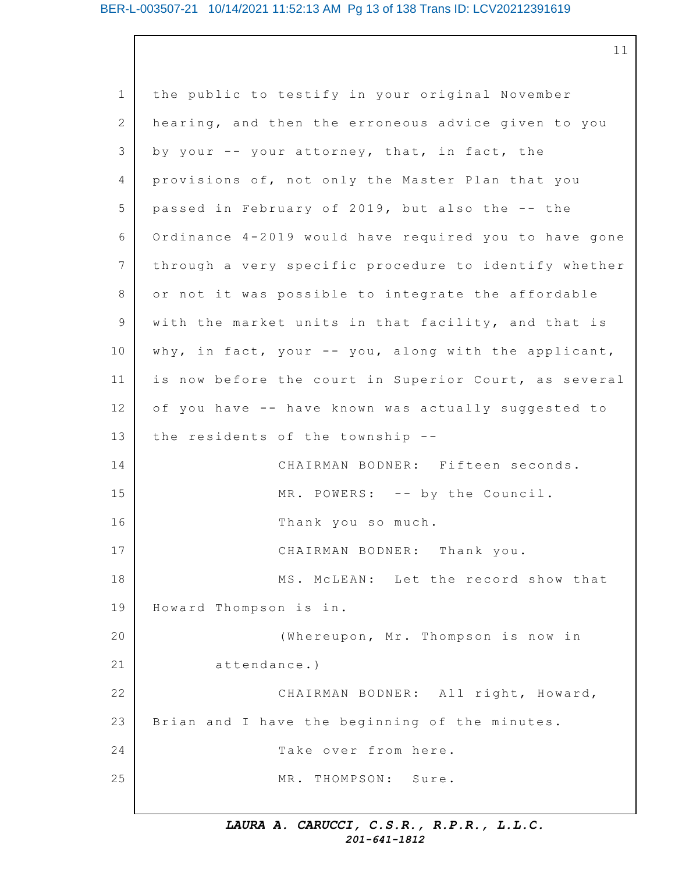1 2 3 4 5 6 7 8 9 10 11 12 13 14 15 16 17 18 19 20 21 22 23 24 25 the public to testify in your original November hearing, and then the erroneous advice given to you by your  $-$  your attorney, that, in fact, the provisions of, not only the Master Plan that you passed in February of 2019, but also the -- the Ordinance  $4-2019$  would have required you to have gone through a very specific procedure to identify whether or not it was possible to integrate the affordable with the market units in that facility, and that is why, in fact, your  $--$  you, along with the applicant, is now before the court in Superior Court, as several of you have -- have known was actually suggested to the residents of the township  $-$ -CHAIRMAN BODNER: Fifteen seconds. MR. POWERS: -- by the Council. Thank you so much. CHAIRMAN BODNER: Thank you. MS. MCLEAN: Let the record show that Howard Thompson is in. (Whereupon, Mr. Thompson is now in attendance.) CHAIRMAN BODNER: All right, Howard, Brian and I have the beginning of the minutes. Take over from here. MR. THOMPSON: Sure.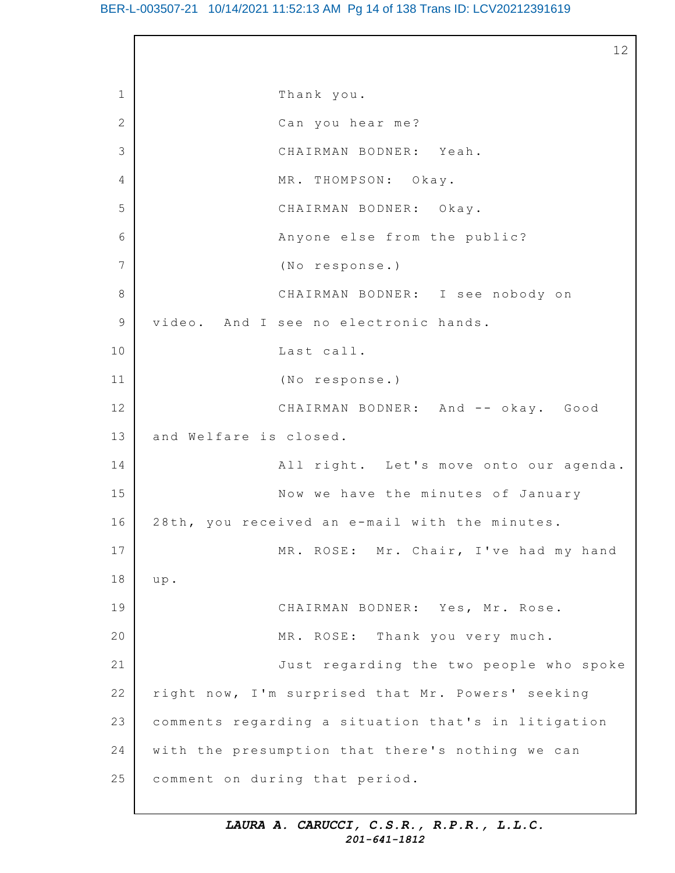1 2 3  $\Delta$ 5 6 7 8 9 10 11 12 13 14 15 16 17 18 19 20 21 22 23 24 25 12 Thank you. Can you hear me? CHAIRMAN BODNER: Yeah. MR. THOMPSON: Okay. CHAIRMAN BODNER: Okay. Anyone else from the public? (No response.) CHAIRMAN BODNER: I see nobody on video. And I see no electronic hands. Last call. (No response.) CHAIRMAN BODNER: And -- okay. Good and Welfare is closed. All right. Let's move onto our agenda. Now we have the minutes of January 28th, you received an e-mail with the minutes. MR. ROSE: Mr. Chair, I've had my hand u p. CHAIRMAN BODNER: Yes, Mr. Rose. MR. ROSE: Thank you very much. Just regarding the two people who spoke right now, I'm surprised that Mr. Powers' seeking comments regarding a situation that's in litigation with the presumption that there's nothing we can comment on during that period.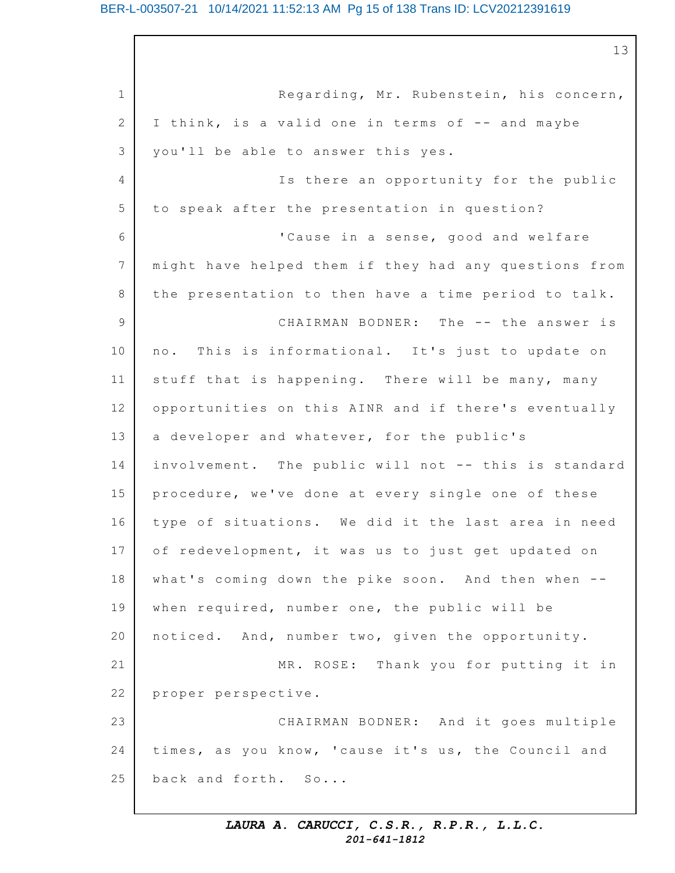## BER-L-003507-21 10/14/2021 11:52:13 AM Pg 15 of 138 Trans ID: LCV20212391619

13

1 2 3 4 5 6 7 8 9 10 11 12 13 14 15 16 17 18 19 20 21 22 23 24 25 Regarding, Mr. Rubenstein, his concern, I think, is a valid one in terms of -- and maybe you'll be able to answer this yes. Is there an opportunity for the public to speak after the presentation in question? 'Cause in a sense, good and welfare might have helped them if they had any questions from the presentation to then have a time period to talk. CHAIRMAN BODNER: The -- the answer is no. This is informational. It's just to update on stuff that is happening. There will be many, many opportunities on this AINR and if there's eventually a developer and whatever, for the public's involvement. The public will not -- this is standard procedure, we've done at every single one of these type of situations. We did it the last area in need of redevelopment, it was us to just get updated on what's coming down the pike soon. And then when - when required, number one, the public will be noticed. And, number two, given the opportunity. MR. ROSE: Thank you for putting it in proper perspective. CHAIRMAN BODNER: And it goes multiple times, as you know, 'cause it's us, the Council and back and forth. So...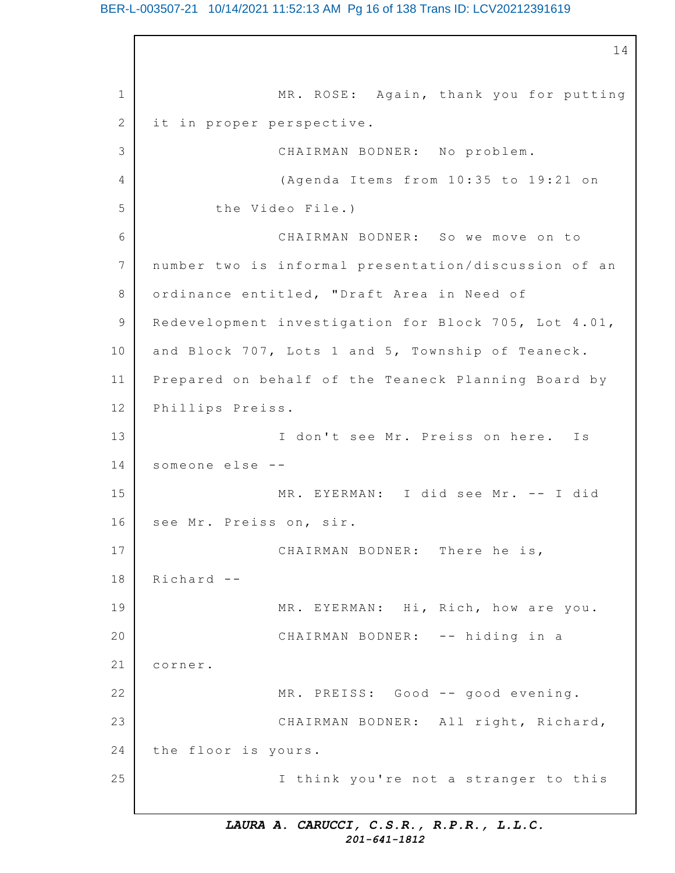## BER-L-003507-21 10/14/2021 11:52:13 AM Pg 16 of 138 Trans ID: LCV20212391619

1 2 3 4 5 6 7 8 9 10 11 12 13 14 15 16 17 18 19 20 21 22 23 24 25 14 MR. ROSE: Again, thank you for putting it in proper perspective. CHAIRMAN BODNER: No problem. (Agenda Items from  $10:35$  to  $19:21$  on the Video File.) CHAIRMAN BODNER: So we move on to number two is informal presentation/discussion of an ordinance entitled, "Draft Area in Need of Redevelopment investigation for Block 705, Lot 4.01, and Block 707, Lots 1 and 5, Township of Teaneck. Prepared on behalf of the Teaneck Planning Board by Phillips Preiss. I don't see Mr. Preiss on here. Is someone else -- MR. EYERMAN: I did see Mr. -- I did see Mr. Preiss on, sir. CHAIRMAN BODNER: There he is, Richard -- MR. EYERMAN: Hi, Rich, how are you. CHAIRMAN BODNER: -- hiding in a corner. MR. PREISS: Good -- good evening. CHAIRMAN BODNER: All right, Richard, the floor is yours. I think you're not a stranger to this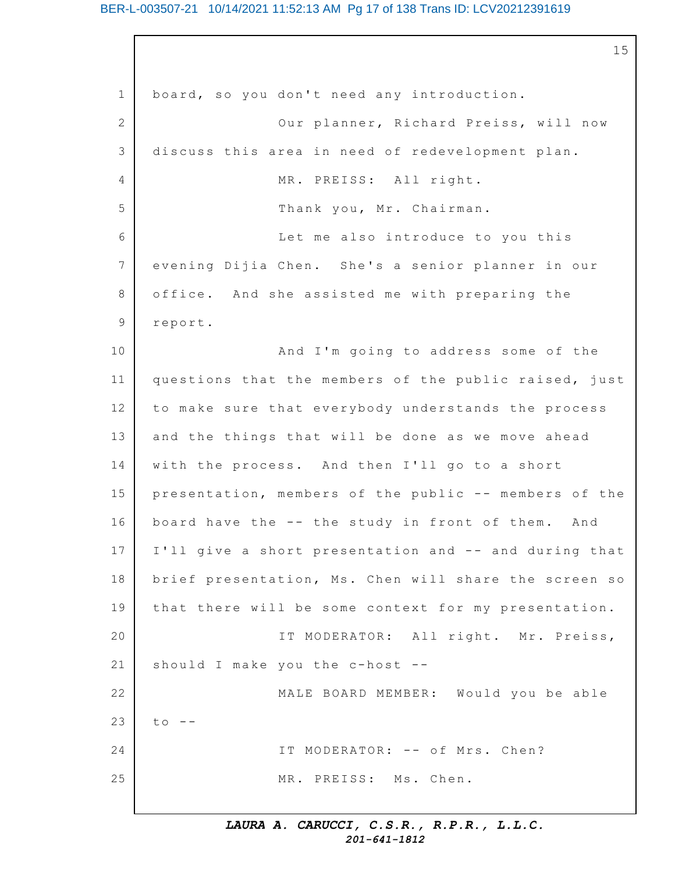## BER-L-003507-21 10/14/2021 11:52:13 AM Pg 17 of 138 Trans ID: LCV20212391619

1 2 3  $\Delta$ 5 6 7 8 9 10 11 12 13 14 15 16 17 18 19 20 21 22 23 24 25 15 board, so you don't need any introduction. Our planner, Richard Preiss, will now discuss this area in need of redevelopment plan. MR. PREISS: All right. Thank you, Mr. Chairman. Let me also introduce to you this evening Dijia Chen. She's a senior planner in our office. And she assisted me with preparing the report. And I'm going to address some of the questions that the members of the public raised, just to make sure that everybody understands the process and the things that will be done as we move ahead with the process. And then I'll go to a short presentation, members of the public -- members of the board have the  $--$  the study in front of them. And I'll give a short presentation and -- and during that brief presentation, Ms. Chen will share the screen so that there will be some context for my presentation. IT MODERATOR: All right. Mr. Preiss, should I make you the c-host -- MALE BOARD MEMBER: Would you be able  $to$   $-$ IT MODERATOR: -- of Mrs. Chen? MR. PREISS: Ms. Chen.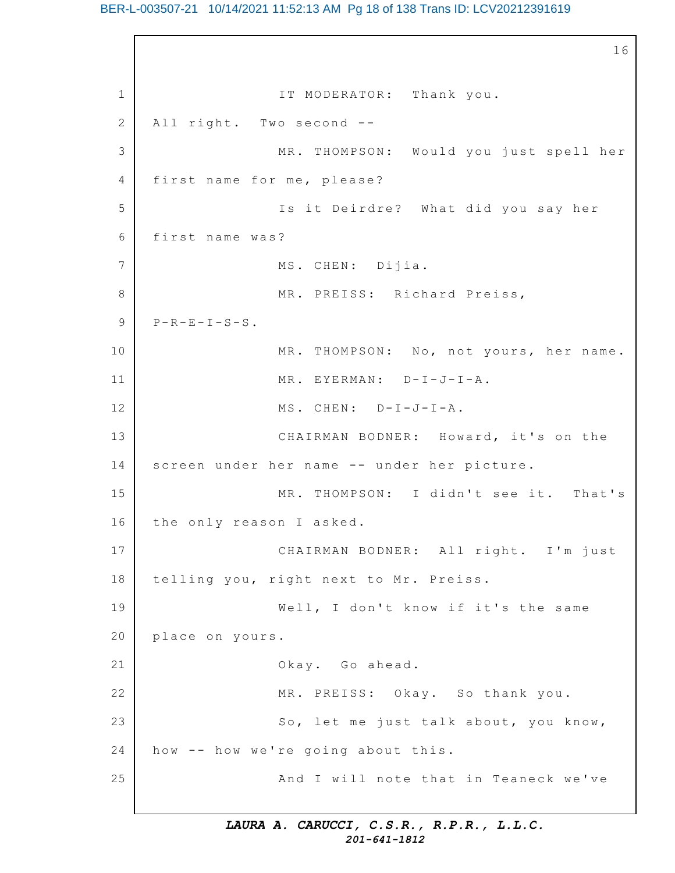## BER-L-003507-21 10/14/2021 11:52:13 AM Pg 18 of 138 Trans ID: LCV20212391619

1 2 3 4 5 6 7 8 9 10 11 12 13 14 15 16 17 18 19 20 21 22 23 24 25 16 IT MODERATOR: Thank you. All right. Two second -- MR. THOMPSON: Would you just spell her first name for me, please? Is it Deirdre? What did you say her first name was? MS. CHEN: Dijia. MR. PREISS: Richard Preiss,  $P-R-E-I-S-S$ . MR. THOMPSON: No, not yours, her name. MR. EYERMAN: D-I-J-I-A. MS. CHEN: D-I-J-I-A. CHAIRMAN BODNER: Howard, it's on the screen under her name -- under her picture. MR. THOMPSON: I didn't see it. That's the only reason I asked. CHAIRMAN BODNER: All right. I'm just telling you, right next to Mr. Preiss. Well, I don't know if it's the same place on yours. Okay. Go ahead. MR. PREISS: Okay. So thank you. So, let me just talk about, you know, how -- how we're going about this. And I will note that in Teaneck we've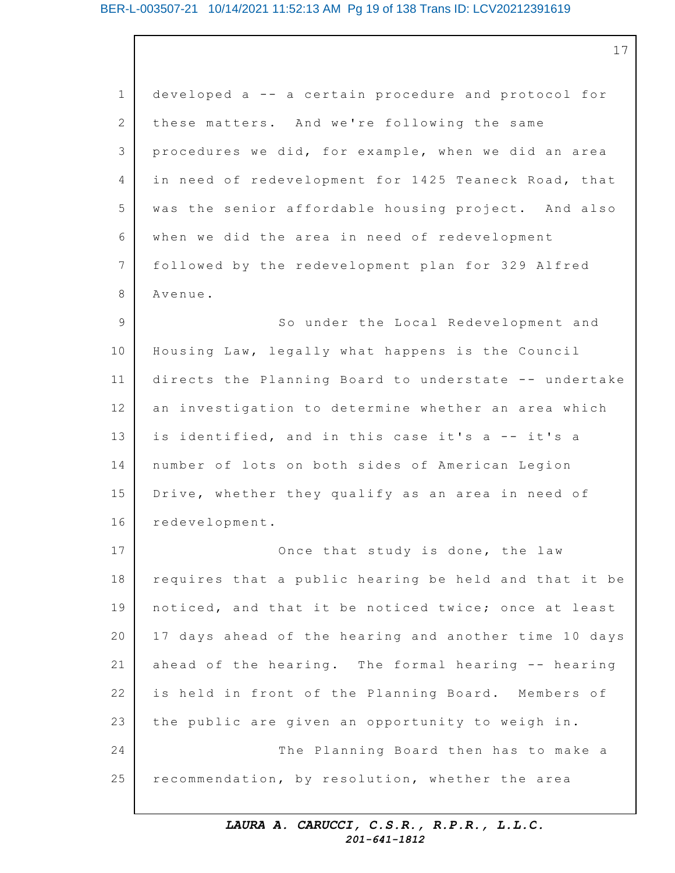## BER-L-003507-21 10/14/2021 11:52:13 AM Pg 19 of 138 Trans ID: LCV20212391619

1 2 3 4 5 6 7 8 9 10 11 12 13 14 15 16 17 18 19 20 21 22 23 24 25 developed a -- a certain procedure and protocol for these matters. And we're following the same procedures we did, for example, when we did an area in need of redevelopment for 1425 Teaneck Road, that was the senior affordable housing project. And also when we did the area in need of redevelopment followed by the redevelopment plan for 329 Alfred Avenue. So under the Local Redevelopment and Housing Law, legally what happens is the Council directs the Planning Board to understate -- undertake an investigation to determine whether an area which is identified, and in this case it's a -- it's a number of lots on both sides of American Legion Drive, whether they qualify as an area in need of redevelopment. Once that study is done, the law requires that a public hearing be held and that it be noticed, and that it be noticed twice; once at least 17 days ahead of the hearing and another time 10 days ahead of the hearing. The formal hearing  $-$ - hearing is held in front of the Planning Board. Members of the public are given an opportunity to weigh in. The Planning Board then has to make a recommendation, by resolution, whether the area

> *LAURA A. CARUCCI, C.S.R., R.P.R., L.L.C. 201-641-1812*

17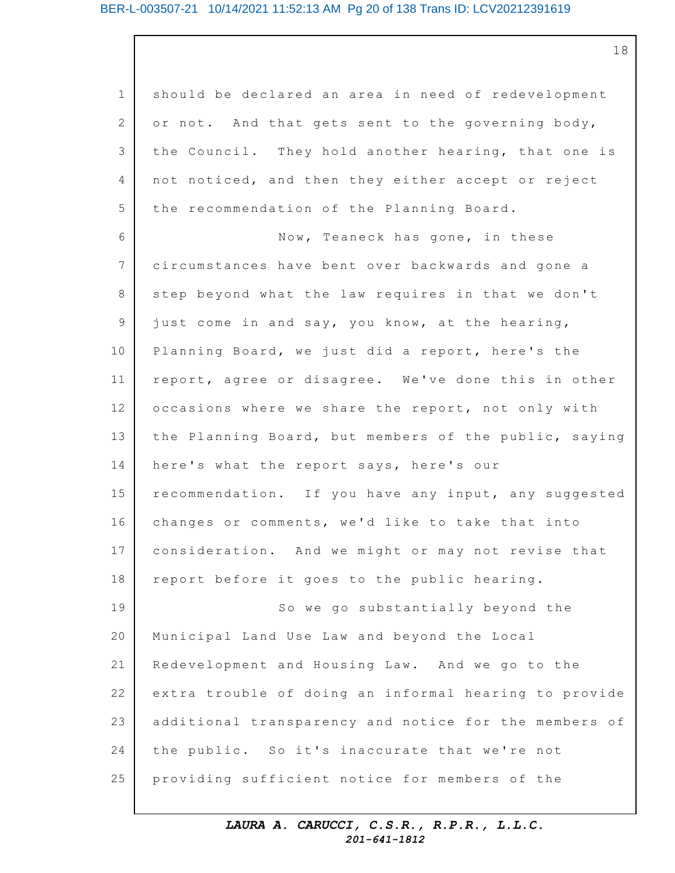1 2 3 4 5 6 7 8 9 10 11 12 13 14 15 16 17 18 19 20 21 22 23 24 25 should be declared an area in need of redevelopment or not. And that gets sent to the governing body, the Council. They hold another hearing, that one is not noticed, and then they either accept or reject the recommendation of the Planning Board. Now, Teaneck has gone, in these circumstances have bent over backwards and gone a step beyond what the law requires in that we don't just come in and say, you know, at the hearing, Planning Board, we just did a report, here's the report, agree or disagree. We've done this in other occasions where we share the report, not only with the Planning Board, but members of the public, saying here's what the report says, here's our recommendation. If you have any input, any suggested changes or comments, we'd like to take that into consideration. And we might or may not revise that report before it goes to the public hearing. So we go substantially beyond the Municipal Land Use Law and beyond the Local Redevelopment and Housing Law. And we go to the extra trouble of doing an informal hearing to provide additional transparency and notice for the members of the public. So it's inaccurate that we're not providing sufficient notice for members of the

> *LAURA A. CARUCCI, C.S.R., R.P.R., L.L.C. 201-641-1812*

18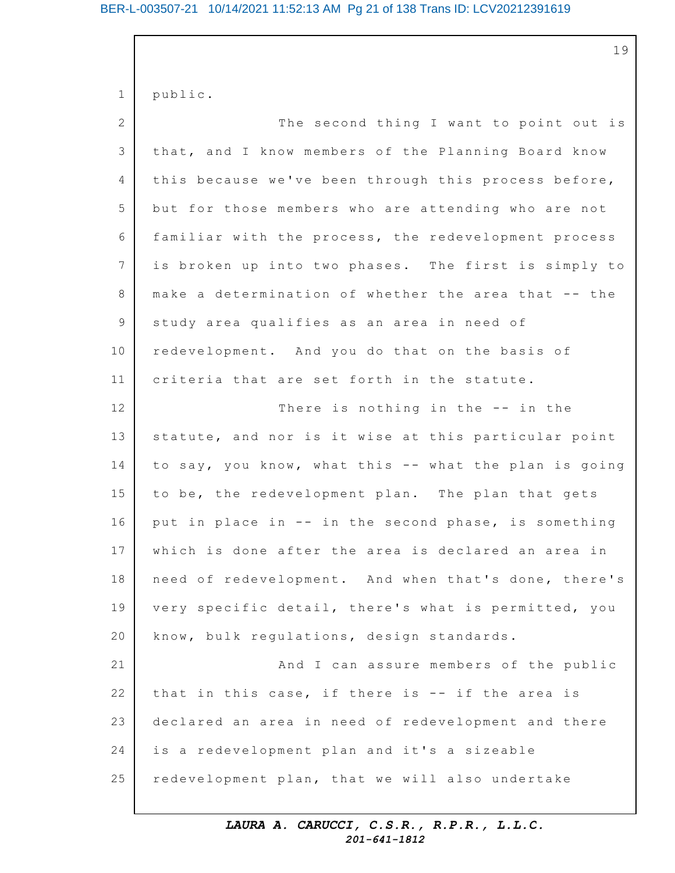## BER-L-003507-21 10/14/2021 11:52:13 AM Pg 21 of 138 Trans ID: LCV20212391619

|              | 19                                                    |
|--------------|-------------------------------------------------------|
| $\mathbf 1$  | public.                                               |
| $\mathbf{2}$ | The second thing I want to point out is               |
| 3            | that, and I know members of the Planning Board know   |
| 4            | this because we've been through this process before,  |
| 5            | but for those members who are attending who are not   |
| 6            | familiar with the process, the redevelopment process  |
| 7            | is broken up into two phases. The first is simply to  |
| 8            | make a determination of whether the area that -- the  |
| 9            | study area qualifies as an area in need of            |
| 10           | redevelopment. And you do that on the basis of        |
| 11           | criteria that are set forth in the statute.           |
| 12           | There is nothing in the -- in the                     |
| 13           | statute, and nor is it wise at this particular point  |
| 14           | to say, you know, what this -- what the plan is going |
| 15           | to be, the redevelopment plan. The plan that gets     |
| 16           | put in place in -- in the second phase, is something  |
| 17           | which is done after the area is declared an area in   |
| 18           | need of redevelopment. And when that's done, there's  |
| 19           | very specific detail, there's what is permitted, you  |
| 20           | know, bulk regulations, design standards.             |
| 21           | And I can assure members of the public                |
| 22           | that in this case, if there is -- if the area is      |
| 23           | declared an area in need of redevelopment and there   |
| 24           | is a redevelopment plan and it's a sizeable           |
| 25           | redevelopment plan, that we will also undertake       |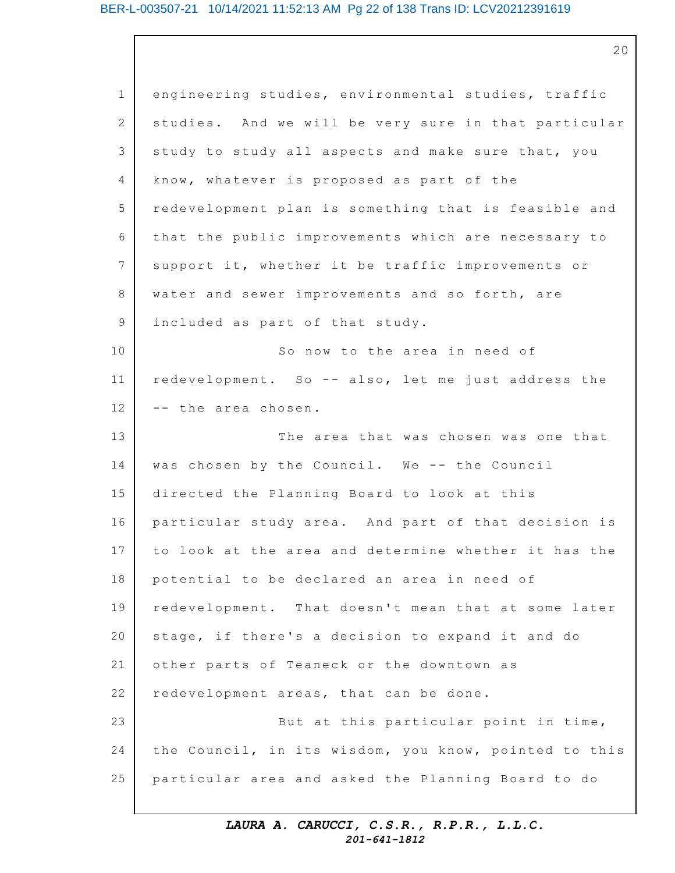1 2 3 4 5 6 7 8 9 10 11 12 13 14 15 16 17 18 19 20 21 22 23 24 25 engineering studies, environmental studies, traffic studies. And we will be very sure in that particular study to study all aspects and make sure that, you know, whatever is proposed as part of the redevelopment plan is something that is feasible and that the public improvements which are necessary to support it, whether it be traffic improvements or water and sewer improvements and so forth, are included as part of that study. So now to the area in need of redevelopment. So -- also, let me just address the -- the area chosen. The area that was chosen was one that was chosen by the Council. We -- the Council directed the Planning Board to look at this particular study area. And part of that decision is to look at the area and determine whether it has the potential to be declared an area in need of redevelopment. That doesn't mean that at some later stage, if there's a decision to expand it and do other parts of Teaneck or the downtown as redevelopment areas, that can be done. But at this particular point in time, the Council, in its wisdom, you know, pointed to this particular area and asked the Planning Board to do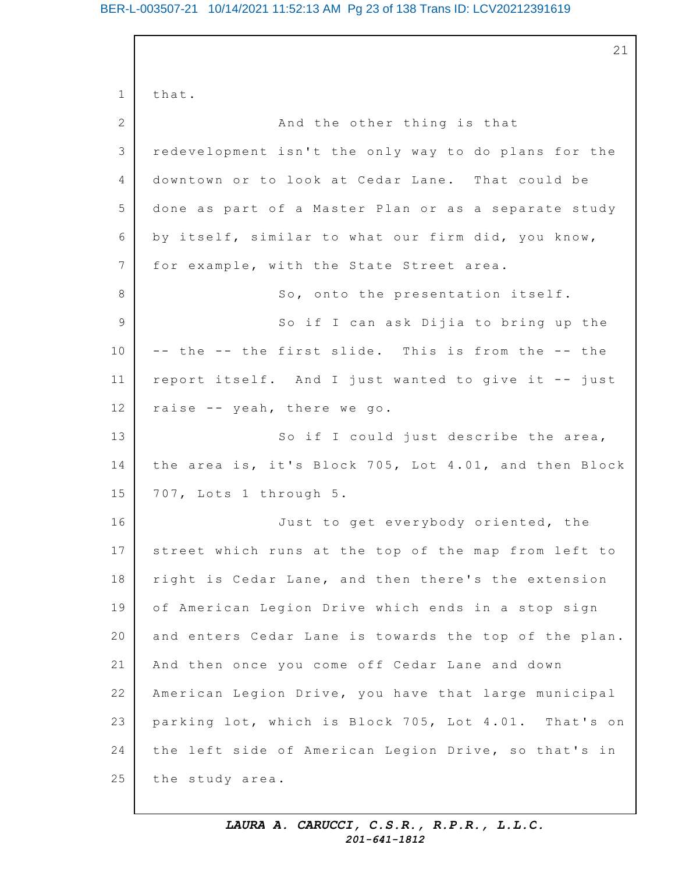## BER-L-003507-21 10/14/2021 11:52:13 AM Pg 23 of 138 Trans ID: LCV20212391619

1 2 3 4 5 6 7 8 9 10 11 12 13 14 15 16 17 18 19 20 21 22 23 24 25 21 that. And the other thing is that redevelopment isn't the only way to do plans for the downtown or to look at Cedar Lane. That could be done as part of a Master Plan or as a separate study by itself, similar to what our firm did, you know, for example, with the State Street area. So, onto the presentation itself. So if I can ask Dijia to bring up the -- the -- the first slide. This is from the -- the report itself. And I just wanted to give it -- just raise  $-$  yeah, there we go. So if I could just describe the area, the area is, it's Block 705, Lot 4.01, and then Block 707, Lots 1 through 5. Just to get everybody oriented, the street which runs at the top of the map from left to right is Cedar Lane, and then there's the extension of American Legion Drive which ends in a stop sign and enters Cedar Lane is towards the top of the plan. And then once you come off Cedar Lane and down American Legion Drive, you have that large municipal parking lot, which is Block 705, Lot 4.01. That's on the left side of American Legion Drive, so that's in the study area.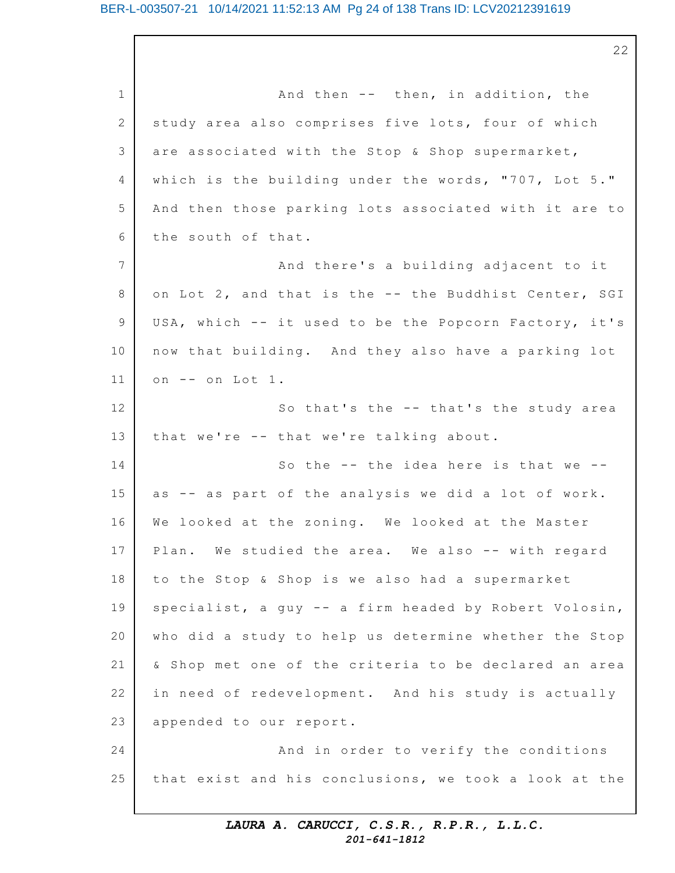1 2 3 4 5 6 7 8 9 10 11 12 13 14 15 16 17 18 19 20 21 22 23 24 25 And then  $--$  then, in addition, the study area also comprises five lots, four of which are associated with the Stop & Shop supermarket, which is the building under the words, "707, Lot  $5.$ " And then those parking lots associated with it are to the south of that. And there's a building adjacent to it on Lot 2, and that is the -- the Buddhist Center, SGI USA, which -- it used to be the Popcorn Factory, it's now that building. And they also have a parking lot on -- on Lot 1. So that's the -- that's the study area that we're -- that we're talking about. So the  $-$ - the idea here is that we  $-$ as -- as part of the analysis we did a lot of work. We looked at the zoning. We looked at the Master Plan. We studied the area. We also -- with regard to the Stop & Shop is we also had a supermarket specialist, a guy -- a firm headed by Robert Volosin, who did a study to help us determine whether the Stop & Shop met one of the criteria to be declared an area in need of redevelopment. And his study is actually appended to our report. And in order to verify the conditions that exist and his conclusions, we took a look at the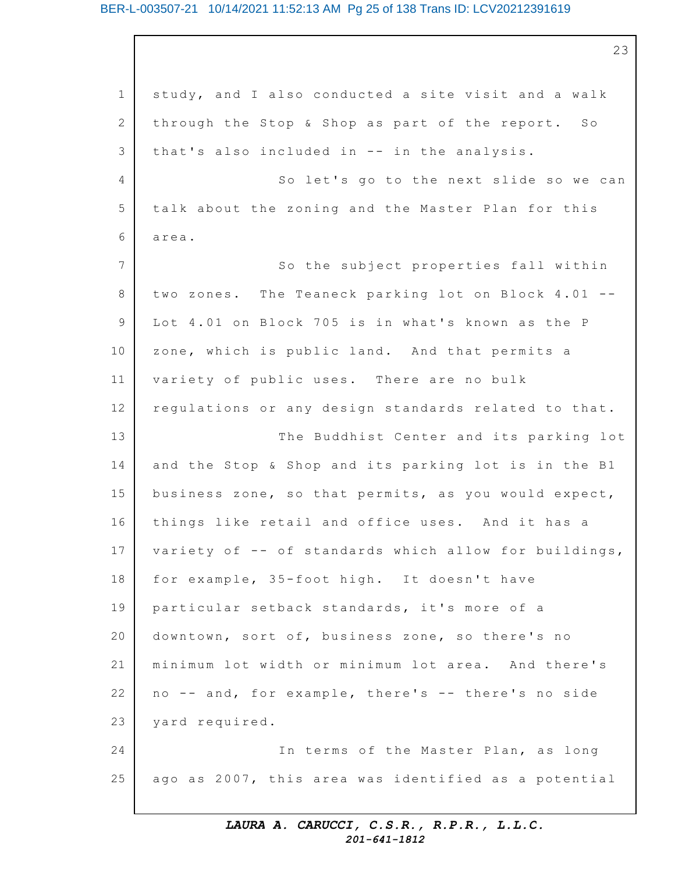## BER-L-003507-21 10/14/2021 11:52:13 AM Pg 25 of 138 Trans ID: LCV20212391619

1 2 3 4 5 6 7 8 9 10 11 12 13 14 15 16 17 18 19 20 21 22 23 24 25 23 study, and I also conducted a site visit and a walk through the Stop & Shop as part of the report. So that's also included in  $-$  in the analysis. So let's go to the next slide so we can talk about the zoning and the Master Plan for this area. So the subject properties fall within two zones. The Teaneck parking lot on Block  $4.01$  --Lot 4.01 on Block 705 is in what's known as the P zone, which is public land. And that permits a variety of public uses. There are no bulk regulations or any design standards related to that. The Buddhist Center and its parking lot and the Stop & Shop and its parking lot is in the B1 business zone, so that permits, as you would expect, things like retail and office uses. And it has a variety of  $-$ - of standards which allow for buildings, for example, 35-foot high. It doesn't have particular setback standards, it's more of a downtown, sort of, business zone, so there's no minimum lot width or minimum lot area. And there's no -- and, for example, there's -- there's no side yard required. In terms of the Master Plan, as long ago as 2007, this area was identified as a potential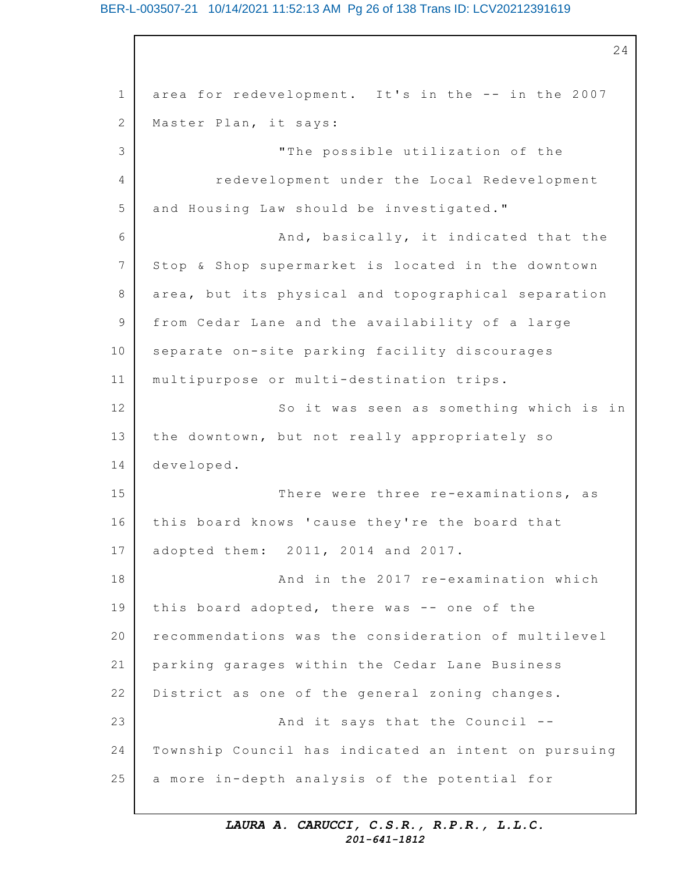## BER-L-003507-21 10/14/2021 11:52:13 AM Pg 26 of 138 Trans ID: LCV20212391619

1 2 3 4 5 6 7 8 9 10 11 12 13 14 15 16 17 18 19 20 21 22 23 24 25 24 area for redevelopment. It's in the -- in the 2007 Master Plan, it says: "The possible utilization of the redevelopment under the Local Redevelopment and Housing Law should be investigated." And, basically, it indicated that the Stop & Shop supermarket is located in the downtown area, but its physical and topographical separation from Cedar Lane and the availability of a large separate on-site parking facility discourages multipurpose or multi-destination trips. So it was seen as something which is in the downtown, but not really appropriately so developed. There were three re-examinations, as this board knows 'cause they're the board that adopted them: 2011, 2014 and 2017. And in the 2017 re-examination which this board adopted, there was -- one of the recommendations was the consideration of multilevel parking garages within the Cedar Lane Business District as one of the general zoning changes. And it says that the Council  $-$ -Township Council has indicated an intent on pursuing a more in-depth analysis of the potential for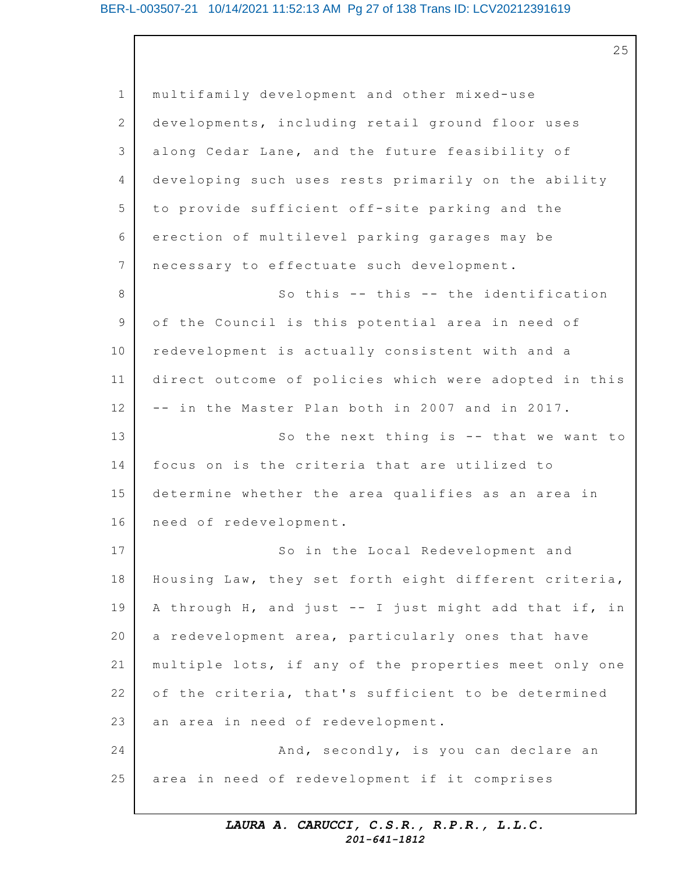25

1 2 3 4 5 6 7 8 9 10 11 12 13 14 15 16 17 18 19 20 21 22 23 24 25 multifamily development and other mixed-use developments, including retail ground floor uses along Cedar Lane, and the future feasibility of developing such uses rests primarily on the ability to provide sufficient off-site parking and the erection of multilevel parking garages may be necessary to effectuate such development. So this  $-$ - this  $-$ - the identification of the Council is this potential area in need of redevelopment is actually consistent with and a direct outcome of policies which were adopted in this -- in the Master Plan both in 2007 and in 2017. So the next thing is  $-$ - that we want to focus on is the criteria that are utilized to determine whether the area qualifies as an area in need of redevelopment. So in the Local Redevelopment and Housing Law, they set forth eight different criteria, A through H, and just  $--$  I just might add that if, in a redevelopment area, particularly ones that have multiple lots, if any of the properties meet only one of the criteria, that's sufficient to be determined an area in need of redevelopment. And, secondly, is you can declare an area in need of redevelopment if it comprises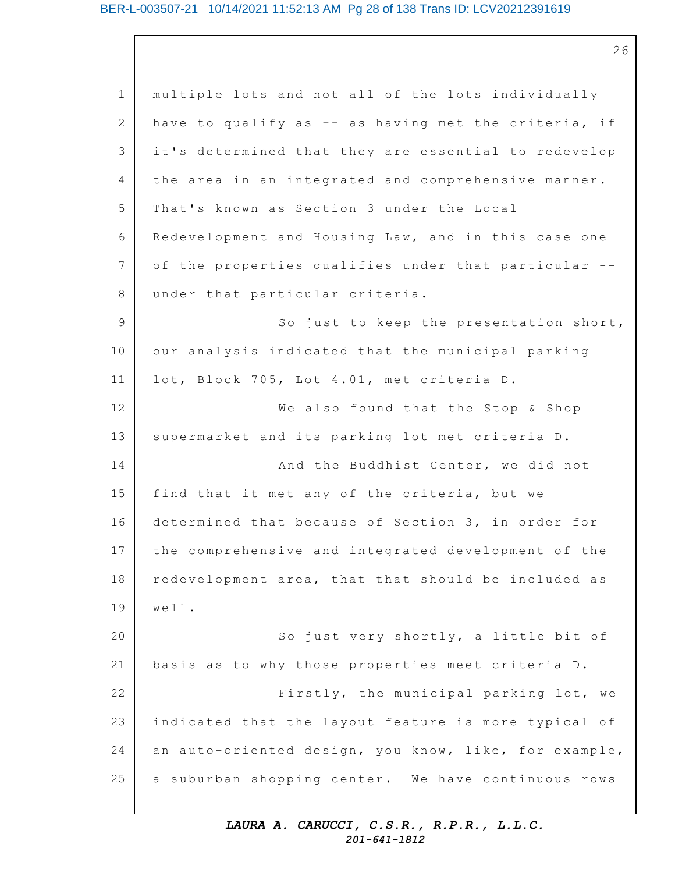## BER-L-003507-21 10/14/2021 11:52:13 AM Pg 28 of 138 Trans ID: LCV20212391619

1 2 3 4 5 6 7 8 9 10 11 12 13 14 15 16 17 18 19 20 21 22 23 24 25 multiple lots and not all of the lots individually have to qualify as -- as having met the criteria, if it's determined that they are essential to redevelop the area in an integrated and comprehensive manner. That's known as Section 3 under the Local Redevelopment and Housing Law, and in this case one of the properties qualifies under that particular -under that particular criteria. So just to keep the presentation short, our analysis indicated that the municipal parking lot, Block 705, Lot 4.01, met criteria D. We also found that the Stop & Shop supermarket and its parking lot met criteria D. And the Buddhist Center, we did not find that it met any of the criteria, but we determined that because of Section 3, in order for the comprehensive and integrated development of the redevelopment area, that that should be included as well. So just very shortly, a little bit of basis as to why those properties meet criteria D. Firstly, the municipal parking lot, we indicated that the layout feature is more typical of an auto-oriented design, you know, like, for example, a suburban shopping center. We have continuous rows

## *LAURA A. CARUCCI, C.S.R., R.P.R., L.L.C. 201-641-1812*

26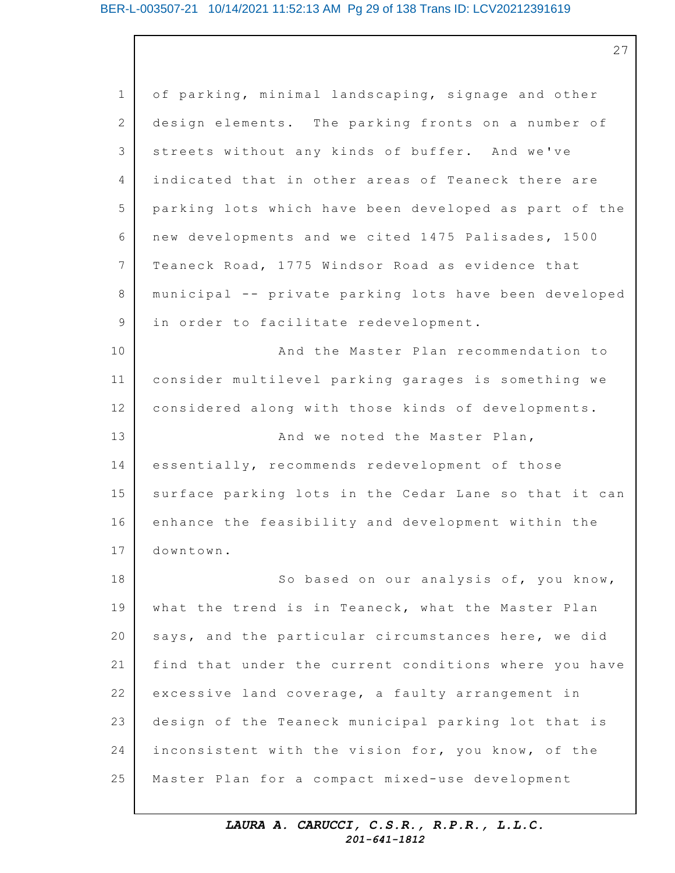## BER-L-003507-21 10/14/2021 11:52:13 AM Pg 29 of 138 Trans ID: LCV20212391619

27

1 2 3  $\Delta$ 5 6 7 8 9 10 11 12 13 14 15 16 17 18 19 20 21 22 23 24 25 of parking, minimal landscaping, signage and other design elements. The parking fronts on a number of streets without any kinds of buffer. And we've indicated that in other areas of Teaneck there are parking lots which have been developed as part of the new developments and we cited 1475 Palisades, 1500 Teaneck Road, 1775 Windsor Road as evidence that municipal -- private parking lots have been developed in order to facilitate redevelopment. And the Master Plan recommendation to consider multilevel parking garages is something we considered along with those kinds of developments. And we noted the Master Plan, essentially, recommends redevelopment of those surface parking lots in the Cedar Lane so that it can enhance the feasibility and development within the downtown. So based on our analysis of, you know, what the trend is in Teaneck, what the Master Plan says, and the particular circumstances here, we did find that under the current conditions where you have excessive land coverage, a faulty arrangement in design of the Teaneck municipal parking lot that is inconsistent with the vision for, you know, of the Master Plan for a compact mixed-use development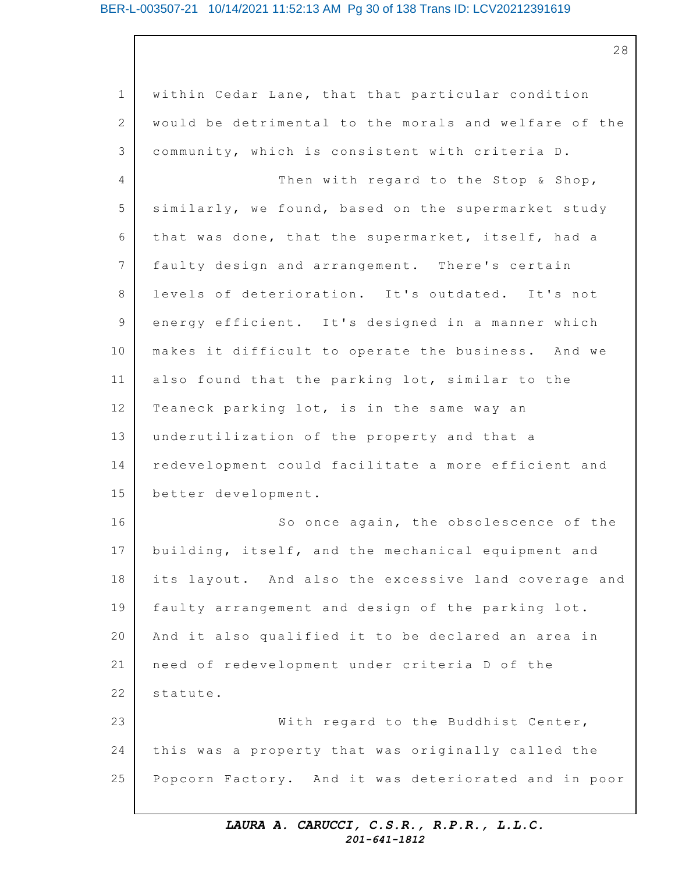## BER-L-003507-21 10/14/2021 11:52:13 AM Pg 30 of 138 Trans ID: LCV20212391619

28

1 2 3 4 5 6 7 8 9 10 11 12 13 14 15 16 17 18 19 20 21 22 23 24 25 within Cedar Lane, that that particular condition would be detrimental to the morals and welfare of the community, which is consistent with criteria D. Then with regard to the Stop  $\&$  Shop, similarly, we found, based on the supermarket study that was done, that the supermarket, itself, had a faulty design and arrangement. There's certain levels of deterioration. It's outdated. It's not energy efficient. It's designed in a manner which makes it difficult to operate the business. And we also found that the parking lot, similar to the Teaneck parking lot, is in the same way an underutilization of the property and that a redevelopment could facilitate a more efficient and better development. So once again, the obsolescence of the building, itself, and the mechanical equipment and its layout. And also the excessive land coverage and faulty arrangement and design of the parking lot. And it also qualified it to be declared an area in need of redevelopment under criteria D of the statute. With regard to the Buddhist Center, this was a property that was originally called the Popcorn Factory. And it was deteriorated and in poor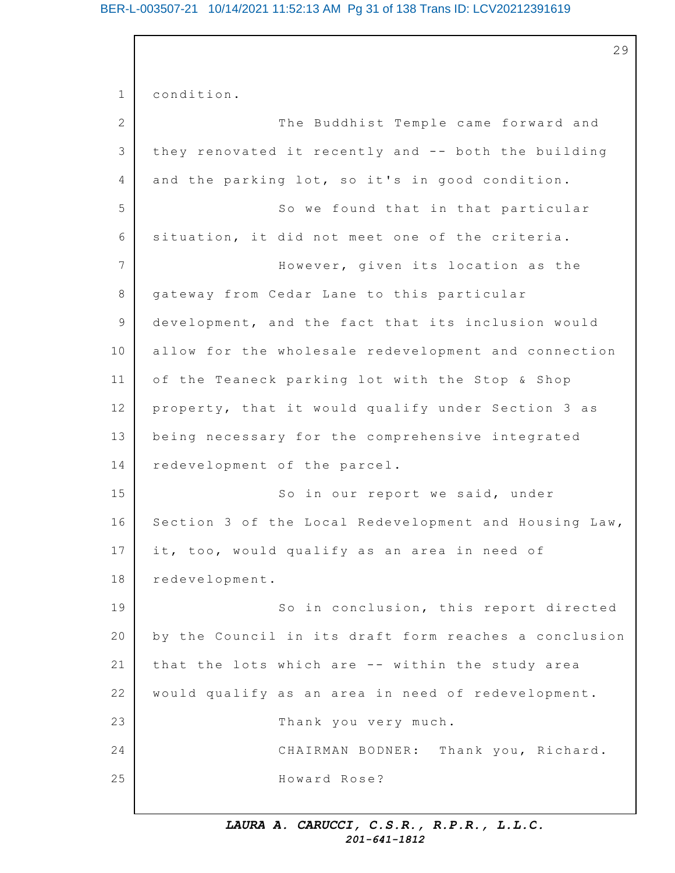## BER-L-003507-21 10/14/2021 11:52:13 AM Pg 31 of 138 Trans ID: LCV20212391619

29

1 2 3 4 5 6 7 8 9 10 11 12 13 14 15 16 17 18 19 20 21 22 23 24 25 condition. The Buddhist Temple came forward and they renovated it recently and -- both the building and the parking lot, so it's in good condition. So we found that in that particular situation, it did not meet one of the criteria. However, given its location as the gateway from Cedar Lane to this particular development, and the fact that its inclusion would allow for the wholesale redevelopment and connection of the Teaneck parking lot with the Stop & Shop property, that it would qualify under Section 3 as being necessary for the comprehensive integrated redevelopment of the parcel. So in our report we said, under Section 3 of the Local Redevelopment and Housing Law, it, too, would qualify as an area in need of redevelopment. So in conclusion, this report directed by the Council in its draft form reaches a conclusion that the lots which are -- within the study area would qualify as an area in need of redevelopment. Thank you very much. CHAIRMAN BODNER: Thank you, Richard. Howard Rose?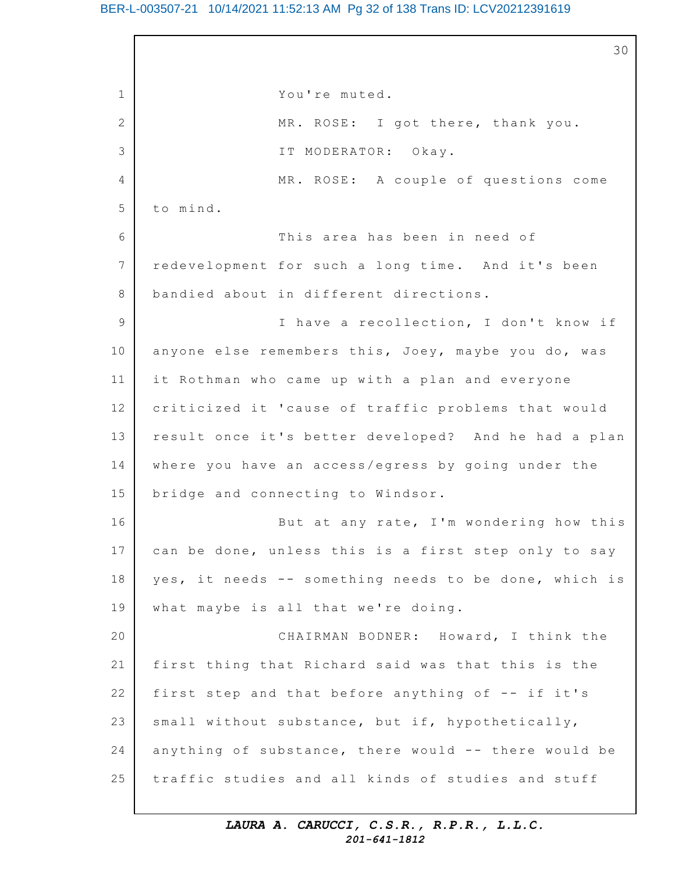## BER-L-003507-21 10/14/2021 11:52:13 AM Pg 32 of 138 Trans ID: LCV20212391619

1 2 3 4 5 6 7 8 9 10 11 12 13 14 15 16 17 18 19 20 21 22 23 24 25 30 You're muted. MR. ROSE: I got there, thank you. IT MODERATOR: Okay. MR. ROSE: A couple of questions come to mind. This area has been in need of redevelopment for such a long time. And it's been bandied about in different directions. I have a recollection, I don't know if anyone else remembers this, Joey, maybe you do, was it Rothman who came up with a plan and everyone criticized it 'cause of traffic problems that would result once it's better developed? And he had a plan where you have an access/egress by going under the bridge and connecting to Windsor. But at any rate, I'm wondering how this can be done, unless this is a first step only to say yes, it needs -- something needs to be done, which is what maybe is all that we're doing. CHAIRMAN BODNER: Howard, I think the first thing that Richard said was that this is the first step and that before anything of  $-$ - if it's small without substance, but if, hypothetically, anything of substance, there would  $--$  there would be traffic studies and all kinds of studies and stuff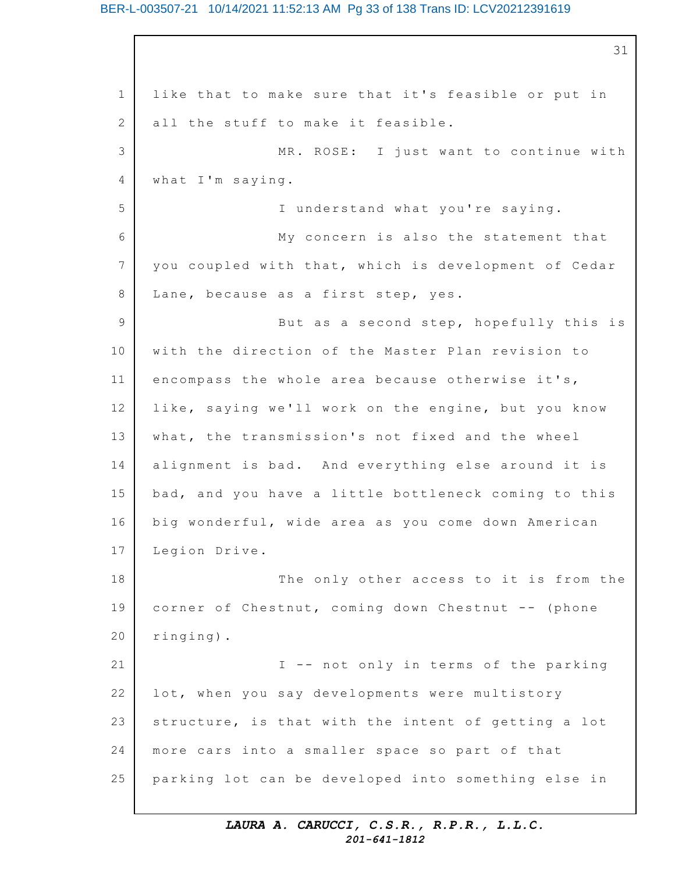## BER-L-003507-21 10/14/2021 11:52:13 AM Pg 33 of 138 Trans ID: LCV20212391619

1 2 3 4 5 6 7 8 9 10 11 12 13 14 15 16 17 18 19 20 21 22 23 24 25 31 like that to make sure that it's feasible or put in all the stuff to make it feasible. MR. ROSE: I just want to continue with what I'm saying. I understand what you're saying. My concern is also the statement that you coupled with that, which is development of Cedar Lane, because as a first step, yes. But as a second step, hopefully this is with the direction of the Master Plan revision to encompass the whole area because otherwise it's, like, saying we'll work on the engine, but you know what, the transmission's not fixed and the wheel alignment is bad. And everything else around it is bad, and you have a little bottleneck coming to this big wonderful, wide area as you come down American Legion Drive. The only other access to it is from the corner of Chestnut, coming down Chestnut -- (phone ringing). I -- not only in terms of the parking lot, when you say developments were multistory structure, is that with the intent of getting a lot more cars into a smaller space so part of that parking lot can be developed into something else in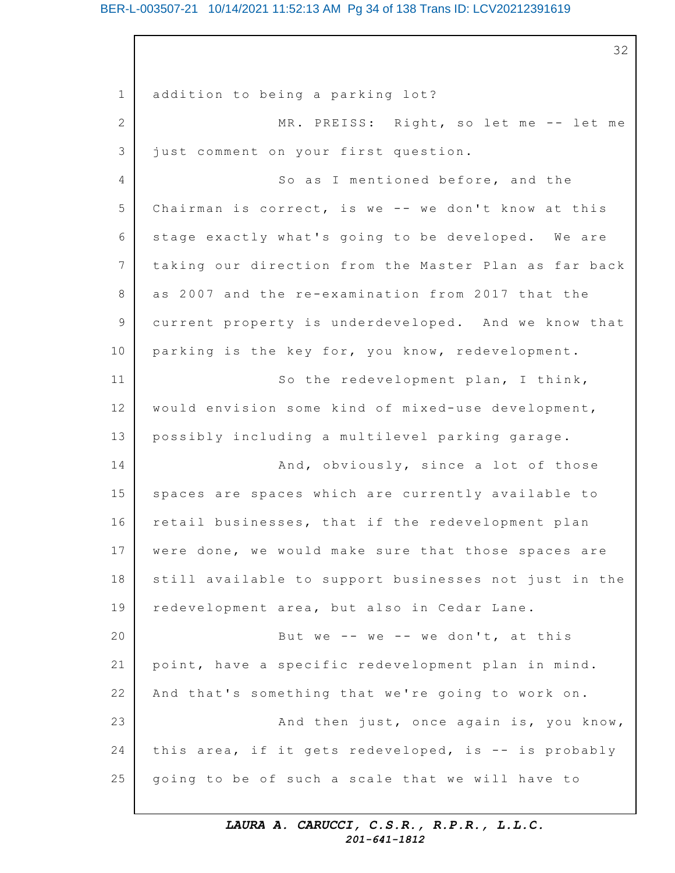## BER-L-003507-21 10/14/2021 11:52:13 AM Pg 34 of 138 Trans ID: LCV20212391619

1 2 3 4 5 6 7 8 9 10 11 12 13 14 15 16 17 18 19 20 21 22 23 24 25 32 addition to being a parking lot? MR. PREISS: Right, so let me -- let me just comment on your first question. So as I mentioned before, and the Chairman is correct, is we -- we don't know at this stage exactly what's going to be developed. We are taking our direction from the Master Plan as far back as 2007 and the re-examination from 2017 that the current property is underdeveloped. And we know that parking is the key for, you know, redevelopment. So the redevelopment plan, I think, would envision some kind of mixed-use development, possibly including a multilevel parking garage. And, obviously, since a lot of those spaces are spaces which are currently available to retail businesses, that if the redevelopment plan were done, we would make sure that those spaces are still available to support businesses not just in the redevelopment area, but also in Cedar Lane. But we -- we -- we don't, at this point, have a specific redevelopment plan in mind. And that's something that we're going to work on. And then just, once again is, you know, this area, if it gets redeveloped, is  $-$  is probably going to be of such a scale that we will have to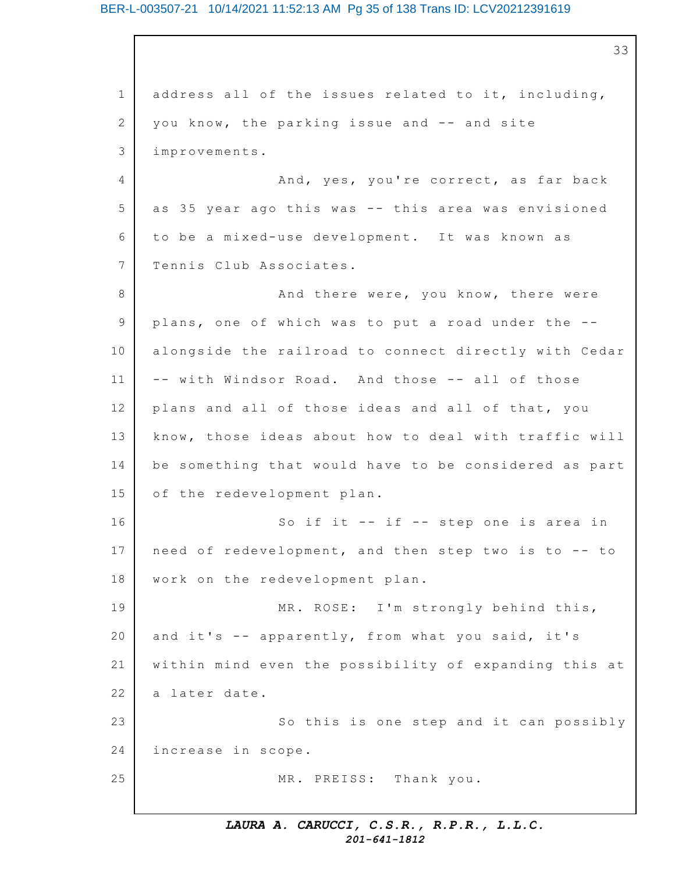## BER-L-003507-21 10/14/2021 11:52:13 AM Pg 35 of 138 Trans ID: LCV20212391619

1 2 3 4 5 6 7 8 9 10 11 12 13 14 15 16 17 18 19 20 21 22 23 24 25 33 address all of the issues related to it, including, you know, the parking issue and -- and site improvements. And, yes, you're correct, as far back as 35 year ago this was -- this area was envisioned to be a mixed-use development. It was known as Tennis Club Associates. And there were, you know, there were plans, one of which was to put a road under the  $-$ alongside the railroad to connect directly with Cedar -- with Windsor Road. And those -- all of those plans and all of those ideas and all of that, you know, those ideas about how to deal with traffic will be something that would have to be considered as part of the redevelopment plan. So if it  $-$  if  $-$  step one is area in need of redevelopment, and then step two is to -- to work on the redevelopment plan. MR. ROSE: I'm strongly behind this, and it's  $-$  apparently, from what you said, it's within mind even the possibility of expanding this at a later date. So this is one step and it can possibly increase in scope. MR. PREISS: Thank you.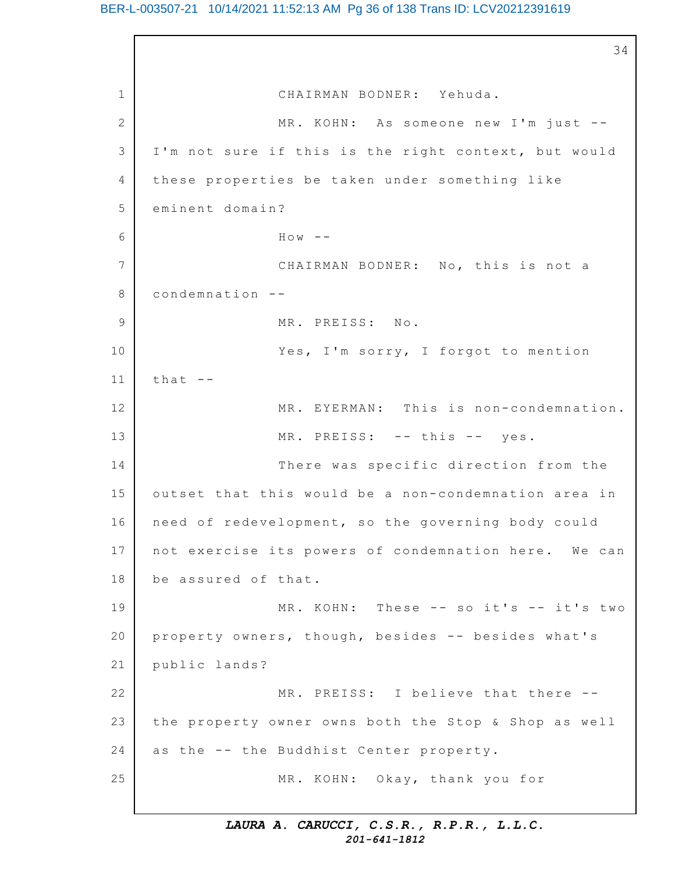## BER-L-003507-21 10/14/2021 11:52:13 AM Pg 36 of 138 Trans ID: LCV20212391619

1 2 3 4 5 6 7 8 9 10 11 12 13 14 15 16 17 18 19 20 21 22 23 24 25 34 CHAIRMAN BODNER: Yehuda. MR. KOHN: As someone new I'm just --I'm not sure if this is the right context, but would these properties be taken under something like eminent domain?  $H \circ w$  --CHAIRMAN BODNER: No, this is not a condemnation -- MR. PREISS: No. Yes, I'm sorry, I forgot to mention that -- MR. EYERMAN: This is non-condemnation. MR. PREISS: -- this -- yes. There was specific direction from the outset that this would be a non-condemnation area in need of redevelopment, so the governing body could not exercise its powers of condemnation here. We can be assured of that.  $MR. KOHN: The se -- so it's -- it's two$ property owners, though, besides -- besides what's public lands? MR. PREISS: I believe that there -the property owner owns both the Stop & Shop as well as the -- the Buddhist Center property. MR. KOHN: Okay, thank you for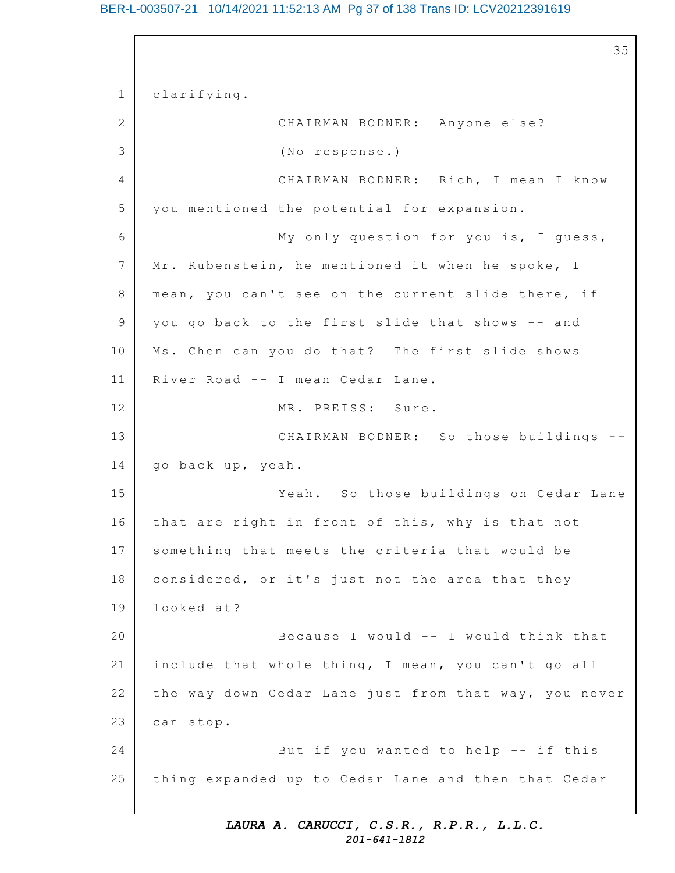#### BER-L-003507-21 10/14/2021 11:52:13 AM Pg 37 of 138 Trans ID: LCV20212391619

1 2 3 4 5 6 7 8 9 10 11 12 13 14 15 16 17 18 19 20 21 22 23 24 25 35 clarifying. CHAIRMAN BODNER: Anyone else? (No response.) CHAIRMAN BODNER: Rich, I mean I know you mentioned the potential for expansion. My only question for you is, I quess, Mr. Rubenstein, he mentioned it when he spoke, I mean, you can't see on the current slide there, if you go back to the first slide that shows -- and Ms. Chen can you do that? The first slide shows River Road -- I mean Cedar Lane. MR. PREISS: Sure. CHAIRMAN BODNER: So those buildings -go back up, yeah. Yeah. So those buildings on Cedar Lane that are right in front of this, why is that not something that meets the criteria that would be considered, or it's just not the area that they looked at? Because I would -- I would think that include that whole thing, I mean, you can't go all the way down Cedar Lane just from that way, you never can stop. But if you wanted to help  $-$ - if this thing expanded up to Cedar Lane and then that Cedar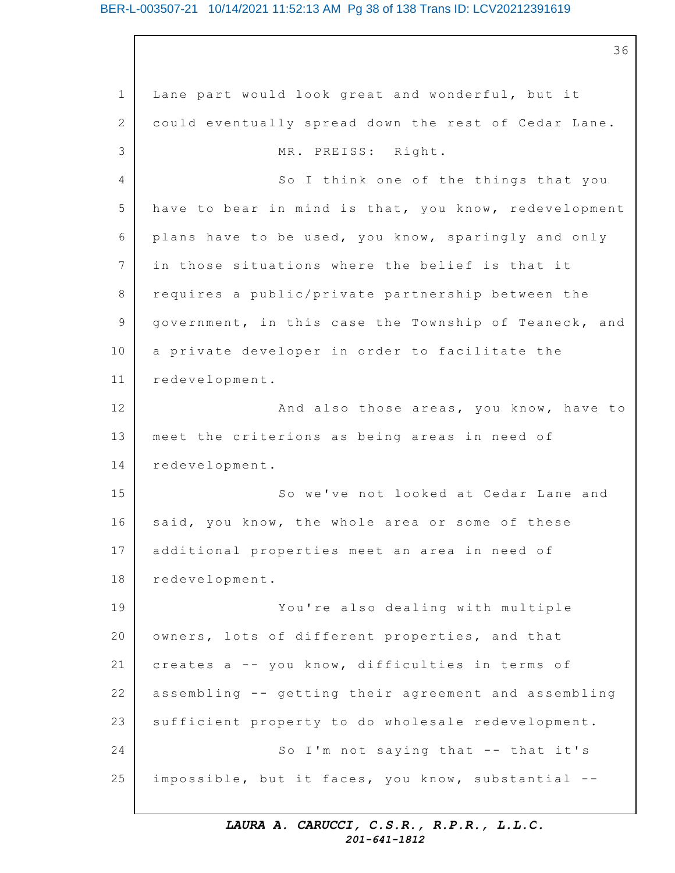#### BER-L-003507-21 10/14/2021 11:52:13 AM Pg 38 of 138 Trans ID: LCV20212391619

1 2 3 4 5 6 7 8 9 10 11 12 13 14 15 16 17 18 19 20 21 22 23 24 25 36 Lane part would look great and wonderful, but it could eventually spread down the rest of Cedar Lane. MR. PREISS: Right. So I think one of the things that you have to bear in mind is that, you know, redevelopment plans have to be used, you know, sparingly and only in those situations where the belief is that it requires a public/private partnership between the government, in this case the Township of Teaneck, and a private developer in order to facilitate the redevelopment. And also those areas, you know, have to meet the criterions as being areas in need of redevelopment. So we've not looked at Cedar Lane and said, you know, the whole area or some of these additional properties meet an area in need of redevelopment. You're also dealing with multiple owners, lots of different properties, and that creates a -- you know, difficulties in terms of assembling -- getting their agreement and assembling sufficient property to do wholesale redevelopment. So I'm not saying that  $--$  that it's impossible, but it faces, you know, substantial --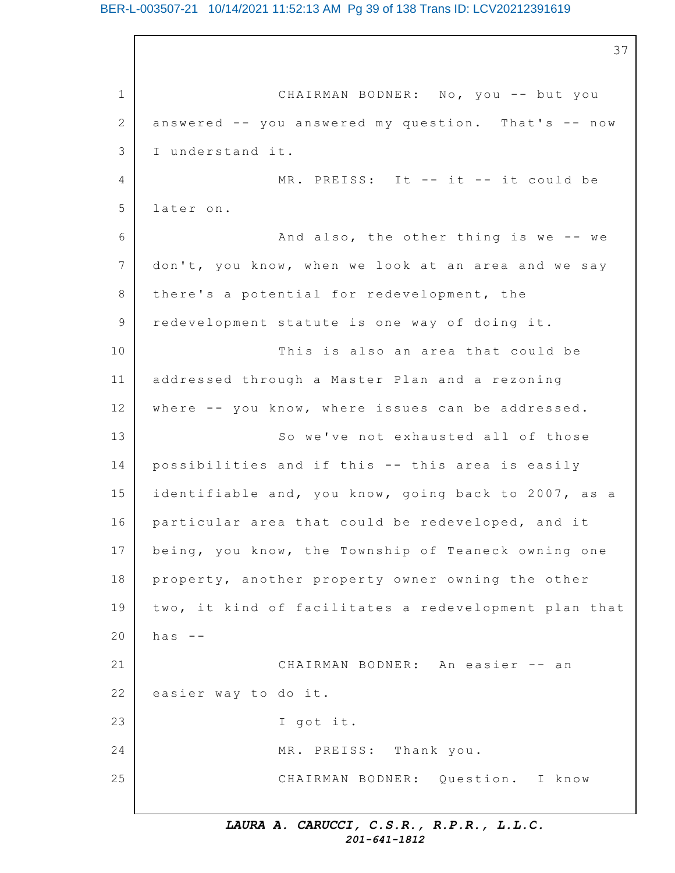#### BER-L-003507-21 10/14/2021 11:52:13 AM Pg 39 of 138 Trans ID: LCV20212391619

1 2 3  $\Delta$ 5 6 7 8 9 10 11 12 13 14 15 16 17 18 19 20 21 22 23 24 25 37 CHAIRMAN BODNER: No, you -- but you answered  $--$  you answered my question. That's  $--$  now I understand it.  $MR.$  PREISS: It  $--$  it  $--$  it could be later on. And also, the other thing is we  $-$ - we don't, you know, when we look at an area and we say there's a potential for redevelopment, the redevelopment statute is one way of doing it. This is also an area that could be addressed through a Master Plan and a rezoning where  $--$  you know, where issues can be addressed. So we've not exhausted all of those possibilities and if this -- this area is easily identifiable and, you know, going back to 2007, as a particular area that could be redeveloped, and it being, you know, the Township of Teaneck owning one property, another property owner owning the other two, it kind of facilitates a redevelopment plan that has  $-$ CHAIRMAN BODNER: An easier -- an easier way to do it. I got it. MR. PREISS: Thank you. CHAIRMAN BODNER: Question. I know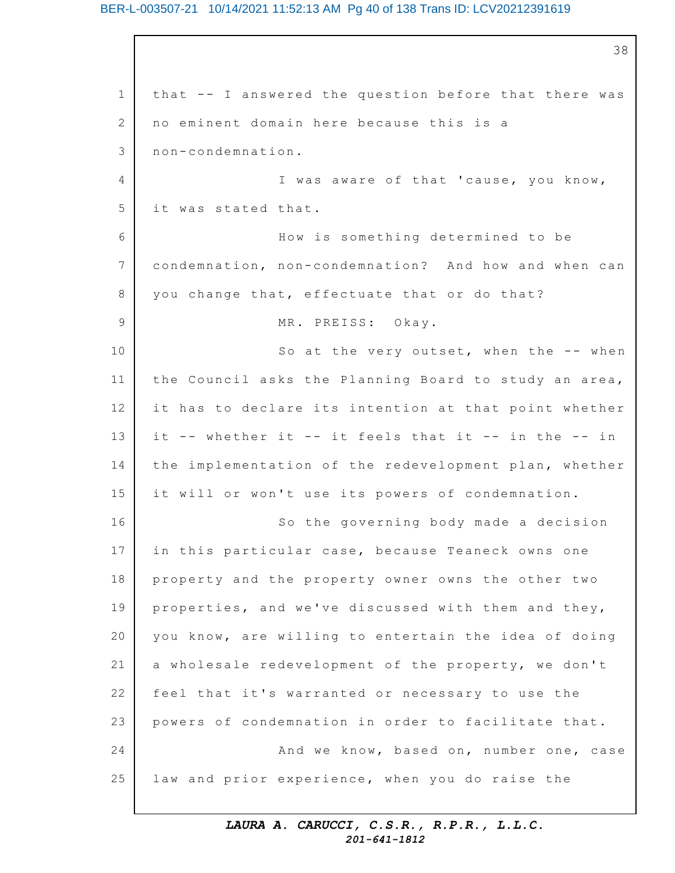#### BER-L-003507-21 10/14/2021 11:52:13 AM Pg 40 of 138 Trans ID: LCV20212391619

1 2 3  $\Delta$ 5 6 7 8 9 10 11 12 13 14 15 16 17 18 19 20 21 22 23 24 25 38 that -- I answered the question before that there was no eminent domain here because this is a non-condemnation. I was aware of that 'cause, you know, it was stated that. How is something determined to be condemnation, non-condemnation? And how and when can you change that, effectuate that or do that? MR. PREISS: Okay. So at the very outset, when the  $-$ - when the Council asks the Planning Board to study an area, it has to declare its intention at that point whether it -- whether it -- it feels that it -- in the -- in the implementation of the redevelopment plan, whether it will or won't use its powers of condemnation. So the governing body made a decision in this particular case, because Teaneck owns one property and the property owner owns the other two properties, and we've discussed with them and they, you know, are willing to entertain the idea of doing a wholesale redevelopment of the property, we don't feel that it's warranted or necessary to use the powers of condemnation in order to facilitate that. And we know, based on, number one, case law and prior experience, when you do raise the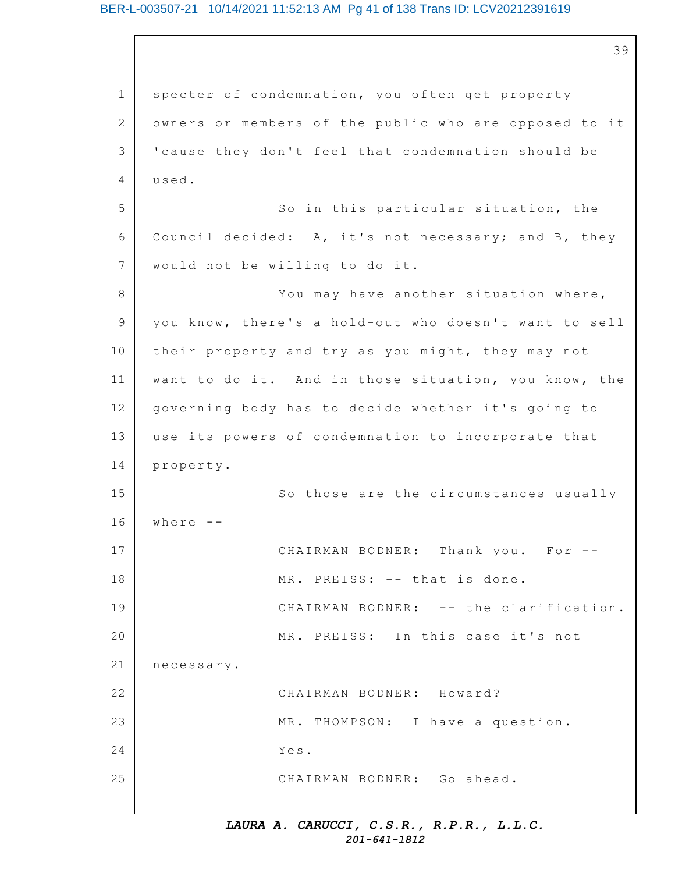#### BER-L-003507-21 10/14/2021 11:52:13 AM Pg 41 of 138 Trans ID: LCV20212391619

1 2 3 4 5 6 7 8 9 10 11 12 13 14 15 16 17 18 19 20 21 22 23 24 25 39 specter of condemnation, you often get property owners or members of the public who are opposed to it 'cause they don't feel that condemnation should be used. So in this particular situation, the Council decided: A, it's not necessary; and B, they would not be willing to do it. You may have another situation where, you know, there's a hold-out who doesn't want to sell their property and try as you might, they may not want to do it. And in those situation, you know, the governing body has to decide whether it's going to use its powers of condemnation to incorporate that property. So those are the circumstances usually where -- CHAIRMAN BODNER: Thank you. For -- MR. PREISS: -- that is done. CHAIRMAN BODNER: -- the clarification. MR. PREISS: In this case it's not necessary. CHAIRMAN BODNER: Howard? MR. THOMPSON: I have a question. Yes. CHAIRMAN BODNER: Go ahead.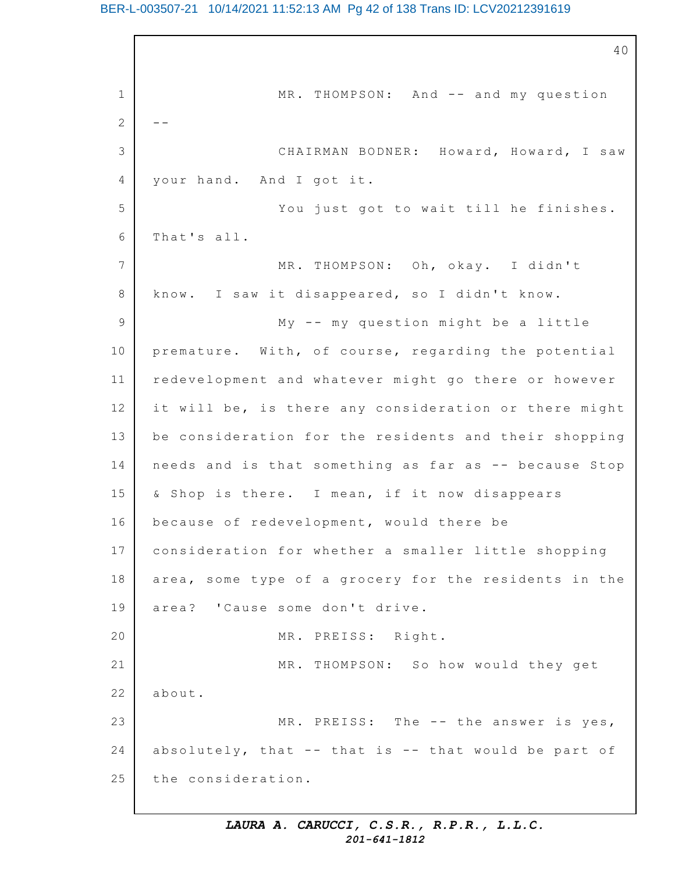#### BER-L-003507-21 10/14/2021 11:52:13 AM Pg 42 of 138 Trans ID: LCV20212391619

1 2 3 4 5 6 7 8 9 10 11 12 13 14 15 16 17 18 19 20 21 22 23 24 25 40 MR. THOMPSON: And -- and my question -- CHAIRMAN BODNER: Howard, Howard, I saw your hand. And I got it. You just got to wait till he finishes. That's all. MR. THOMPSON: Oh, okay. I didn't know. I saw it disappeared, so I didn't know. My  $--$  my question might be a little premature. With, of course, regarding the potential redevelopment and whatever might go there or however it will be, is there any consideration or there might be consideration for the residents and their shopping needs and is that something as far as -- because Stop & Shop is there. I mean, if it now disappears because of redevelopment, would there be consideration for whether a smaller little shopping area, some type of a grocery for the residents in the area? 'Cause some don't drive. MR. PREISS: Right. MR. THOMPSON: So how would they get about. MR. PREISS: The  $--$  the answer is yes, absolutely, that  $--$  that is  $--$  that would be part of the consideration.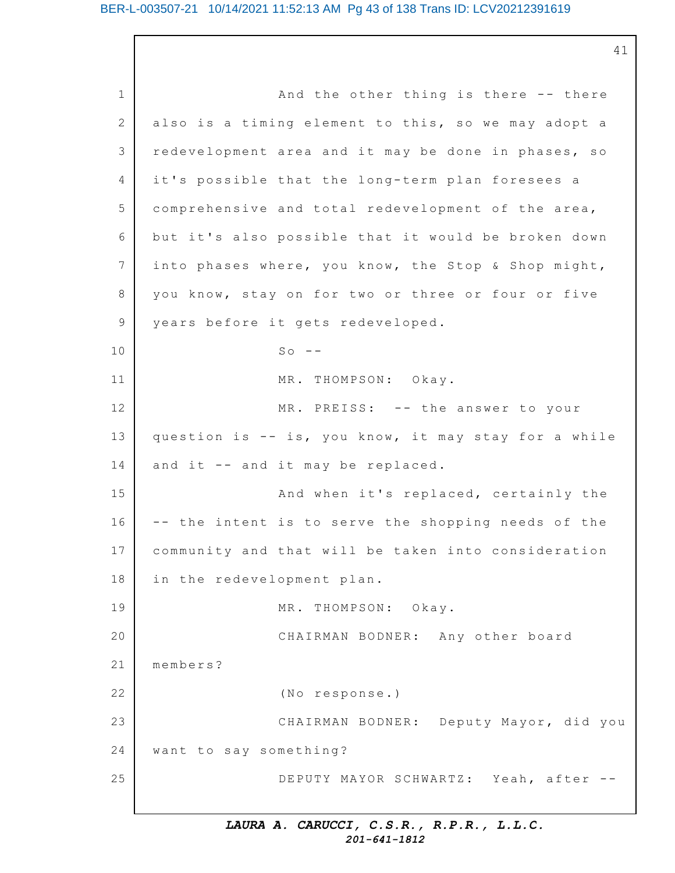41

1 2 3 4 5 6 7 8 9 10 11 12 13 14 15 16 17 18 19 20 21 22 23 24 25 And the other thing is there  $-$ - there also is a timing element to this, so we may adopt a redevelopment area and it may be done in phases, so it's possible that the long-term plan foresees a comprehensive and total redevelopment of the area, but it's also possible that it would be broken down into phases where, you know, the Stop & Shop might, you know, stay on for two or three or four or five years before it gets redeveloped.  $SO - -$ MR. THOMPSON: Okay. MR. PREISS: -- the answer to your question is  $-$  is, you know, it may stay for a while and it  $-$  and it may be replaced. And when it's replaced, certainly the -- the intent is to serve the shopping needs of the community and that will be taken into consideration in the redevelopment plan. MR. THOMPSON: Okay. CHAIRMAN BODNER: Any other board members? (No response.) CHAIRMAN BODNER: Deputy Mayor, did you want to say something? DEPUTY MAYOR SCHWARTZ: Yeah, after --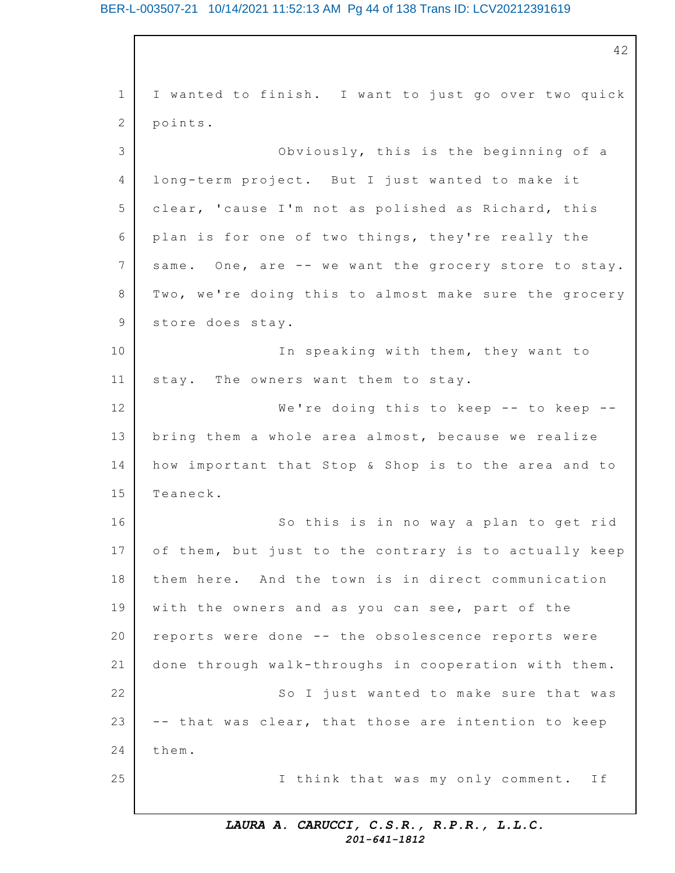#### BER-L-003507-21 10/14/2021 11:52:13 AM Pg 44 of 138 Trans ID: LCV20212391619

1 2 3 4 5 6 7 8 9 10 11 12 13 14 15 16 17 18 19 20 21 22 23 24 25 42 I wanted to finish. I want to just go over two quick points. Obviously, this is the beginning of a long-term project. But I just wanted to make it clear, 'cause I'm not as polished as Richard, this plan is for one of two things, they're really the same. One, are -- we want the grocery store to stay. Two, we're doing this to almost make sure the grocery store does stay. In speaking with them, they want to stay. The owners want them to stay. We're doing this to keep  $-$ - to keep  $-$ bring them a whole area almost, because we realize how important that Stop & Shop is to the area and to Teaneck. So this is in no way a plan to get rid of them, but just to the contrary is to actually keep them here. And the town is in direct communication with the owners and as you can see, part of the reports were done -- the obsolescence reports were done through walk-throughs in cooperation with them. So I just wanted to make sure that was -- that was clear, that those are intention to keep them. I think that was my only comment. If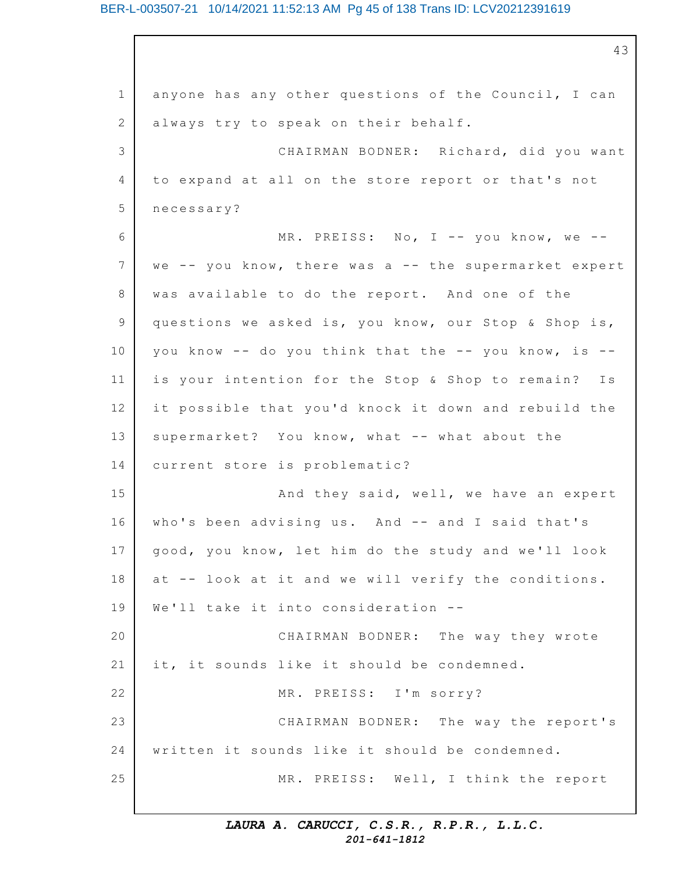#### BER-L-003507-21 10/14/2021 11:52:13 AM Pg 45 of 138 Trans ID: LCV20212391619

1 2 3 4 5 6 7 8 9 10 11 12 13 14 15 16 17 18 19 20 21 22 23 24 25 43 anyone has any other questions of the Council, I can always try to speak on their behalf. CHAIRMAN BODNER: Richard, did you want to expand at all on the store report or that's not necessary? MR. PREISS: No, I -- you know, we -we  $--$  you know, there was a  $--$  the supermarket expert was available to do the report. And one of the questions we asked is, you know, our Stop & Shop is, you know  $--$  do you think that the  $--$  you know, is  $-$ is your intention for the Stop & Shop to remain? Is it possible that you'd knock it down and rebuild the supermarket? You know, what -- what about the current store is problematic? And they said, well, we have an expert who's been advising us. And -- and I said that's good, you know, let him do the study and we'll look at -- look at it and we will verify the conditions. We'll take it into consideration --CHAIRMAN BODNER: The way they wrote it, it sounds like it should be condemned. MR. PREISS: I'm sorry? CHAIRMAN BODNER: The way the report's written it sounds like it should be condemned. MR. PREISS: Well, I think the report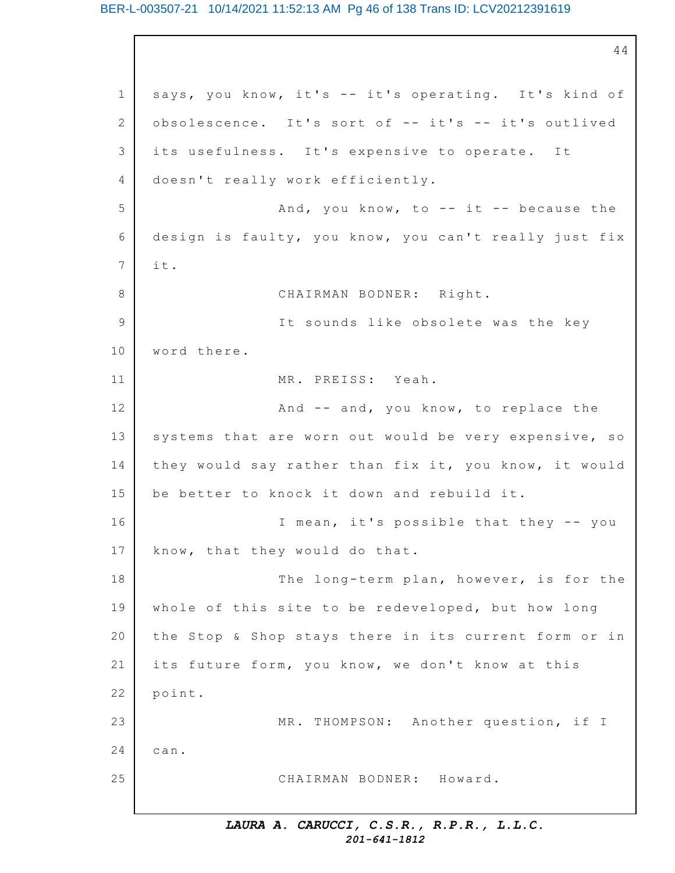#### BER-L-003507-21 10/14/2021 11:52:13 AM Pg 46 of 138 Trans ID: LCV20212391619

1 2 3 4 5 6 7 8 9 10 11 12 13 14 15 16 17 18 19 20 21 22 23 24 25 44 says, you know, it's -- it's operating. It's kind of obsolescence. It's sort of -- it's -- it's outlived its usefulness. It's expensive to operate. It doesn't really work efficiently. And, you know, to  $-$  it  $-$  because the design is faulty, you know, you can't really just fix i t. CHAIRMAN BODNER: Right. It sounds like obsolete was the key word there. MR. PREISS: Yeah. And  $--$  and, you know, to replace the systems that are worn out would be very expensive, so they would say rather than fix it, you know, it would be better to knock it down and rebuild it. I mean, it's possible that they -- you know, that they would do that. The long-term plan, however, is for the whole of this site to be redeveloped, but how long the Stop & Shop stays there in its current form or in its future form, you know, we don't know at this point. MR. THOMPSON: Another question, if I can. CHAIRMAN BODNER: Howard.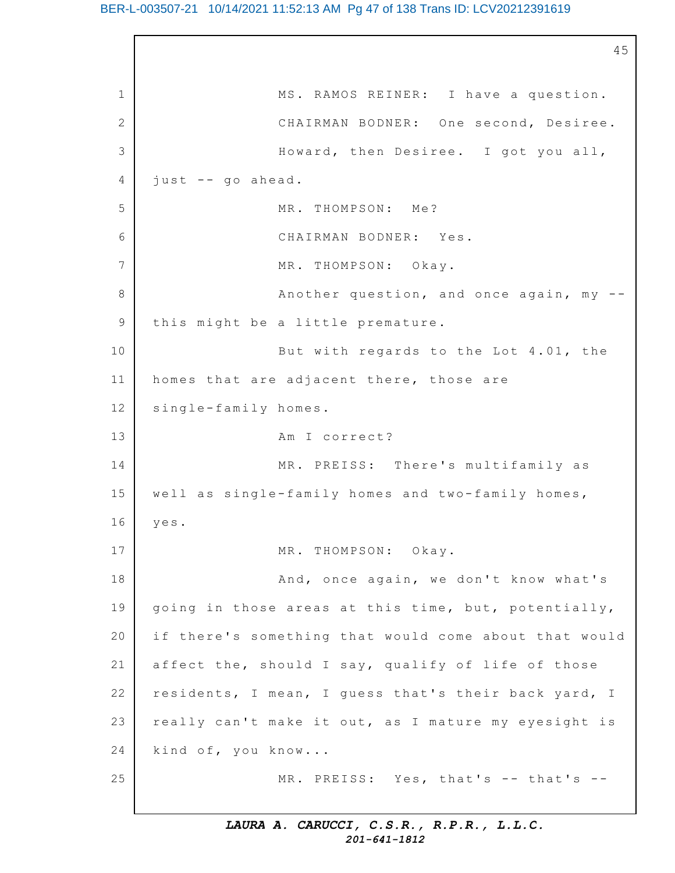#### BER-L-003507-21 10/14/2021 11:52:13 AM Pg 47 of 138 Trans ID: LCV20212391619

1 2 3 4 5 6 7 8 9 10 11 12 13 14 15 16 17 18 19 20 21 22 23 24 25 45 MS. RAMOS REINER: I have a question. CHAIRMAN BODNER: One second, Desiree. Howard, then Desiree. I got you all,  $just$  -- go ahead. MR. THOMPSON: Me? CHAIRMAN BODNER: Yes. MR. THOMPSON: Okay. Another question, and once again,  $my -$ this might be a little premature. But with regards to the Lot  $4.01$ , the homes that are adjacent there, those are single-family homes. Am I correct? MR. PREISS: There's multifamily as well as single-family homes and two-family homes, yes. MR. THOMPSON: Okay. And, once again, we don't know what's going in those areas at this time, but, potentially, if there's something that would come about that would affect the, should I say, qualify of life of those residents, I mean, I guess that's their back yard, I really can't make it out, as I mature my eyesight is kind of, you know... MR. PREISS: Yes, that's -- that's --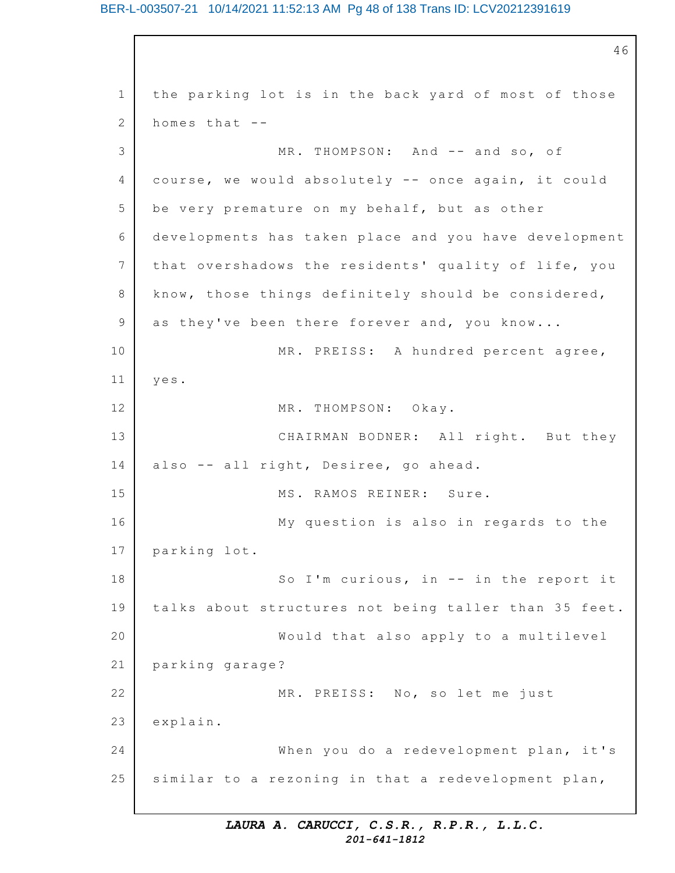#### BER-L-003507-21 10/14/2021 11:52:13 AM Pg 48 of 138 Trans ID: LCV20212391619

1 2 3 4 5 6 7 8 9 10 11 12 13 14 15 16 17 18 19 20 21 22 23 24 25 46 the parking lot is in the back yard of most of those homes that -- MR. THOMPSON: And -- and so, of course, we would absolutely -- once again, it could be very premature on my behalf, but as other developments has taken place and you have development that overshadows the residents' quality of life, you know, those things definitely should be considered, as they've been there forever and, you know... MR. PREISS: A hundred percent agree, yes. MR. THOMPSON: Okay. CHAIRMAN BODNER: All right. But they also -- all right, Desiree, go ahead. MS. RAMOS REINER: Sure. My question is also in regards to the parking lot. So I'm curious, in  $-$  in the report it talks about structures not being taller than 35 feet. Would that also apply to a multilevel parking garage? MR. PREISS: No, so let me just explain. When you do a redevelopment plan, it's similar to a rezoning in that a redevelopment plan,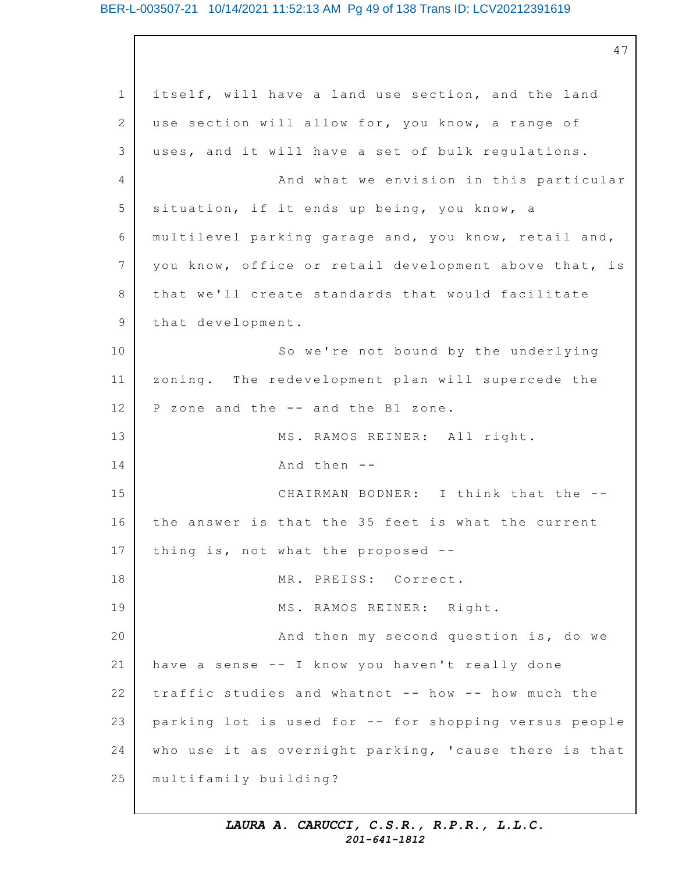#### BER-L-003507-21 10/14/2021 11:52:13 AM Pg 49 of 138 Trans ID: LCV20212391619

1 2 3 4 5 6 7 8 9 10 11 12 13 14 15 16 17 18 19 20 21 22 23 24 25 47 itself, will have a land use section, and the land use section will allow for, you know, a range of uses, and it will have a set of bulk regulations. And what we envision in this particular situation, if it ends up being, you know, a multilevel parking garage and, you know, retail and, you know, office or retail development above that, is that we'll create standards that would facilitate that development. So we're not bound by the underlying zoning. The redevelopment plan will supercede the P zone and the -- and the B1 zone. MS. RAMOS REINER: All right. And then -- CHAIRMAN BODNER: I think that the - the answer is that the 35 feet is what the current thing is, not what the proposed  $-$ -MR. PREISS: Correct. MS. RAMOS REINER: Right. And then my second question is, do we have a sense -- I know you haven't really done traffic studies and whatnot -- how -- how much the parking lot is used for -- for shopping versus people who use it as overnight parking, 'cause there is that multifamily building?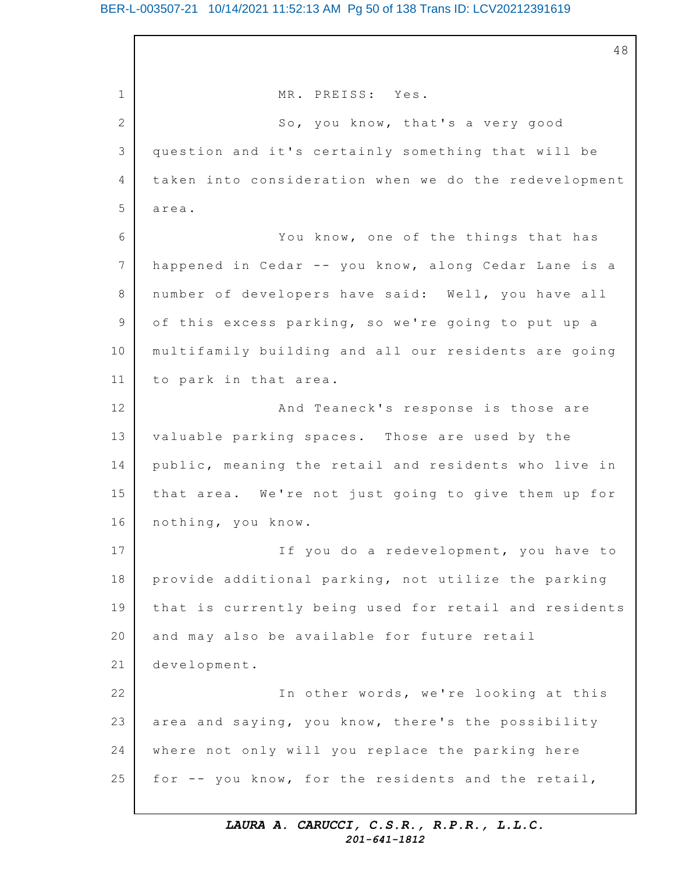#### BER-L-003507-21 10/14/2021 11:52:13 AM Pg 50 of 138 Trans ID: LCV20212391619

1 2 3 4 5 6 7 8 9 10 11 12 13 14 15 16 17 18 19 20 21 22 23 24 25 48 MR. PREISS: Yes. So, you know, that's a very good question and it's certainly something that will be taken into consideration when we do the redevelopment area. You know, one of the things that has happened in Cedar -- you know, along Cedar Lane is a number of developers have said: Well, you have all of this excess parking, so we're going to put up a multifamily building and all our residents are going to park in that area. And Teaneck's response is those are valuable parking spaces. Those are used by the public, meaning the retail and residents who live in that area. We're not just going to give them up for nothing, you know. If you do a redevelopment, you have to provide additional parking, not utilize the parking that is currently being used for retail and residents and may also be available for future retail development. In other words, we're looking at this area and saying, you know, there's the possibility where not only will you replace the parking here for -- you know, for the residents and the retail,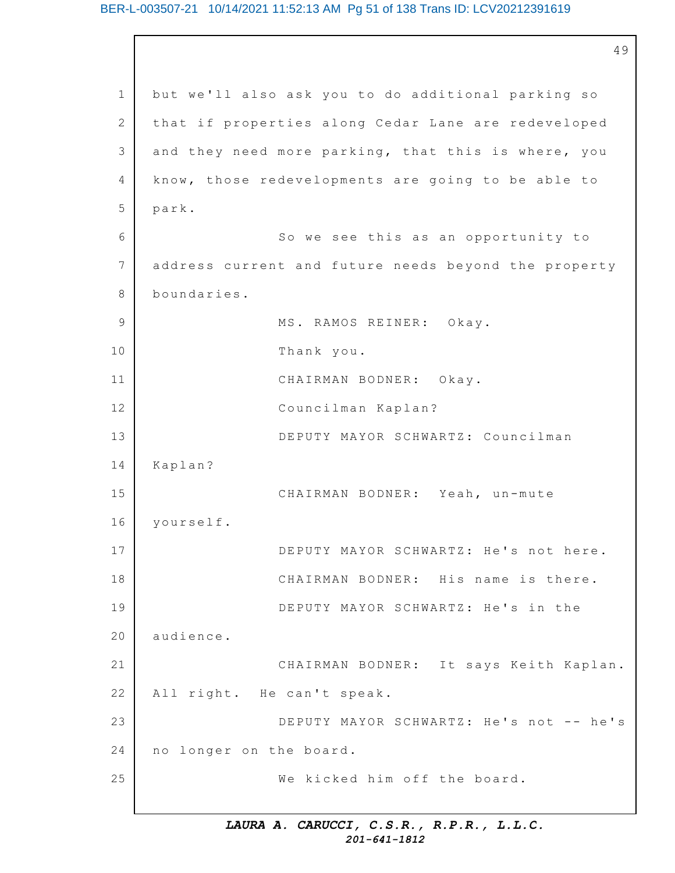#### BER-L-003507-21 10/14/2021 11:52:13 AM Pg 51 of 138 Trans ID: LCV20212391619

1 2 3 4 5 6 7 8 9 10 11 12 13 14 15 16 17 18 19 20 21 22 23 24 25 49 but we'll also ask you to do additional parking so that if properties along Cedar Lane are redeveloped and they need more parking, that this is where, you know, those redevelopments are going to be able to park. So we see this as an opportunity to address current and future needs beyond the property boundaries. MS. RAMOS REINER: Okay. Thank you. CHAIRMAN BODNER: Okay. Councilman Kaplan? DEPUTY MAYOR SCHWARTZ: Councilman Kaplan? CHAIRMAN BODNER: Yeah, un-mute yourself. DEPUTY MAYOR SCHWARTZ: He's not here. CHAIRMAN BODNER: His name is there. DEPUTY MAYOR SCHWARTZ: He's in the audience. CHAIRMAN BODNER: It says Keith Kaplan. All right. He can't speak. DEPUTY MAYOR SCHWARTZ: He's not -- he's no longer on the board. We kicked him off the board.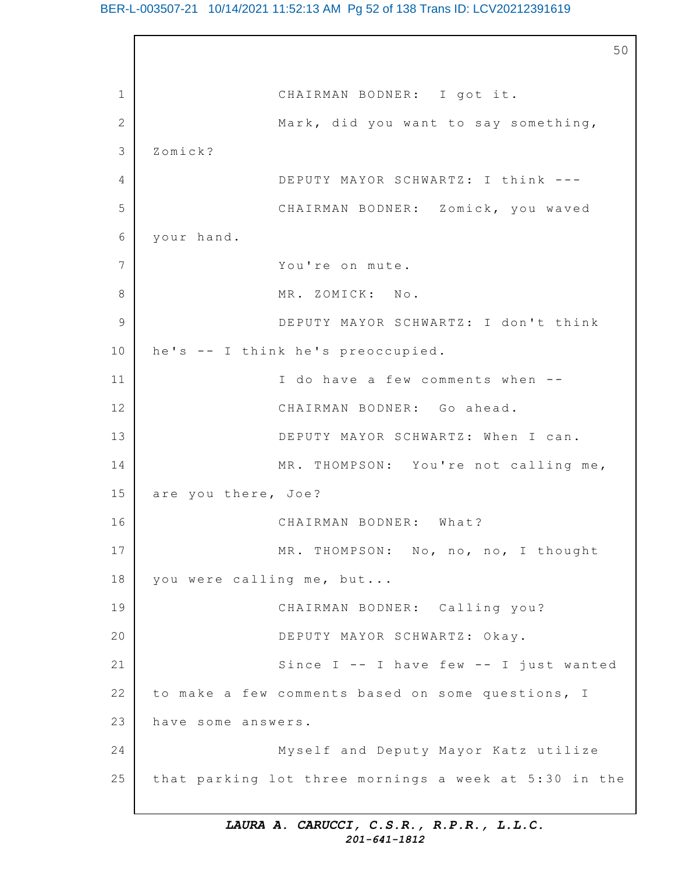#### BER-L-003507-21 10/14/2021 11:52:13 AM Pg 52 of 138 Trans ID: LCV20212391619

1 2 3 4 5 6 7 8 9 10 11 12 13 14 15 16 17 18 19 20 21 22 23 24 25 50 CHAIRMAN BODNER: I got it. Mark, did you want to say something, Zomick? DEPUTY MAYOR SCHWARTZ: I think --- CHAIRMAN BODNER: Zomick, you waved your hand. You're on mute. MR. ZOMICK: No. DEPUTY MAYOR SCHWARTZ: I don't think he's -- I think he's preoccupied. I do have a few comments when --CHAIRMAN BODNER: Go ahead. DEPUTY MAYOR SCHWARTZ: When I can. MR. THOMPSON: You're not calling me, are you there, Joe? CHAIRMAN BODNER: What? MR. THOMPSON: No, no, no, I thought you were calling me, but... CHAIRMAN BODNER: Calling you? DEPUTY MAYOR SCHWARTZ: Okay. Since  $I$  -- I have few -- I just wanted to make a few comments based on some questions, I have some answers. Myself and Deputy Mayor Katz utilize that parking lot three mornings a week at 5:30 in the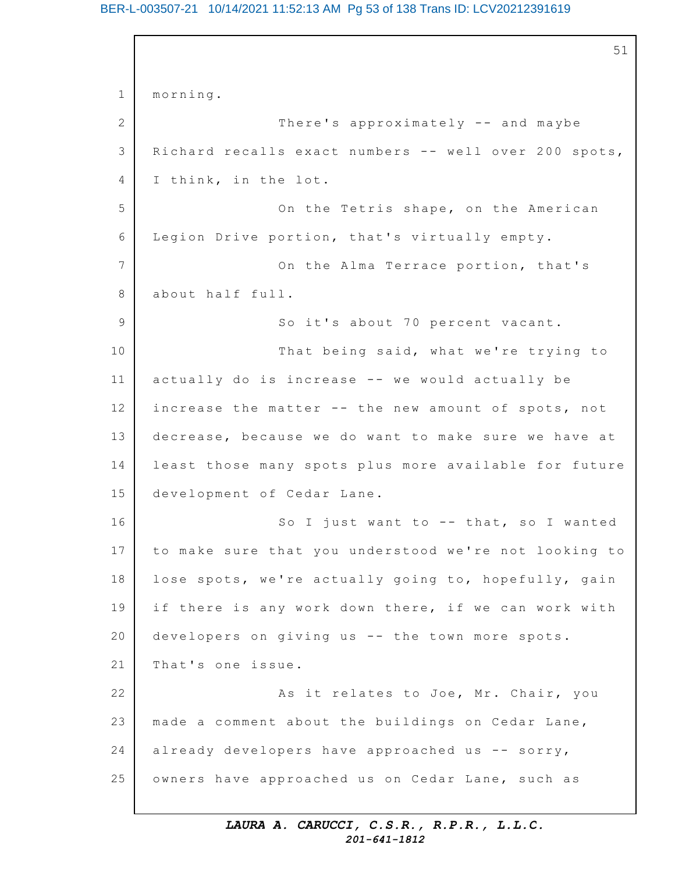#### BER-L-003507-21 10/14/2021 11:52:13 AM Pg 53 of 138 Trans ID: LCV20212391619

1 2 3 4 5 6 7 8 9 10 11 12 13 14 15 16 17 18 19 20 21 22 23 24 25 51 morning. There's approximately -- and maybe Richard recalls exact numbers -- well over 200 spots, I think, in the lot. On the Tetris shape, on the American Legion Drive portion, that's virtually empty. On the Alma Terrace portion, that's about half full. So it's about 70 percent vacant. That being said, what we're trying to actually do is increase  $-$  we would actually be increase the matter  $--$  the new amount of spots, not decrease, because we do want to make sure we have at least those many spots plus more available for future development of Cedar Lane. So I just want to  $-$ - that, so I wanted to make sure that you understood we're not looking to lose spots, we're actually going to, hopefully, gain if there is any work down there, if we can work with developers on giving us  $--$  the town more spots. That's one issue. As it relates to Joe, Mr. Chair, you made a comment about the buildings on Cedar Lane, already developers have approached us  $--$  sorry, owners have approached us on Cedar Lane, such as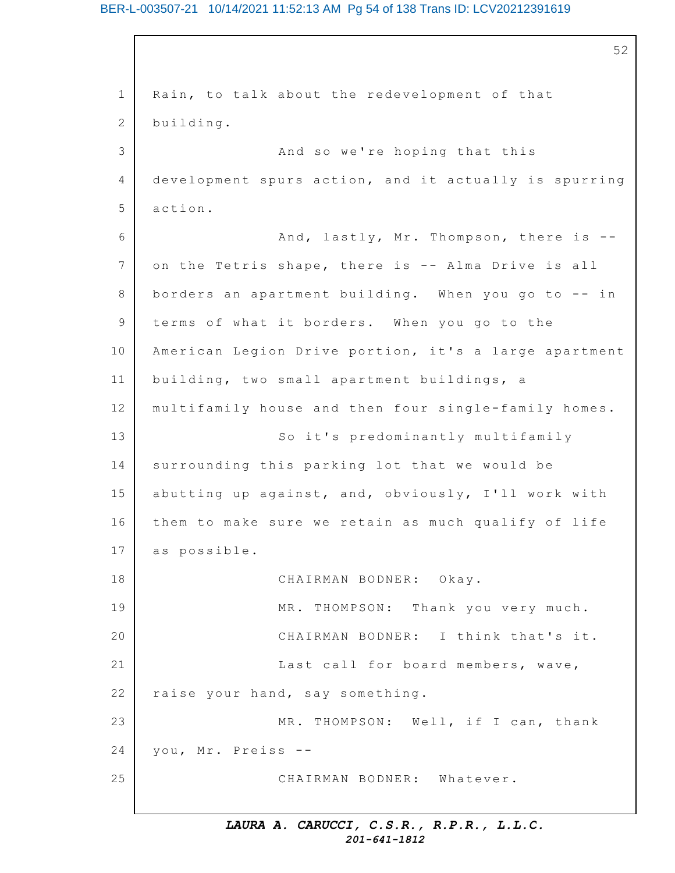#### BER-L-003507-21 10/14/2021 11:52:13 AM Pg 54 of 138 Trans ID: LCV20212391619

1 2 3 4 5 6 7 8 9 10 11 12 13 14 15 16 17 18 19 20 21 22 23 24 25 52 Rain, to talk about the redevelopment of that building. And so we're hoping that this development spurs action, and it actually is spurring action. And, lastly, Mr. Thompson, there is  $-$ on the Tetris shape, there is -- Alma Drive is all borders an apartment building. When you go to  $-$ - in terms of what it borders. When you go to the American Legion Drive portion, it's a large apartment building, two small apartment buildings, a multifamily house and then four single-family homes. So it's predominantly multifamily surrounding this parking lot that we would be abutting up against, and, obviously, I'll work with them to make sure we retain as much qualify of life as possible. CHAIRMAN BODNER: Okay. MR. THOMPSON: Thank you very much. CHAIRMAN BODNER: I think that's it. Last call for board members, wave, raise your hand, say something. MR. THOMPSON: Well, if I can, thank you, Mr. Preiss --CHAIRMAN BODNER: Whatever.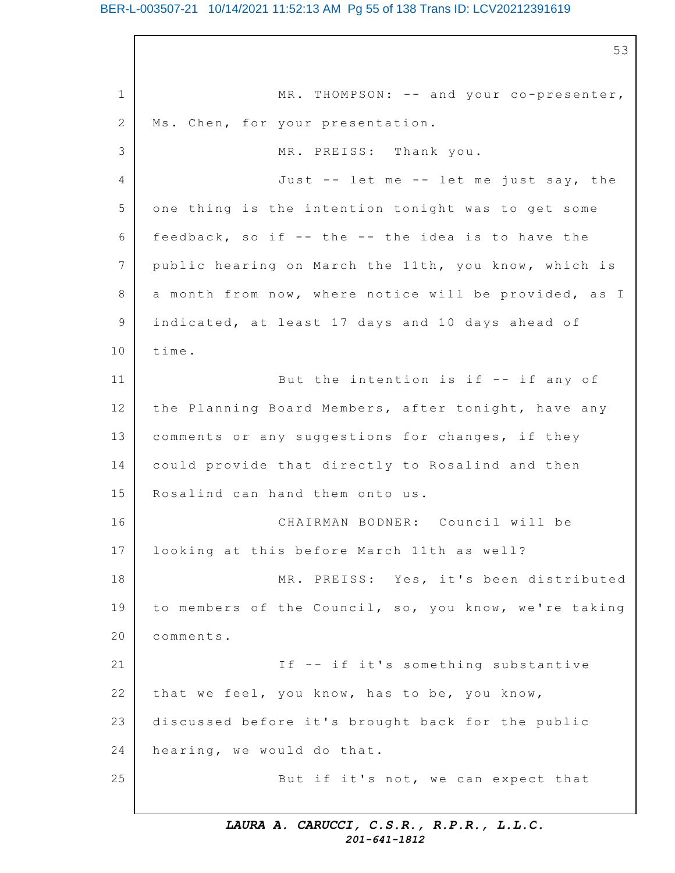#### BER-L-003507-21 10/14/2021 11:52:13 AM Pg 55 of 138 Trans ID: LCV20212391619

1 2 3 4 5 6 7 8 9 10 11 12 13 14 15 16 17 18 19 20 21 22 23 24 25 53  $MR. THOMPSON: -- and your co-presenter,$ Ms. Chen, for your presentation. MR. PREISS: Thank you. Just  $-$ - let me  $-$ - let me just say, the one thing is the intention tonight was to get some feedback, so if  $-$  the  $-$  the idea is to have the public hearing on March the 11th, you know, which is a month from now, where notice will be provided, as I indicated, at least 17 days and 10 days ahead of time. But the intention is if  $-$ - if any of the Planning Board Members, after tonight, have any comments or any suggestions for changes, if they could provide that directly to Rosalind and then Rosalind can hand them onto us. CHAIRMAN BODNER: Council will be looking at this before March 11th as well? MR. PREISS: Yes, it's been distributed to members of the Council, so, you know, we're taking comments. If -- if it's something substantive that we feel, you know, has to be, you know, discussed before it's brought back for the public hearing, we would do that. But if it's not, we can expect that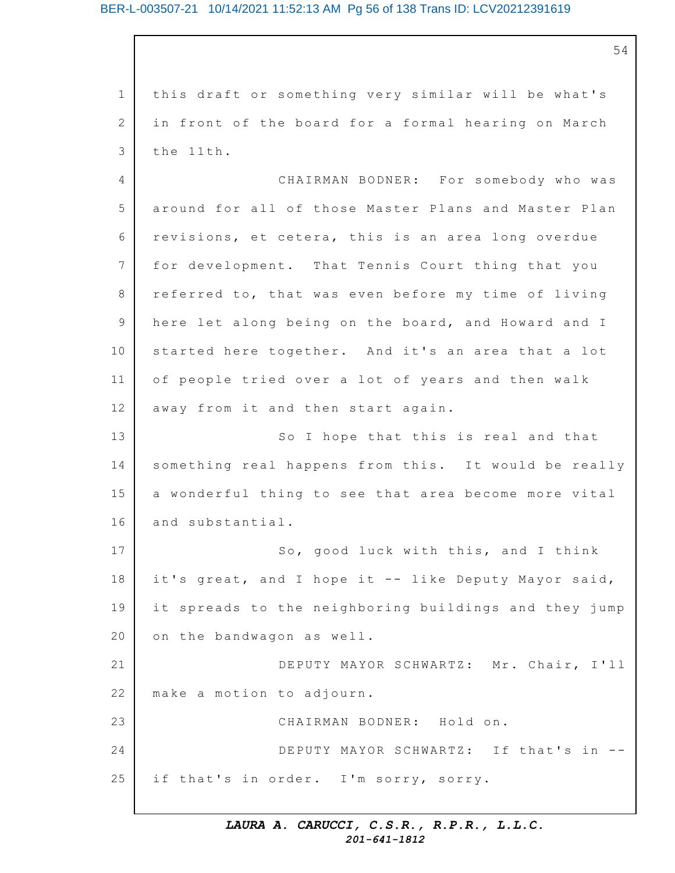1 2 3 this draft or something very similar will be what's in front of the board for a formal hearing on March the 11th.

 $\Delta$ 5 6 7 8 9 10 11 12 13 14 15 16 17 18 19 20 21 22 23 24 25 CHAIRMAN BODNER: For somebody who was around for all of those Master Plans and Master Plan revisions, et cetera, this is an area long overdue for development. That Tennis Court thing that you referred to, that was even before my time of living here let along being on the board, and Howard and I started here together. And it's an area that a lot of people tried over a lot of years and then walk away from it and then start again. So I hope that this is real and that something real happens from this. It would be really a wonderful thing to see that area become more vital and substantial. So, good luck with this, and I think it's great, and I hope it -- like Deputy Mayor said, it spreads to the neighboring buildings and they jump on the bandwagon as well. DEPUTY MAYOR SCHWARTZ: Mr. Chair, I'll make a motion to adjourn. CHAIRMAN BODNER: Hold on. DEPUTY MAYOR SCHWARTZ: If that's in -if that's in order. I'm sorry, sorry.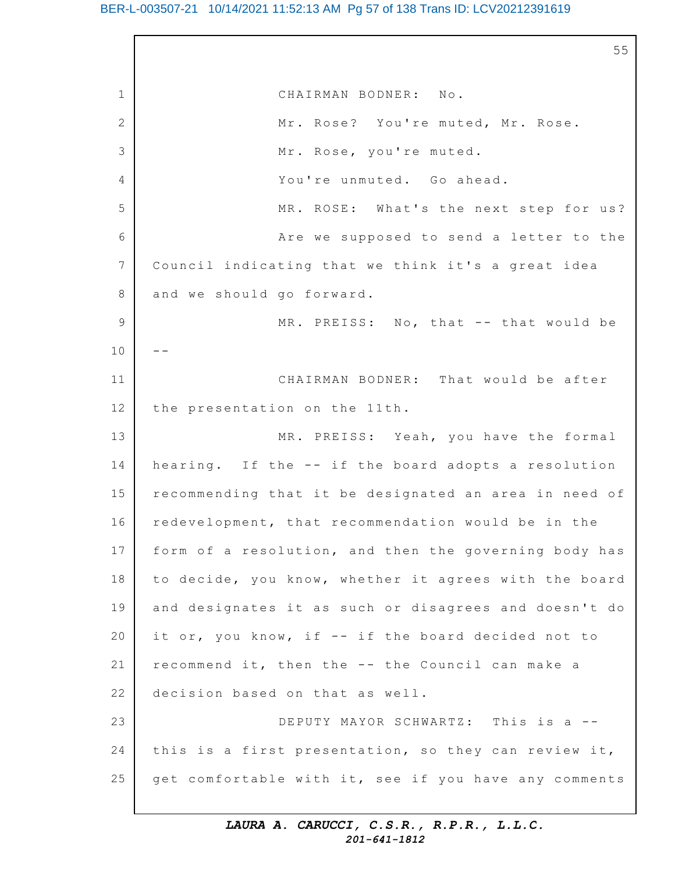#### BER-L-003507-21 10/14/2021 11:52:13 AM Pg 57 of 138 Trans ID: LCV20212391619

1 2 3  $\Delta$ 5 6 7 8 9 10 11 12 13 14 15 16 17 18 19 20 21 22 23 24 25 55 CHAIRMAN BODNER: No. Mr. Rose? You're muted, Mr. Rose. Mr. Rose, you're muted. You're unmuted. Go ahead. MR. ROSE: What's the next step for us? Are we supposed to send a letter to the Council indicating that we think it's a great idea and we should go forward. MR. PREISS: No, that -- that would be  $-$ CHAIRMAN BODNER: That would be after the presentation on the 11th. MR. PREISS: Yeah, you have the formal hearing. If the  $--$  if the board adopts a resolution recommending that it be designated an area in need of redevelopment, that recommendation would be in the form of a resolution, and then the governing body has to decide, you know, whether it agrees with the board and designates it as such or disagrees and doesn't do it or, you know, if  $--$  if the board decided not to recommend it, then the -- the Council can make a decision based on that as well. DEPUTY MAYOR SCHWARTZ: This is a -this is a first presentation, so they can review it, get comfortable with it, see if you have any comments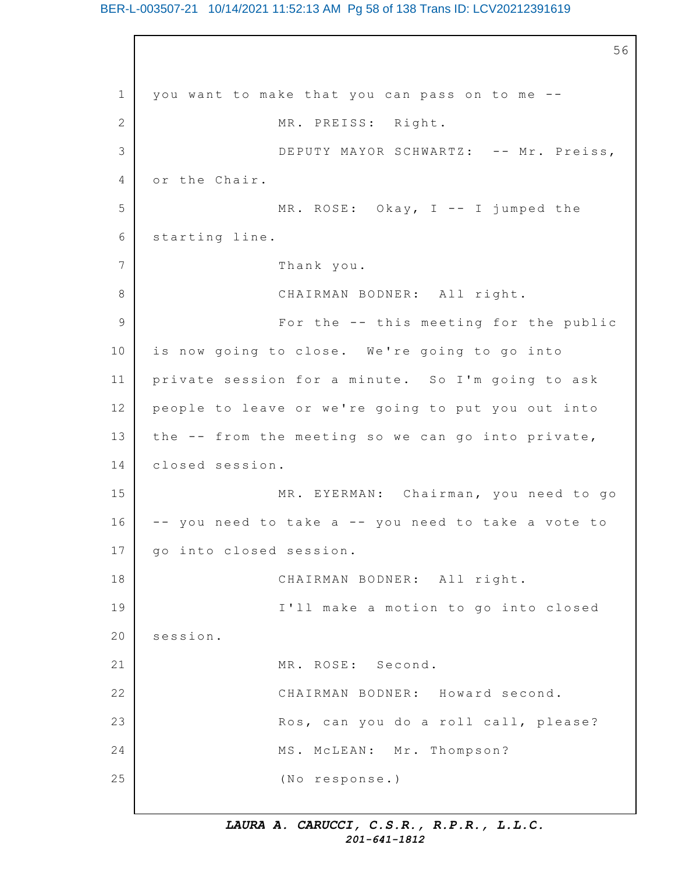#### BER-L-003507-21 10/14/2021 11:52:13 AM Pg 58 of 138 Trans ID: LCV20212391619

1 2 3 4 5 6 7 8 9 10 11 12 13 14 15 16 17 18 19 20 21 22 23 24 25 56 you want to make that you can pass on to me --MR. PREISS: Right. DEPUTY MAYOR SCHWARTZ: -- Mr. Preiss, or the Chair. MR. ROSE: Okay,  $I$  -- I jumped the starting line. Thank you. CHAIRMAN BODNER: All right. For the -- this meeting for the public is now going to close. We're going to go into private session for a minute. So I'm going to ask people to leave or we're going to put you out into the  $--$  from the meeting so we can go into private, closed session. MR. EYERMAN: Chairman, you need to go -- you need to take a -- you need to take a vote to go into closed session. CHAIRMAN BODNER: All right. I'll make a motion to go into closed session. MR. ROSE: Second. CHAIRMAN BODNER: Howard second. Ros, can you do a roll call, please? MS. McLEAN: Mr. Thompson? (No response.)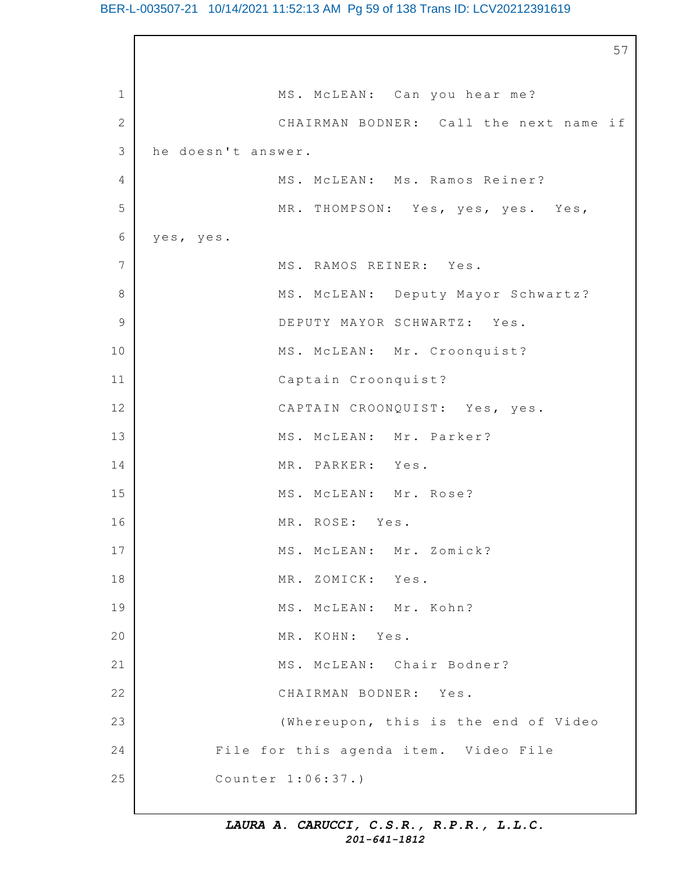#### BER-L-003507-21 10/14/2021 11:52:13 AM Pg 59 of 138 Trans ID: LCV20212391619

1 2 3 4 5 6 7 8 9 10 11 12 13 14 15 16 17 18 19 20 21 22 23 24 25 57 MS. McLEAN: Can you hear me? CHAIRMAN BODNER: Call the next name if he doesn't answer. MS. McLEAN: Ms. Ramos Reiner? MR. THOMPSON: Yes, yes, yes. Yes, yes, yes. MS. RAMOS REINER: Yes. MS. McLEAN: Deputy Mayor Schwartz? DEPUTY MAYOR SCHWARTZ: Yes. MS. McLEAN: Mr. Croonquist? Captain Croonquist? CAPTAIN CROONQUIST: Yes, yes. MS. McLEAN: Mr. Parker? MR. PARKER: Yes. MS. McLEAN: Mr. Rose? MR. ROSE: Yes. MS. McLEAN: Mr. Zomick? MR. ZOMICK: Yes. MS. MCLEAN: Mr. Kohn? MR. KOHN: Yes. MS. McLEAN: Chair Bodner? CHAIRMAN BODNER: Yes. (Whereupon, this is the end of Video File for this agenda item. Video File Counter 1:06:37.)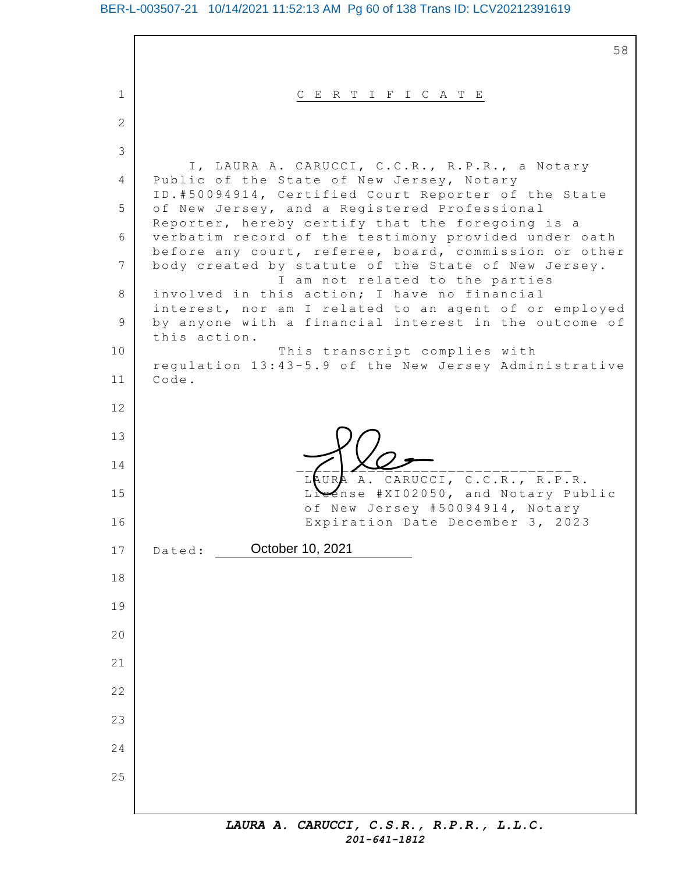## BER-L-003507-21 10/14/2021 11:52:13 AM Pg 60 of 138 Trans ID: LCV20212391619

1 2 3 4 5 6 7 8 9 10 11 12 13 14 15 16 17 18 19 20 21 22 23 24 25 58 C E R T I F I C A T E I, LAURA A. CARUCCI, C.C.R., R.P.R., a Notary Public of the State of New Jersey, Notary ID.#50094914, Certified Court Reporter of the State of New Jersey, and a Registered Professional Reporter, hereby certify that the foregoing is a verbatim record of the testimony provided under oath before any court, referee, board, commission or other body created by statute of the State of New Jersey. I am not related to the parties involved in this action; I have no financial interest, nor am I related to an agent of or employed by anyone with a financial interest in the outcome of this action. This transcript complies with regulation 13:43-5.9 of the New Jersey Administrative Code. \_\_\_\_\_\_\_\_\_\_\_\_\_\_\_\_\_\_\_\_\_\_\_\_\_\_\_\_\_\_\_ CARUCCI, C.C.R., R.P.R. ense #XI02050, and Notary Public of New Jersey #50094914, Notary Expiration Date December 3, 2023 Dated: **October 10, 2021**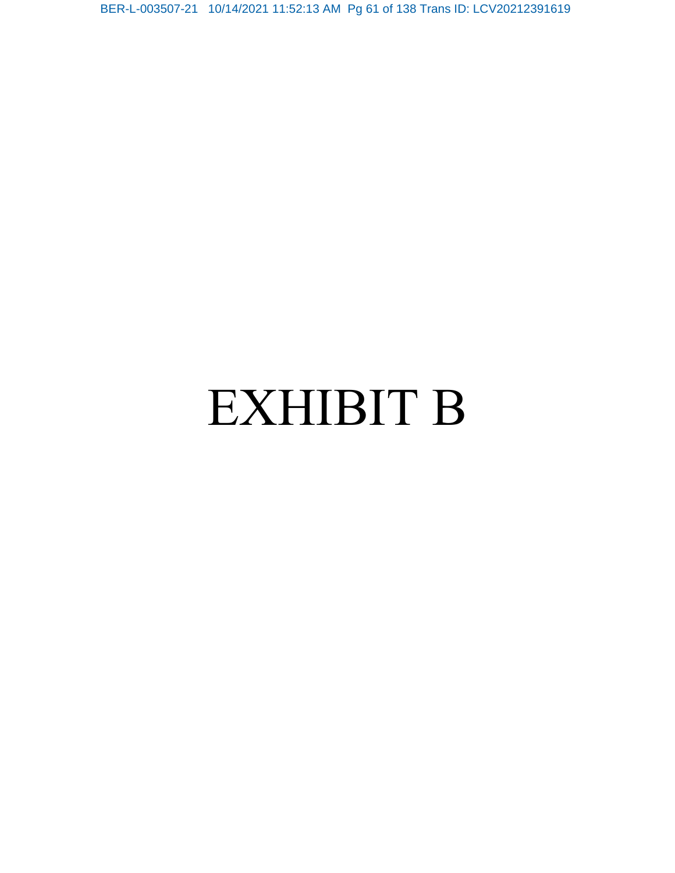BER-L-003507-21 10/14/2021 11:52:13 AM Pg 61 of 138 Trans ID: LCV20212391619

# EXHIBIT B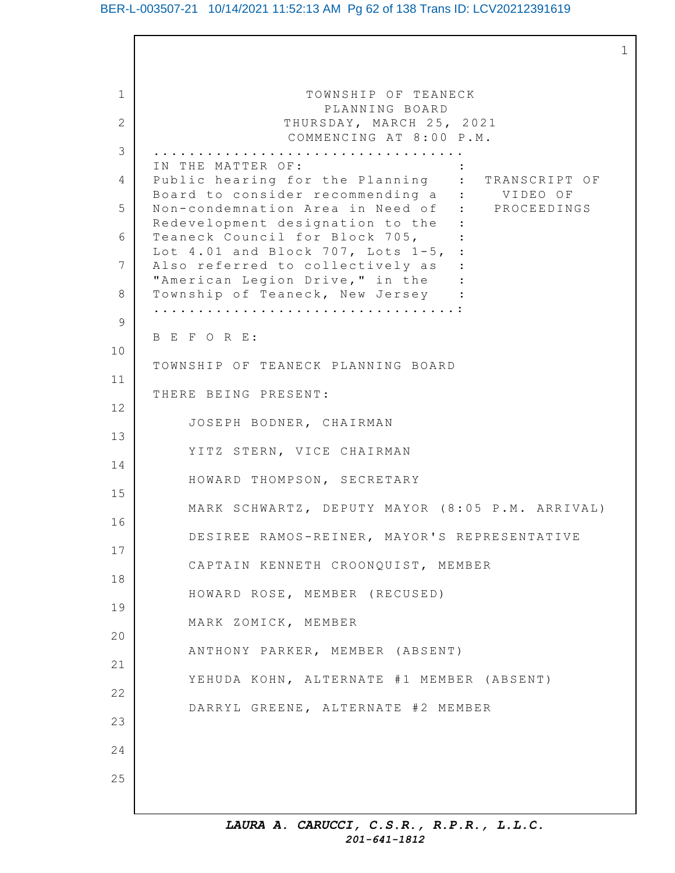#### BER-L-003507-21 10/14/2021 11:52:13 AM Pg 62 of 138 Trans ID: LCV20212391619

1

1 2 3 4 5 6 7 8 9 10 11 12 13 14 15 16 17 18 19 20 21 22 23 24 25 TOWNSHIP OF TEANECK PLANNING BOARD THURSDAY, MARCH 25, 2021 COMMENCING AT 8:00 P.M. ................................... IN THE MATTER OF: Public hearing for the Planning : TRANSCRIPT OF Board to consider recommending a : VIDEO OF Non-condemnation Area in Need of : PROCEEDINGS Redevelopment designation to the : Teaneck Council for Block 705, Lot  $4.01$  and Block 707, Lots  $1-5$ , : Also referred to collectively as : "American Legion Drive," in the : Township of Teaneck, New Jersey : ..................................: B E F O R E: TOWNSHIP OF TEANECK PLANNING BOARD THERE BEING PRESENT: JOSEPH BODNER, CHAIRMAN YITZ STERN, VICE CHAIRMAN HOWARD THOMPSON, SECRETARY MARK SCHWARTZ, DEPUTY MAYOR (8:05 P.M. ARRIVAL) DESIREE RAMOS-REINER, MAYOR'S REPRESENTATIVE CAPTAIN KENNETH CROONQUIST, MEMBER HOWARD ROSE, MEMBER (RECUSED) MARK ZOMICK, MEMBER ANTHONY PARKER, MEMBER (ABSENT) YEHUDA KOHN, ALTERNATE #1 MEMBER (ABSENT) DARRYL GREENE, ALTERNATE #2 MEMBER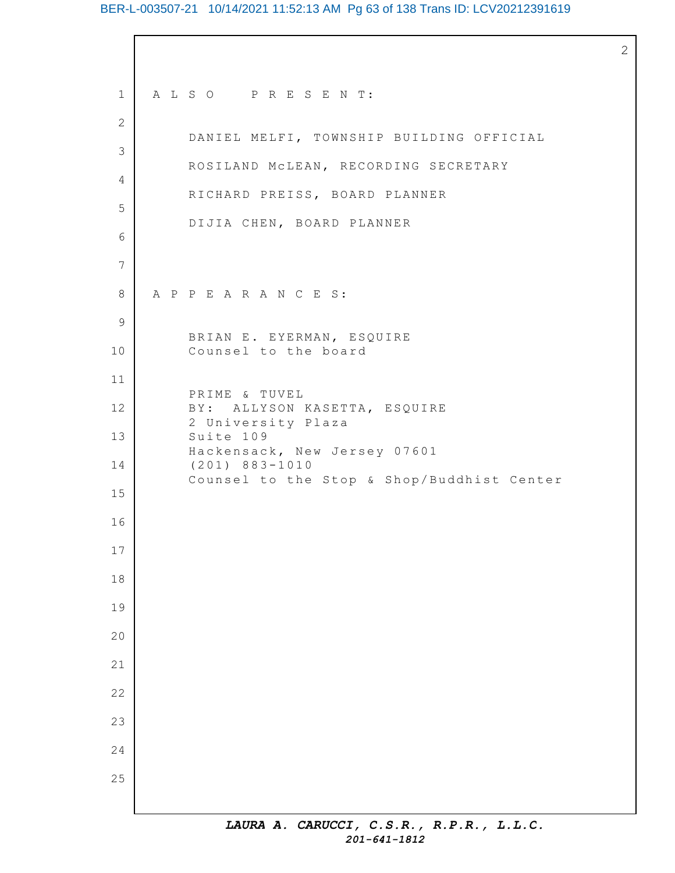## BER-L-003507-21 10/14/2021 11:52:13 AM Pg 63 of 138 Trans ID: LCV20212391619

 A L S O P R E S E N T: DANIEL MELFI, TOWNSHIP BUILDING OFFICIAL ROSILAND McLEAN, RECORDING SECRETARY RICHARD PREISS, BOARD PLANNER DIJIA CHEN, BOARD PLANNER A P P E A R A N C E S: BRIAN E. EYERMAN, ESQUIRE Counsel to the board PRIME & TUVEL B Y: ALLYSON KASETTA, ESQUIRE University Plaza Suite 109 Hackensack, New Jersey 07601 (201) 883-1010 Counsel to the Stop & Shop/Buddhist Center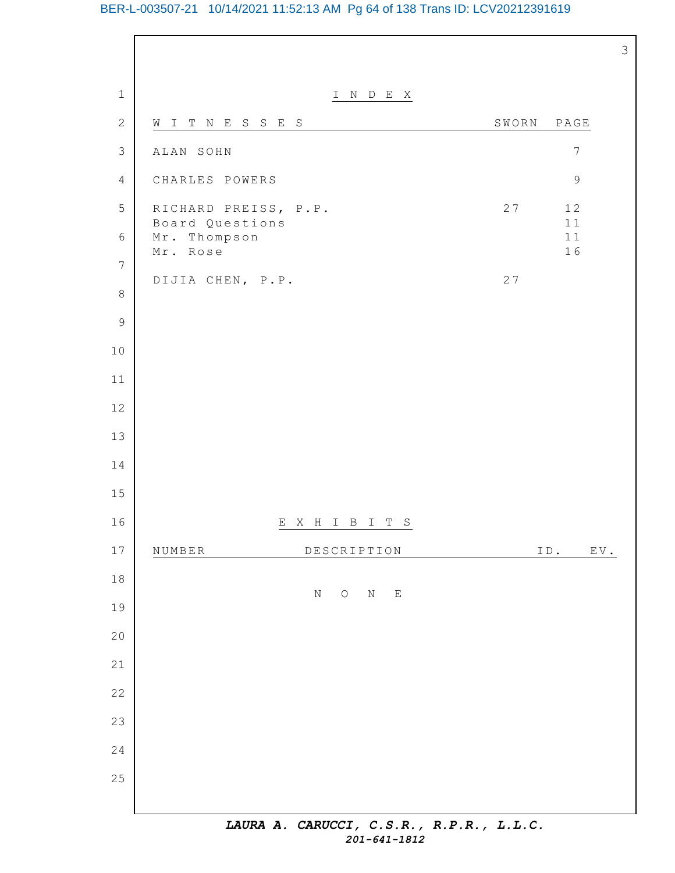# BER-L-003507-21 10/14/2021 11:52:13 AM Pg 64 of 138 Trans ID: LCV20212391619

| $\mathbf 1$    | I N D E X                                                      |       |                                                  |
|----------------|----------------------------------------------------------------|-------|--------------------------------------------------|
| $\sqrt{2}$     | WITNESSES                                                      | SWORN | $\mathbb{P}\,\mathbb{A}\,\mathbb{G}\,\mathbb{E}$ |
| $\mathfrak{Z}$ | ALAN SOHN                                                      |       | $\overline{7}$                                   |
| $\overline{4}$ | CHARLES POWERS                                                 |       | $\mathfrak{g}$                                   |
| 5              | RICHARD PREISS, P.P.                                           | 27    | 12                                               |
| $\sqrt{6}$     | Board Questions<br>Mr. Thompson                                |       | 11<br>11                                         |
| $\overline{7}$ | Mr. Rose                                                       |       | 16                                               |
| $\,8\,$        | DIJIA CHEN, P.P.                                               | 27    |                                                  |
| $\mathcal{G}$  |                                                                |       |                                                  |
| $10$           |                                                                |       |                                                  |
| 11             |                                                                |       |                                                  |
| 12             |                                                                |       |                                                  |
| 13             |                                                                |       |                                                  |
| 14             |                                                                |       |                                                  |
| 15             |                                                                |       |                                                  |
| 16             | EXHIBITS                                                       |       |                                                  |
| $17$           | DESCRIPTION<br>NUMBER                                          |       | ID.<br>EV.                                       |
| $18\,$         | $\rm N$<br>$\bigcirc$<br>$\mathbf N$<br>$\mathop{}\mathcal{E}$ |       |                                                  |
| 19             |                                                                |       |                                                  |
| 20             |                                                                |       |                                                  |
| 21             |                                                                |       |                                                  |
| 22             |                                                                |       |                                                  |
| 23             |                                                                |       |                                                  |
| 24             |                                                                |       |                                                  |
| 25             |                                                                |       |                                                  |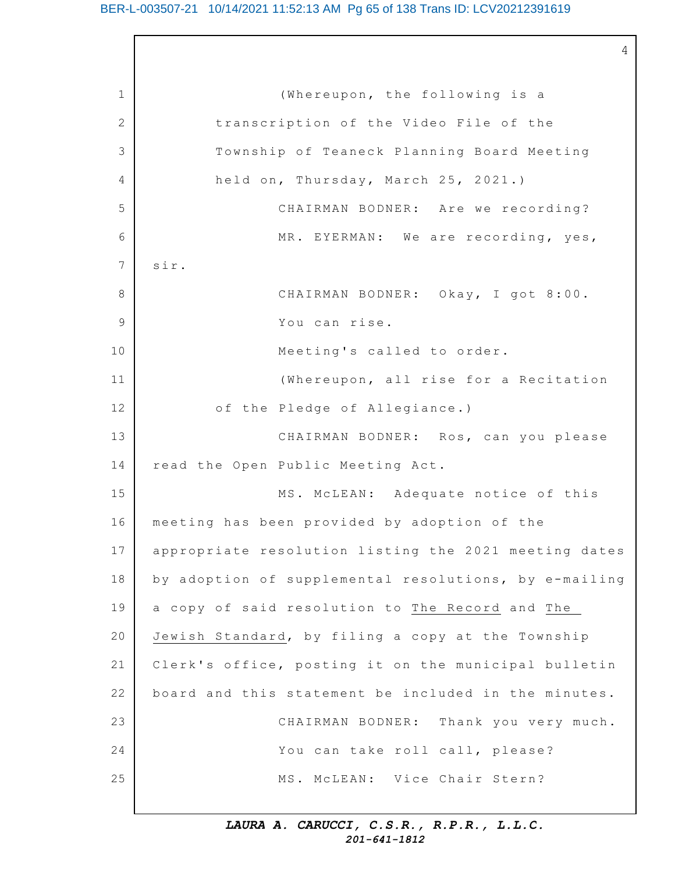#### BER-L-003507-21 10/14/2021 11:52:13 AM Pg 65 of 138 Trans ID: LCV20212391619

4

1 2 3 4 5 6 7 8 9 10 11 12 13 14 15 16 17 18 19 20 21 22 23 24 25 (Whereupon, the following is a transcription of the Video File of the Township of Teaneck Planning Board Meeting held on, Thursday, March 25, 2021.) CHAIRMAN BODNER: Are we recording? MR. EYERMAN: We are recording, yes, sir. CHAIRMAN BODNER: Okay, I got 8:00. You can rise. Meeting's called to order. (Whereupon, all rise for a Recitation of the Pledge of Allegiance.) CHAIRMAN BODNER: Ros, can you please read the Open Public Meeting Act. MS. McLEAN: Adequate notice of this meeting has been provided by adoption of the appropriate resolution listing the 2021 meeting dates by adoption of supplemental resolutions, by e-mailing a copy of said resolution to The Record and The Jewish Standard, by filing a copy at the Township Clerk's office, posting it on the municipal bulletin board and this statement be included in the minutes. CHAIRMAN BODNER: Thank you very much. You can take roll call, please? MS. McLEAN: Vice Chair Stern?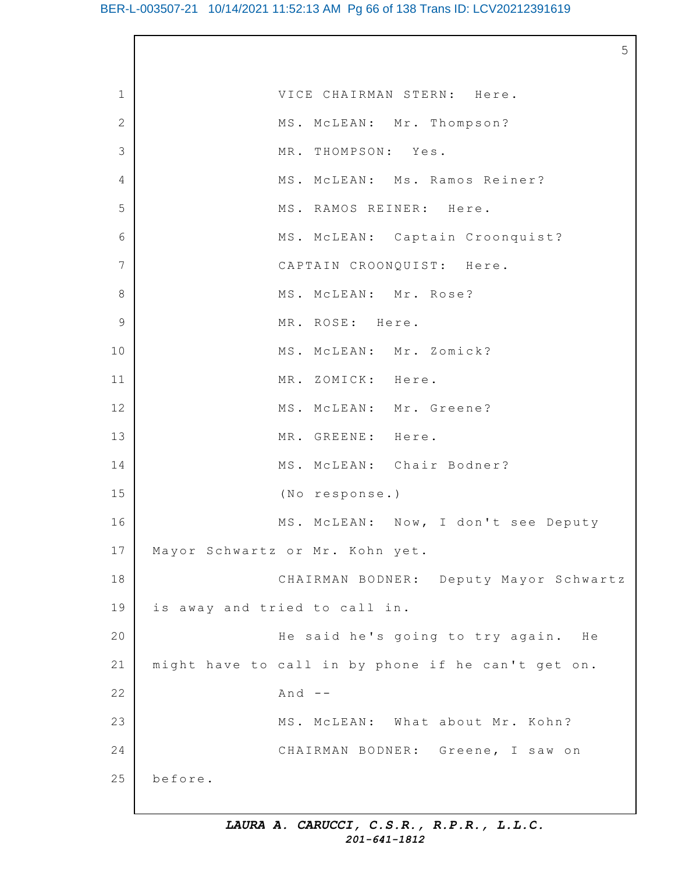5

| $\mathbf 1$     | VICE CHAIRMAN STERN: Here.                         |
|-----------------|----------------------------------------------------|
| 2               | MS. MCLEAN: Mr. Thompson?                          |
| 3               | MR. THOMPSON: Yes.                                 |
| 4               | MS. MCLEAN: Ms. Ramos Reiner?                      |
| 5               | MS. RAMOS REINER: Here.                            |
| 6               | MS. MCLEAN: Captain Croonquist?                    |
| $7\phantom{.0}$ | CAPTAIN CROONQUIST: Here.                          |
| $\,8\,$         | MS. MCLEAN: Mr. Rose?                              |
| $\overline{9}$  | MR. ROSE: Here.                                    |
| 10              | MS. MCLEAN: Mr. Zomick?                            |
| 11              | MR. ZOMICK: Here.                                  |
| 12              | MS. MCLEAN: Mr. Greene?                            |
| 13              | MR. GREENE: Here.                                  |
| 14              | MS. MCLEAN: Chair Bodner?                          |
| 15              | (No response.)                                     |
| 16              | MS. MCLEAN: Now, I don't see Deputy                |
| 17              | Mayor Schwartz or Mr. Kohn yet.                    |
| 18              | CHAIRMAN BODNER: Deputy Mayor Schwartz             |
| 19              | is away and tried to call in.                      |
| 20              | He said he's going to try again. He                |
| 21              | might have to call in by phone if he can't get on. |
| 22              | And $--$                                           |
| 23              | MS. MCLEAN: What about Mr. Kohn?                   |
| 24              | CHAIRMAN BODNER: Greene, I saw on                  |
| 25              | before.                                            |
|                 |                                                    |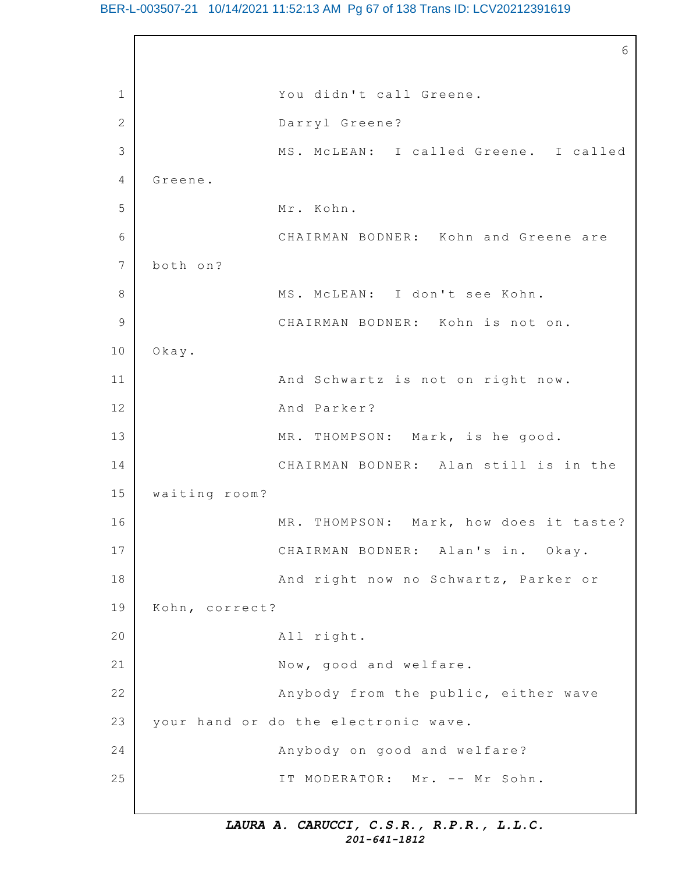#### BER-L-003507-21 10/14/2021 11:52:13 AM Pg 67 of 138 Trans ID: LCV20212391619

1 2 3 4 5 6 7 8 9 10 11 12 13 14 15 16 17 18 19 20 21 22 23 24 25 6 You didn't call Greene. Darryl Greene? MS. McLEAN: I called Greene. I called Greene. Mr. Kohn. CHAIRMAN BODNER: Kohn and Greene are both on? MS. MCLEAN: I don't see Kohn. CHAIRMAN BODNER: Kohn is not on. Okay. And Schwartz is not on right now. And Parker? MR. THOMPSON: Mark, is he good. CHAIRMAN BODNER: Alan still is in the waiting room? MR. THOMPSON: Mark, how does it taste? CHAIRMAN BODNER: Alan's in. Okay. And right now no Schwartz, Parker or Kohn, correct? All right. Now, good and welfare. Anybody from the public, either wave your hand or do the electronic wave. Anybody on good and welfare? IT MODERATOR: Mr. -- Mr Sohn.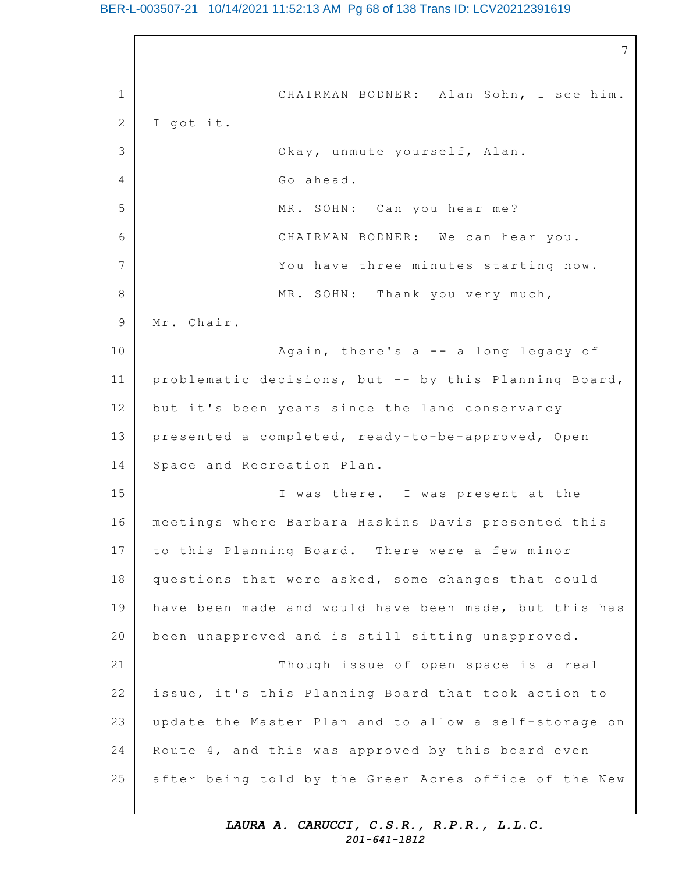#### BER-L-003507-21 10/14/2021 11:52:13 AM Pg 68 of 138 Trans ID: LCV20212391619

1 2 3 4 5 6 7 8 9 10 11 12 13 14 15 16 17 18 19 20 21 22 23 24 25 7 CHAIRMAN BODNER: Alan Sohn, I see him. I got it. Okay, unmute yourself, Alan. Go ahead. MR. SOHN: Can you hear me? CHAIRMAN BODNER: We can hear you. You have three minutes starting now. MR. SOHN: Thank you very much, Mr. Chair. Again, there's  $a - - a$  long legacy of problematic decisions, but -- by this Planning Board, but it's been years since the land conservancy presented a completed, ready-to-be-approved, Open Space and Recreation Plan. I was there. I was present at the meetings where Barbara Haskins Davis presented this to this Planning Board. There were a few minor questions that were asked, some changes that could have been made and would have been made, but this has been unapproved and is still sitting unapproved. Though issue of open space is a real issue, it's this Planning Board that took action to update the Master Plan and to allow a self-storage on Route  $4$ , and this was approved by this board even after being told by the Green Acres office of the New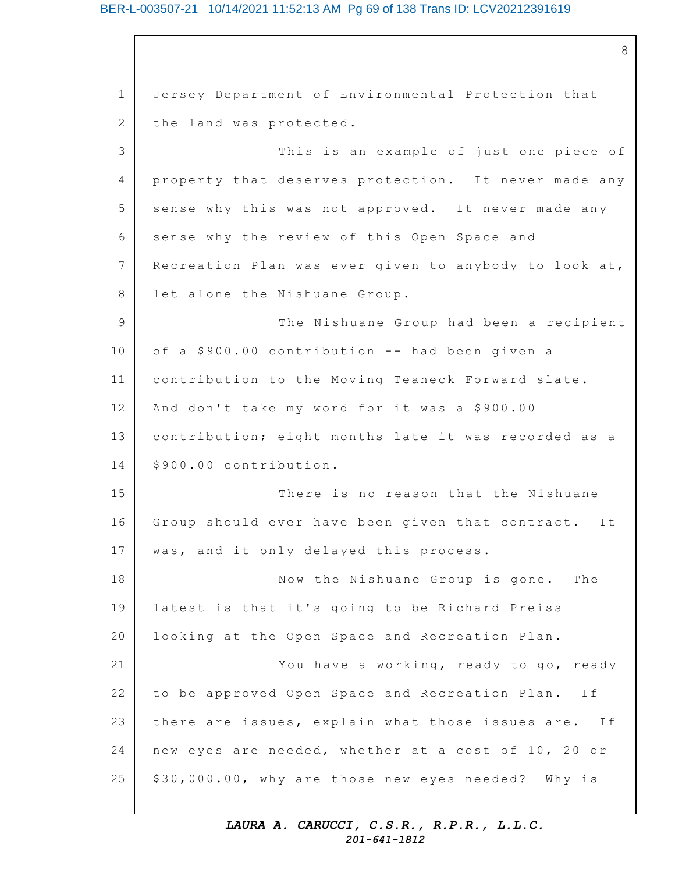#### BER-L-003507-21 10/14/2021 11:52:13 AM Pg 69 of 138 Trans ID: LCV20212391619

1 2 3 4 5 6 7 8 9 10 11 12 13 14 15 16 17 18 19 20 21 22 23 24 25 8 Jersey Department of Environmental Protection that the land was protected. This is an example of just one piece of property that deserves protection. It never made any sense why this was not approved. It never made any sense why the review of this Open Space and Recreation Plan was ever given to anybody to look at, let alone the Nishuane Group. The Nishuane Group had been a recipient of a \$900.00 contribution -- had been given a contribution to the Moving Teaneck Forward slate. And don't take my word for it was a \$900.00 contribution; eight months late it was recorded as a \$900.00 contribution. There is no reason that the Nishuane Group should ever have been given that contract. It was, and it only delayed this process. Now the Nishuane Group is gone. The latest is that it's going to be Richard Preiss looking at the Open Space and Recreation Plan. You have a working, ready to go, ready to be approved Open Space and Recreation Plan. If there are issues, explain what those issues are. If new eyes are needed, whether at a cost of 10, 20 or \$30,000.00, why are those new eyes needed? Why is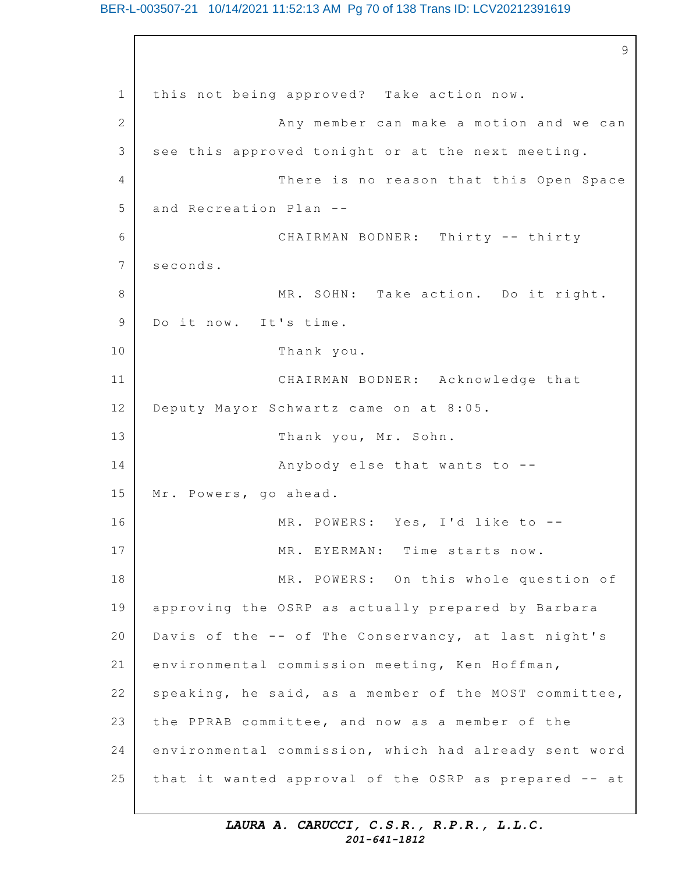#### BER-L-003507-21 10/14/2021 11:52:13 AM Pg 70 of 138 Trans ID: LCV20212391619

1 2 3 4 5 6 7 8 9 10 11 12 13 14 15 16 17 18 19 20 21 22 23 24 25 9 this not being approved? Take action now. Any member can make a motion and we can see this approved tonight or at the next meeting. There is no reason that this Open Space and Recreation Plan -- CHAIRMAN BODNER: Thirty -- thirty seconds. MR. SOHN: Take action. Do it right. Do it now. It's time. Thank you. CHAIRMAN BODNER: Acknowledge that Deputy Mayor Schwartz came on at 8:05. Thank you, Mr. Sohn. Anybody else that wants to  $-$ -Mr. Powers, go ahead. MR. POWERS: Yes, I'd like to --MR. EYERMAN: Time starts now. MR. POWERS: On this whole question of approving the OSRP as actually prepared by Barbara Davis of the -- of The Conservancy, at last night's environmental commission meeting, Ken Hoffman, speaking, he said, as a member of the MOST committee, the PPRAB committee, and now as a member of the environmental commission, which had already sent word that it wanted approval of the OSRP as prepared -- at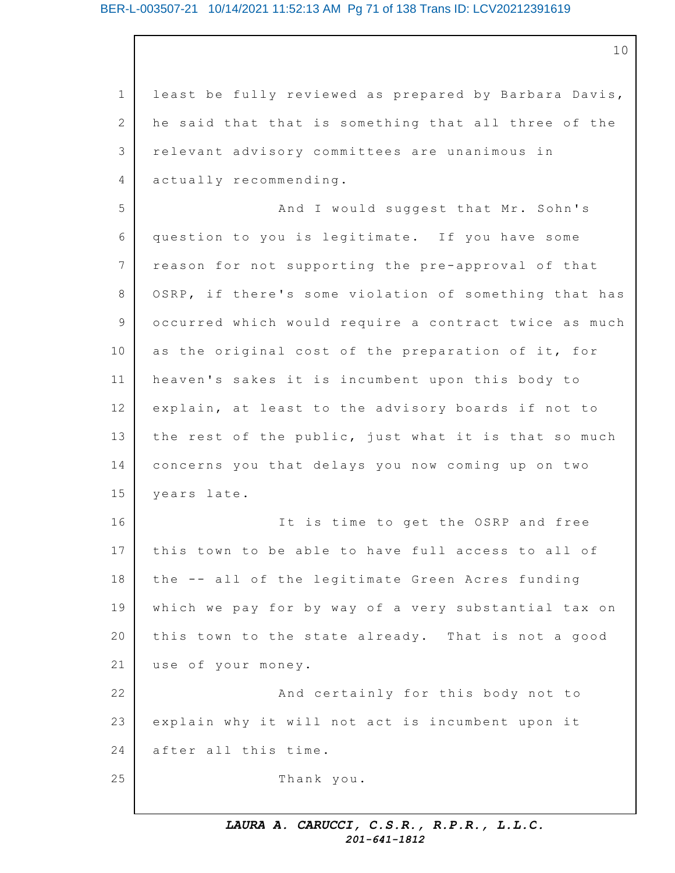#### BER-L-003507-21 10/14/2021 11:52:13 AM Pg 71 of 138 Trans ID: LCV20212391619

10

1 2 3 4 5 6 7 8 9 10 11 12 13 14 15 16 17 18 19 20 21 22 23 24 25 least be fully reviewed as prepared by Barbara Davis, he said that that is something that all three of the relevant advisory committees are unanimous in actually recommending. And I would suggest that Mr. Sohn's question to you is legitimate. If you have some reason for not supporting the pre-approval of that OSRP, if there's some violation of something that has occurred which would require a contract twice as much as the original cost of the preparation of it, for heaven's sakes it is incumbent upon this body to explain, at least to the advisory boards if not to the rest of the public, just what it is that so much concerns you that delays you now coming up on two years late. It is time to get the OSRP and free this town to be able to have full access to all of the -- all of the legitimate Green Acres funding which we pay for by way of a very substantial tax on this town to the state already. That is not a good use of your money. And certainly for this body not to explain why it will not act is incumbent upon it after all this time. Thank you.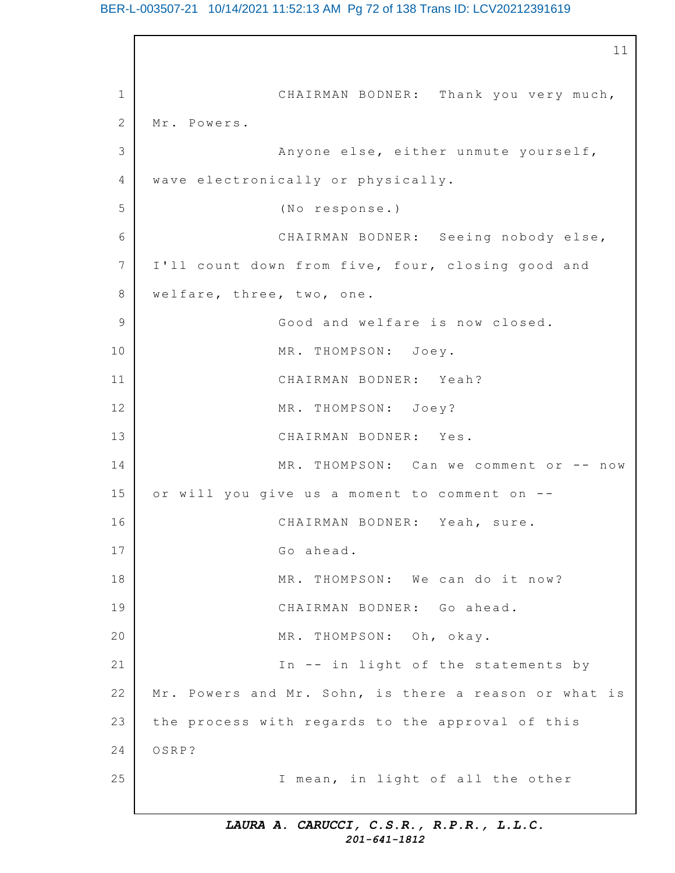#### BER-L-003507-21 10/14/2021 11:52:13 AM Pg 72 of 138 Trans ID: LCV20212391619

1 2 3 4 5 6 7 8 9 10 11 12 13 14 15 16 17 18 19 20 21 22 23 24 25 11 CHAIRMAN BODNER: Thank you very much, Mr. Powers. Anyone else, either unmute yourself, wave electronically or physically. (No response.) CHAIRMAN BODNER: Seeing nobody else, I'll count down from five, four, closing good and welfare, three, two, one. Good and welfare is now closed. MR. THOMPSON: Joey. CHAIRMAN BODNER: Yeah? MR. THOMPSON: Joey? CHAIRMAN BODNER: Yes.  $MR. THOMPSON: Can we comment or -- now$ or will you give us a moment to comment on --CHAIRMAN BODNER: Yeah, sure. Go ahead. MR. THOMPSON: We can do it now? CHAIRMAN BODNER: Go ahead. MR. THOMPSON: Oh, okay. In  $-$  in light of the statements by Mr. Powers and Mr. Sohn, is there a reason or what is the process with regards to the approval of this OSRP? I mean, in light of all the other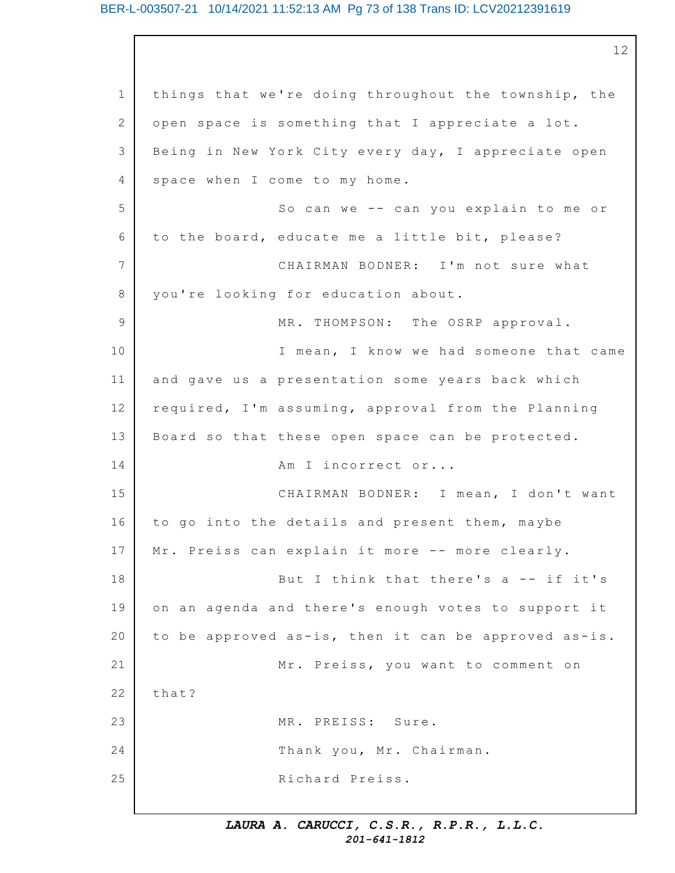#### BER-L-003507-21 10/14/2021 11:52:13 AM Pg 73 of 138 Trans ID: LCV20212391619

1 2 3 4 5 6 7 8 9 10 11 12 13 14 15 16 17 18 19 20 21 22 23 24 25 12 things that we're doing throughout the township, the open space is something that I appreciate a lot. Being in New York City every day, I appreciate open space when I come to my home. So can we  $--$  can you explain to me or to the board, educate me a little bit, please? CHAIRMAN BODNER: I'm not sure what you're looking for education about. MR. THOMPSON: The OSRP approval. I mean, I know we had someone that came and gave us a presentation some years back which required, I'm assuming, approval from the Planning Board so that these open space can be protected. Am I incorrect or... CHAIRMAN BODNER: I mean, I don't want to go into the details and present them, maybe Mr. Preiss can explain it more -- more clearly. But I think that there's  $a - - if it's$ on an agenda and there's enough votes to support it to be approved as-is, then it can be approved as-is. Mr. Preiss, you want to comment on that? MR. PREISS: Sure. Thank you, Mr. Chairman. Richard Preiss.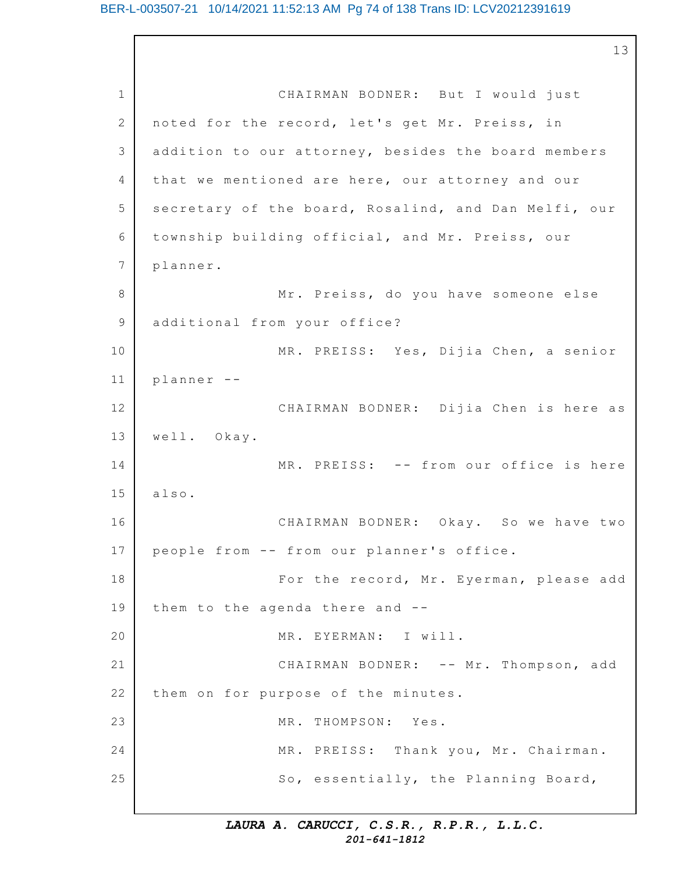1 2 3 4 5 6 7 8 9 10 11 12 13 14 15 16 17 18 19 20 21 22 23 24 25 CHAIRMAN BODNER: But I would just noted for the record, let's get Mr. Preiss, in addition to our attorney, besides the board members that we mentioned are here, our attorney and our secretary of the board, Rosalind, and Dan Melfi, our township building official, and Mr. Preiss, our planner. Mr. Preiss, do you have someone else additional from your office? MR. PREISS: Yes, Dijia Chen, a senior planner -- CHAIRMAN BODNER: Dijia Chen is here as well. Okay. MR. PREISS: -- from our office is here also. CHAIRMAN BODNER: Okay. So we have two people from -- from our planner's office. For the record, Mr. Eyerman, please add them to the agenda there and  $-$ -MR. EYERMAN: I will. CHAIRMAN BODNER: -- Mr. Thompson, add them on for purpose of the minutes. MR. THOMPSON: Yes. MR. PREISS: Thank you, Mr. Chairman. So, essentially, the Planning Board,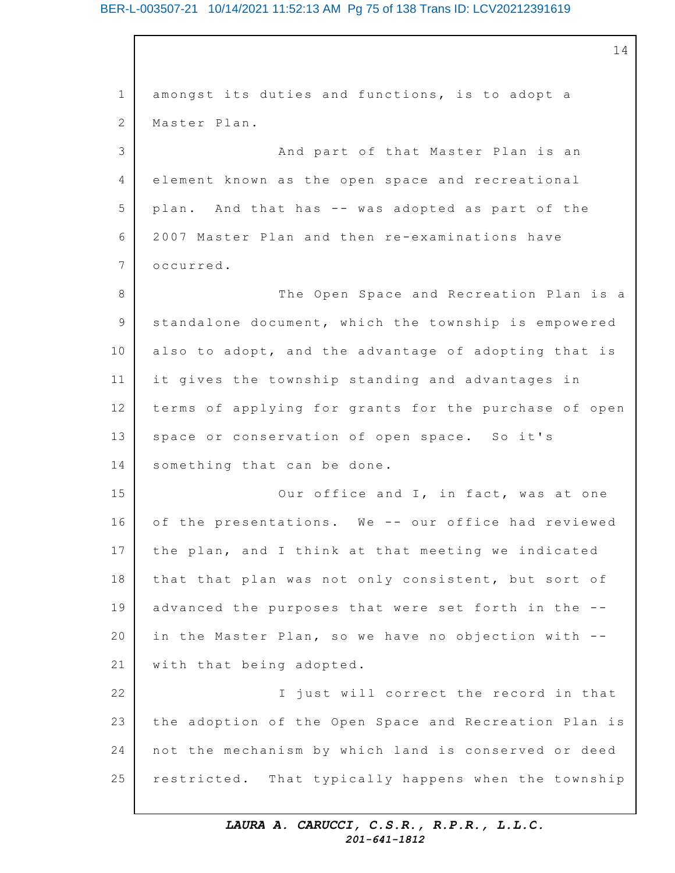### BER-L-003507-21 10/14/2021 11:52:13 AM Pg 75 of 138 Trans ID: LCV20212391619

1 2 3 4 5 6 7 8 9 10 11 12 13 14 15 16 17 18 19 20 21 22 23 24 25 14 amongst its duties and functions, is to adopt a Master Plan. And part of that Master Plan is an element known as the open space and recreational plan. And that has -- was adopted as part of the 2007 Master Plan and then re-examinations have occurred. The Open Space and Recreation Plan is a standalone document, which the township is empowered also to adopt, and the advantage of adopting that is it gives the township standing and advantages in terms of applying for grants for the purchase of open space or conservation of open space. So it's something that can be done. Our office and I, in fact, was at one of the presentations. We -- our office had reviewed the plan, and I think at that meeting we indicated that that plan was not only consistent, but sort of advanced the purposes that were set forth in the -in the Master Plan, so we have no objection with -with that being adopted. I just will correct the record in that the adoption of the Open Space and Recreation Plan is not the mechanism by which land is conserved or deed restricted. That typically happens when the township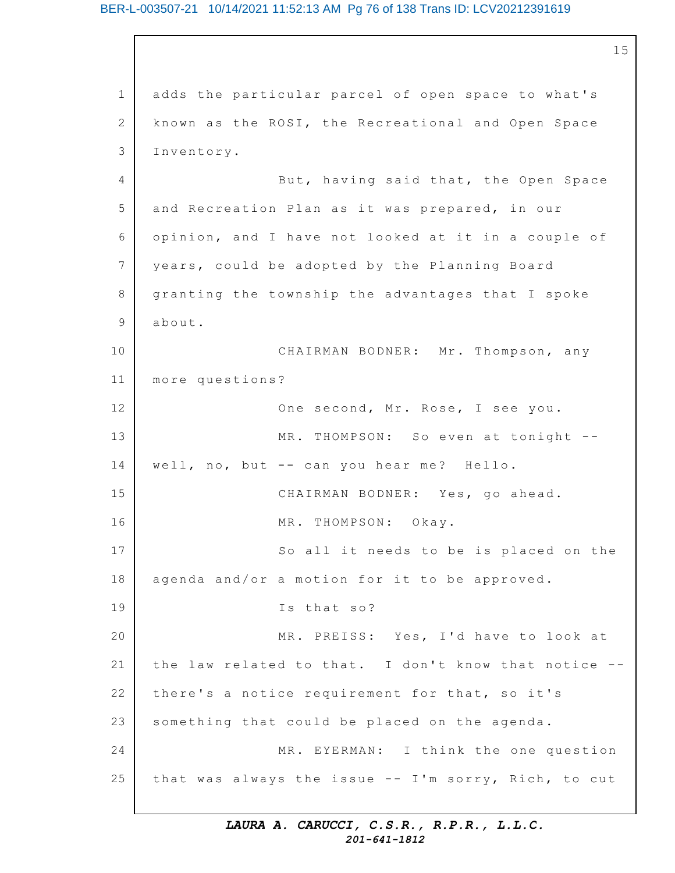1 2 3 4 5 6 7 8 9 10 11 12 13 14 15 16 17 18 19 20 21 22 23 24 25 15 adds the particular parcel of open space to what's known as the ROSI, the Recreational and Open Space Inventory. But, having said that, the Open Space and Recreation Plan as it was prepared, in our opinion, and I have not looked at it in a couple of years, could be adopted by the Planning Board granting the township the advantages that I spoke about. CHAIRMAN BODNER: Mr. Thompson, any more questions? One second, Mr. Rose, I see you. MR. THOMPSON: So even at tonight -well, no, but -- can you hear me? Hello. CHAIRMAN BODNER: Yes, go ahead. MR. THOMPSON: Okay. So all it needs to be is placed on the agenda and/or a motion for it to be approved. Is that so? MR. PREISS: Yes, I'd have to look at the law related to that. I don't know that notice -there's a notice requirement for that, so it's something that could be placed on the agenda. MR. EYERMAN: I think the one question that was always the issue -- I'm sorry, Rich, to cut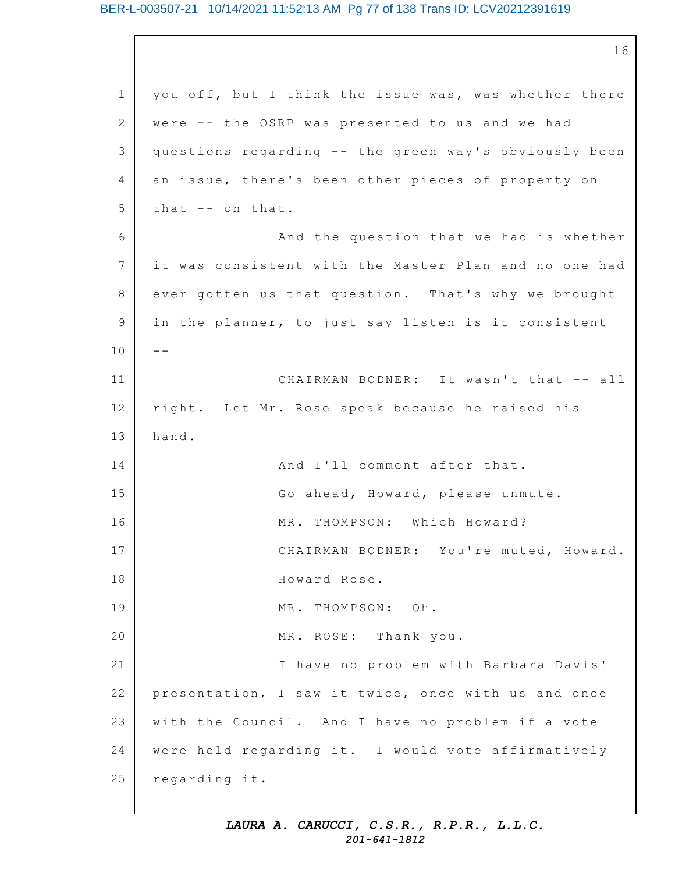#### BER-L-003507-21 10/14/2021 11:52:13 AM Pg 77 of 138 Trans ID: LCV20212391619

1 2 3 4 5 6 7 8 9 10 11 12 13 14 15 16 17 18 19 20 21 22 23 24 25 16 you off, but I think the issue was, was whether there were -- the OSRP was presented to us and we had questions regarding -- the green way's obviously been an issue, there's been other pieces of property on that  $-$  on that. And the question that we had is whether it was consistent with the Master Plan and no one had ever gotten us that question. That's why we brought in the planner, to just say listen is it consistent  $-$ CHAIRMAN BODNER: It wasn't that -- all right. Let Mr. Rose speak because he raised his hand. And I'll comment after that. Go ahead, Howard, please unmute. MR. THOMPSON: Which Howard? CHAIRMAN BODNER: You're muted, Howard. Howard Rose. MR. THOMPSON: Oh. MR. ROSE: Thank you. I have no problem with Barbara Davis' presentation, I saw it twice, once with us and once with the Council. And I have no problem if a vote were held regarding it. I would vote affirmatively regarding it.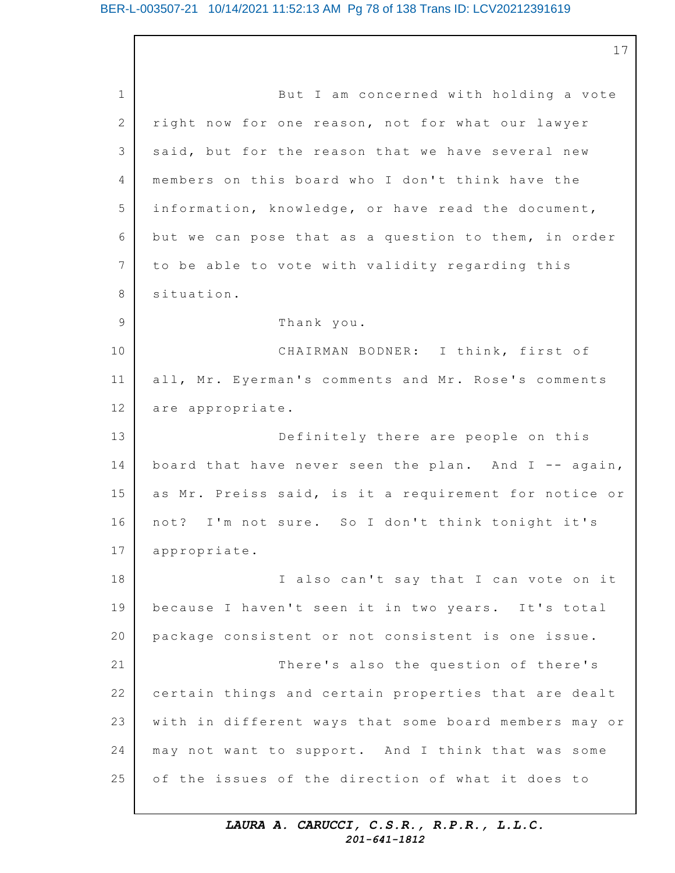1 2 3  $\Delta$ 5 6 7 8 9 10 11 12 13 14 15 16 17 18 19 20 21 22 23 24 25 17 But I am concerned with holding a vote right now for one reason, not for what our lawyer said, but for the reason that we have several new members on this board who I don't think have the information, knowledge, or have read the document, but we can pose that as a question to them, in order to be able to vote with validity regarding this situation. Thank you. CHAIRMAN BODNER: I think, first of all, Mr. Eyerman's comments and Mr. Rose's comments are appropriate. Definitely there are people on this board that have never seen the plan. And I -- again, as Mr. Preiss said, is it a requirement for notice or not? I'm not sure. So I don't think tonight it's appropriate. I also can't say that I can vote on it because I haven't seen it in two years. It's total package consistent or not consistent is one issue. There's also the question of there's certain things and certain properties that are dealt with in different ways that some board members may or may not want to support. And I think that was some of the issues of the direction of what it does to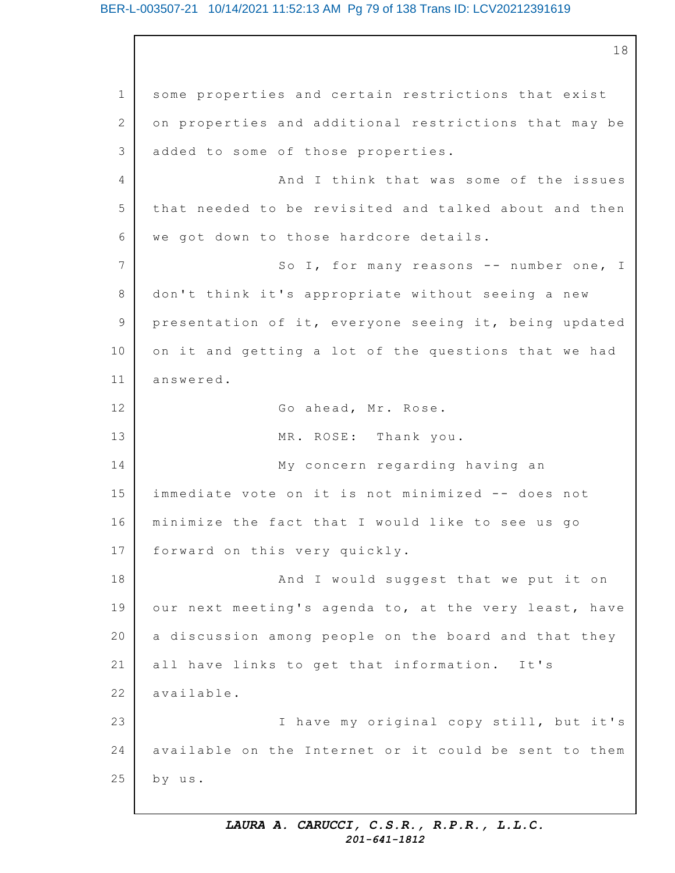#### BER-L-003507-21 10/14/2021 11:52:13 AM Pg 79 of 138 Trans ID: LCV20212391619

1 2 3 4 5 6 7 8 9 10 11 12 13 14 15 16 17 18 19 20 21 22 23 24 25 18 some properties and certain restrictions that exist on properties and additional restrictions that may be added to some of those properties. And I think that was some of the issues that needed to be revisited and talked about and then we got down to those hardcore details. So I, for many reasons -- number one, I don't think it's appropriate without seeing a new presentation of it, everyone seeing it, being updated on it and getting a lot of the questions that we had answered. Go ahead, Mr. Rose. MR. ROSE: Thank you. My concern regarding having an immediate vote on it is not minimized -- does not minimize the fact that I would like to see us go forward on this very quickly. And I would suggest that we put it on our next meeting's agenda to, at the very least, have a discussion among people on the board and that they all have links to get that information. It's available. I have my original copy still, but it's available on the Internet or it could be sent to them by us.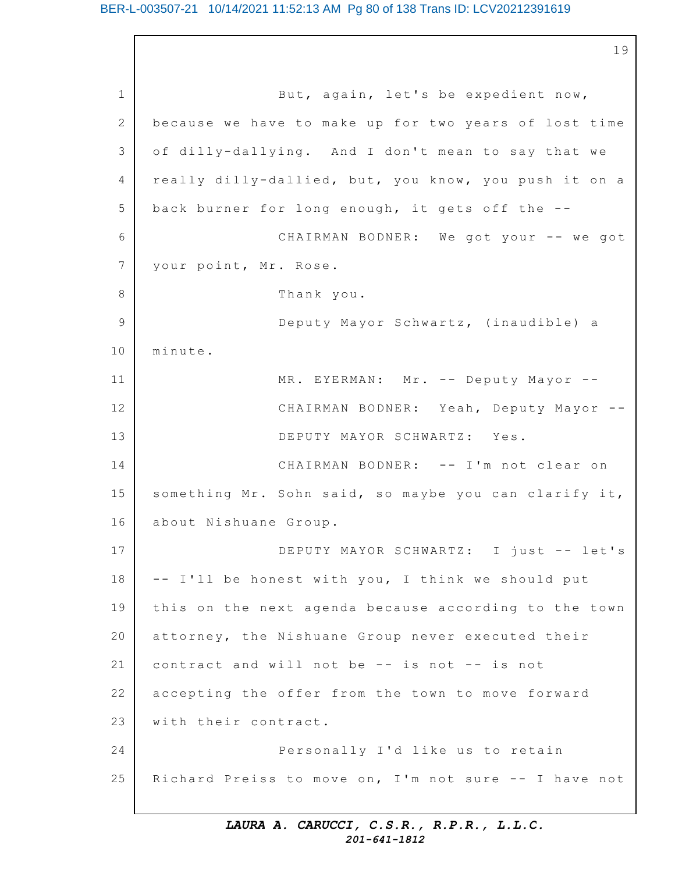1 2 3 4 5 6 7 8 9 10 11 12 13 14 15 16 17 18 19 20 21 22 23 24 25 19 But, again, let's be expedient now, because we have to make up for two years of lost time of dilly-dallying. And I don't mean to say that we really dilly-dallied, but, you know, you push it on a back burner for long enough, it gets off the  $-$ -CHAIRMAN BODNER: We got your -- we got your point, Mr. Rose. Thank you. Deputy Mayor Schwartz, (inaudible) a minute. MR. EYERMAN: Mr. -- Deputy Mayor --CHAIRMAN BODNER: Yeah, Deputy Mayor -- DEPUTY MAYOR SCHWARTZ: Yes. CHAIRMAN BODNER: -- I'm not clear on something Mr. Sohn said, so maybe you can clarify it, about Nishuane Group. DEPUTY MAYOR SCHWARTZ: I just -- let's -- I'll be honest with you, I think we should put this on the next agenda because according to the town attorney, the Nishuane Group never executed their contract and will not be  $--$  is not  $--$  is not accepting the offer from the town to move forward with their contract. Personally I'd like us to retain Richard Preiss to move on, I'm not sure  $--$  I have not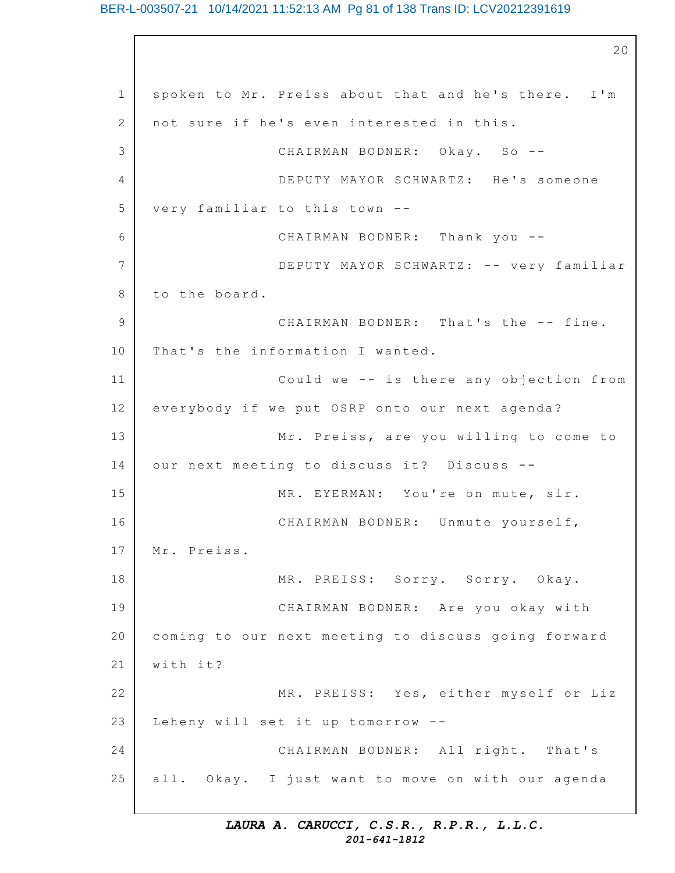#### BER-L-003507-21 10/14/2021 11:52:13 AM Pg 81 of 138 Trans ID: LCV20212391619

1 2 3 4 5 6 7 8 9 10 11 12 13 14 15 16 17 18 19 20 21 22 23 24 25 20 spoken to Mr. Preiss about that and he's there. I'm not sure if he's even interested in this. CHAIRMAN BODNER: Okay. So --DEPUTY MAYOR SCHWARTZ: He's someone very familiar to this town --CHAIRMAN BODNER: Thank you -- DEPUTY MAYOR SCHWARTZ: -- very familiar to the board. CHAIRMAN BODNER: That's the -- fine. That's the information I wanted. Could we  $-$  is there any objection from everybody if we put OSRP onto our next agenda? Mr. Preiss, are you willing to come to our next meeting to discuss it? Discuss --MR. EYERMAN: You're on mute, sir. CHAIRMAN BODNER: Unmute yourself, Mr. Preiss. MR. PREISS: Sorry. Sorry. Okay. CHAIRMAN BODNER: Are you okay with coming to our next meeting to discuss going forward with it? MR. PREISS: Yes, either myself or Liz Leheny will set it up tomorrow  $-$ -CHAIRMAN BODNER: All right. That's all. Okay. I just want to move on with our agenda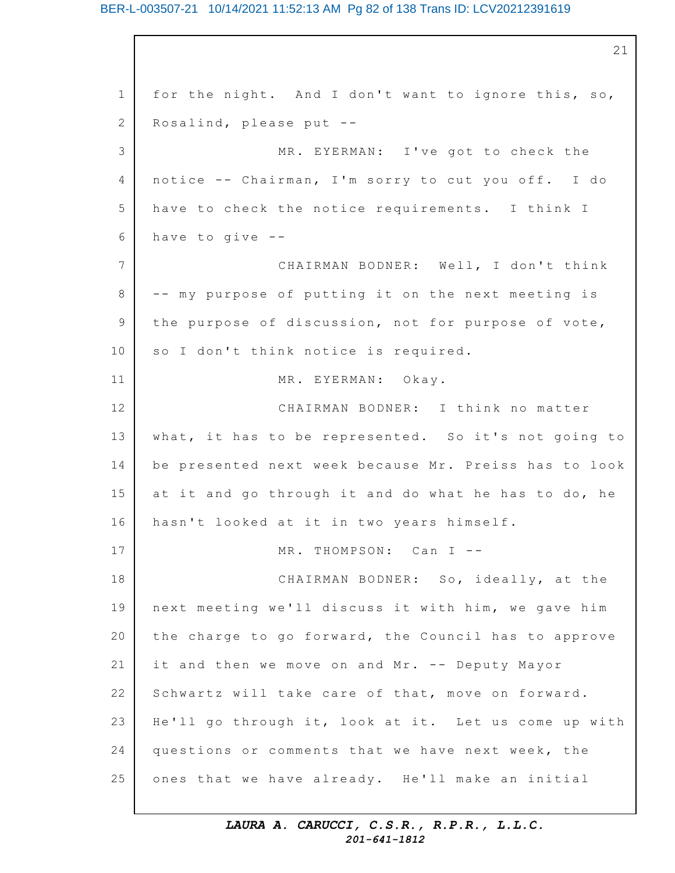#### BER-L-003507-21 10/14/2021 11:52:13 AM Pg 82 of 138 Trans ID: LCV20212391619

1 2 3 4 5 6 7 8 9 10 11 12 13 14 15 16 17 18 19 20 21 22 23 24 25 21 for the night. And I don't want to ignore this, so, Rosalind, please put -- MR. EYERMAN: I've got to check the notice -- Chairman, I'm sorry to cut you off. I do have to check the notice requirements. I think I have to give  $-$ -CHAIRMAN BODNER: Well, I don't think -- my purpose of putting it on the next meeting is the purpose of discussion, not for purpose of vote, so I don't think notice is required. MR. EYERMAN: Okay. CHAIRMAN BODNER: I think no matter what, it has to be represented. So it's not going to be presented next week because Mr. Preiss has to look at it and go through it and do what he has to do, he hasn't looked at it in two years himself. MR. THOMPSON: Can I --CHAIRMAN BODNER: So, ideally, at the next meeting we'll discuss it with him, we gave him the charge to go forward, the Council has to approve it and then we move on and Mr. -- Deputy Mayor Schwartz will take care of that, move on forward. He'll go through it, look at it. Let us come up with questions or comments that we have next week, the ones that we have already. He'll make an initial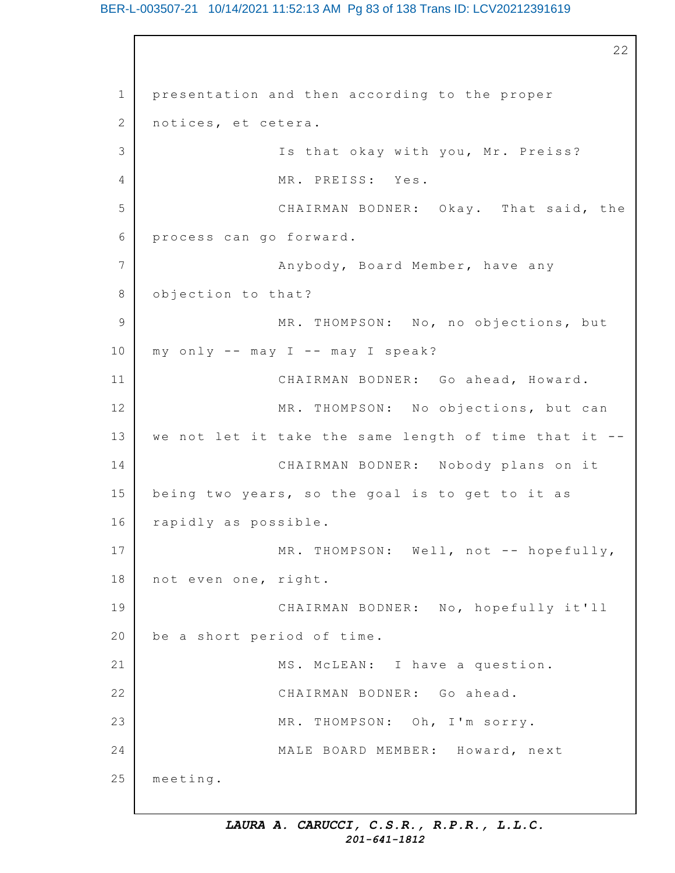### BER-L-003507-21 10/14/2021 11:52:13 AM Pg 83 of 138 Trans ID: LCV20212391619

```
1
2
3
4
5
6
7
8
9
10
11
12
13
14
15
16
17
18
19
20
21
22
23
24
25
                                                          22
    presentation and then according to the proper
    notices, et cetera.
                   Is that okay with you, Mr. Preiss?
                   MR. PREISS: Yes.
                   CHAIRMAN BODNER: Okay. That said, the
    process can go forward.
                   Anybody, Board Member, have any
    objection to that?
                   MR. THOMPSON: No, no objections, but
    my only -- may I -- may I speak?
                   CHAIRMAN BODNER: Go ahead, Howard.
                   MR. THOMPSON: No objections, but can
    we not let it take the same length of time that it --
                   CHAIRMAN BODNER: Nobody plans on it
    being two years, so the goal is to get to it as
    rapidly as possible.
                   MR. THOMPSON: Well, not -- hopefully,
    not even one, right.
                   CHAIRMAN BODNER: No, hopefully it'll
    be a short period of time.
                   MS. McLEAN: I have a question.
                   CHAIRMAN BODNER: Go ahead.
                   MR. THOMPSON: Oh, I'm sorry.
                   MALE BOARD MEMBER: Howard, next
    meeting.
```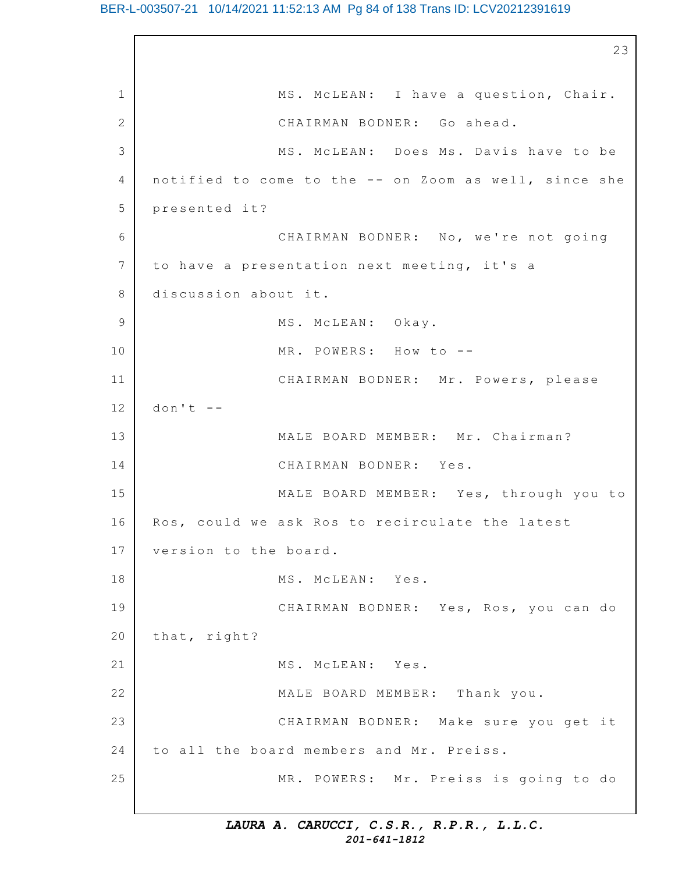#### BER-L-003507-21 10/14/2021 11:52:13 AM Pg 84 of 138 Trans ID: LCV20212391619

1 2 3 4 5 6 7 8 9 10 11 12 13 14 15 16 17 18 19 20 21 22 23 24 25 23 MS. McLEAN: I have a question, Chair. CHAIRMAN BODNER: Go ahead. MS. McLEAN: Does Ms. Davis have to be notified to come to the -- on Zoom as well, since she presented it? CHAIRMAN BODNER: No, we're not going to have a presentation next meeting, it's a discussion about it. MS. McLEAN: Okay. MR. POWERS: How to --CHAIRMAN BODNER: Mr. Powers, please  $don't$  --MALE BOARD MEMBER: Mr. Chairman? CHAIRMAN BODNER: Yes. MALE BOARD MEMBER: Yes, through you to Ros, could we ask Ros to recirculate the latest version to the board. MS. McLEAN: Yes. CHAIRMAN BODNER: Yes, Ros, you can do that, right? MS. McLEAN: Yes. MALE BOARD MEMBER: Thank you. CHAIRMAN BODNER: Make sure you get it to all the board members and Mr. Preiss. MR. POWERS: Mr. Preiss is going to do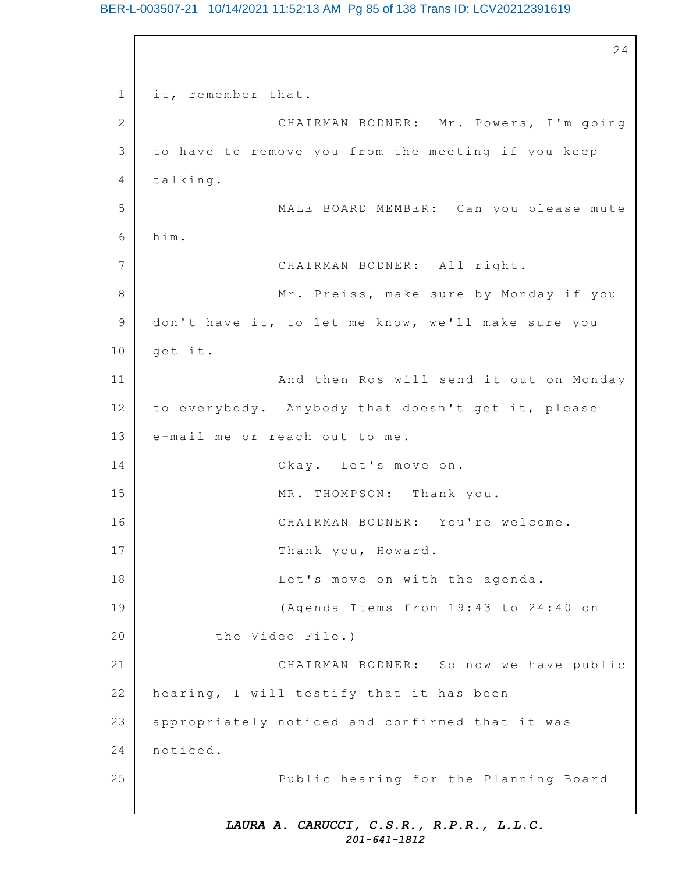### BER-L-003507-21 10/14/2021 11:52:13 AM Pg 85 of 138 Trans ID: LCV20212391619

```
1
2
3
4
5
6
7
8
9
10
11
12
13
14
15
16
17
18
19
20
21
22
23
24
25
                                                          24
    it, remember that.
                   CHAIRMAN BODNER: Mr. Powers, I'm going
    to have to remove you from the meeting if you keep
    talking.
                   MALE BOARD MEMBER: Can you please mute
    him.
                   CHAIRMAN BODNER: All right.
                   Mr. Preiss, make sure by Monday if you
    don't have it, to let me know, we'll make sure you
    get it.
                   And then Ros will send it out on Monday
    to everybody. Anybody that doesn't get it, please
    e-mail me or reach out to me.
                   Okay. Let's move on.
                   MR. THOMPSON: Thank you.
                   CHAIRMAN BODNER: You're welcome.
                   Thank you, Howard.
                   Let's move on with the agenda.
                   (Agenda Items from 19:43 to 24:40 on
            the Video File.)
                   CHAIRMAN BODNER: So now we have public
    hearing, I will testify that it has been
    appropriately noticed and confirmed that it was
    noticed.
                   Public hearing for the Planning Board
```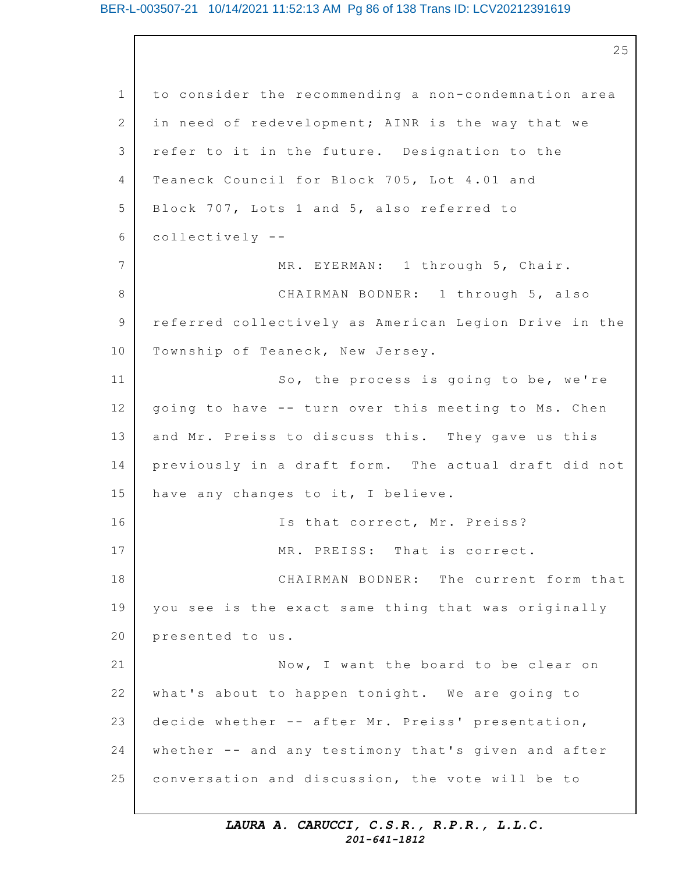#### BER-L-003507-21 10/14/2021 11:52:13 AM Pg 86 of 138 Trans ID: LCV20212391619

1 2 3 4 5 6 7 8 9 10 11 12 13 14 15 16 17 18 19 20 21 22 23 24 25 25 to consider the recommending a non-condemnation area in need of redevelopment; AINR is the way that we refer to it in the future. Designation to the Teaneck Council for Block 705, Lot 4.01 and Block 707, Lots 1 and 5, also referred to collectively -- MR. EYERMAN: 1 through 5, Chair. CHAIRMAN BODNER: 1 through 5, also referred collectively as American Legion Drive in the Township of Teaneck, New Jersey. So, the process is going to be, we're going to have -- turn over this meeting to Ms. Chen and Mr. Preiss to discuss this. They gave us this previously in a draft form. The actual draft did not have any changes to it, I believe. Is that correct, Mr. Preiss? MR. PREISS: That is correct. CHAIRMAN BODNER: The current form that you see is the exact same thing that was originally presented to us. Now, I want the board to be clear on what's about to happen tonight. We are going to decide whether -- after Mr. Preiss' presentation, whether -- and any testimony that's given and after conversation and discussion, the vote will be to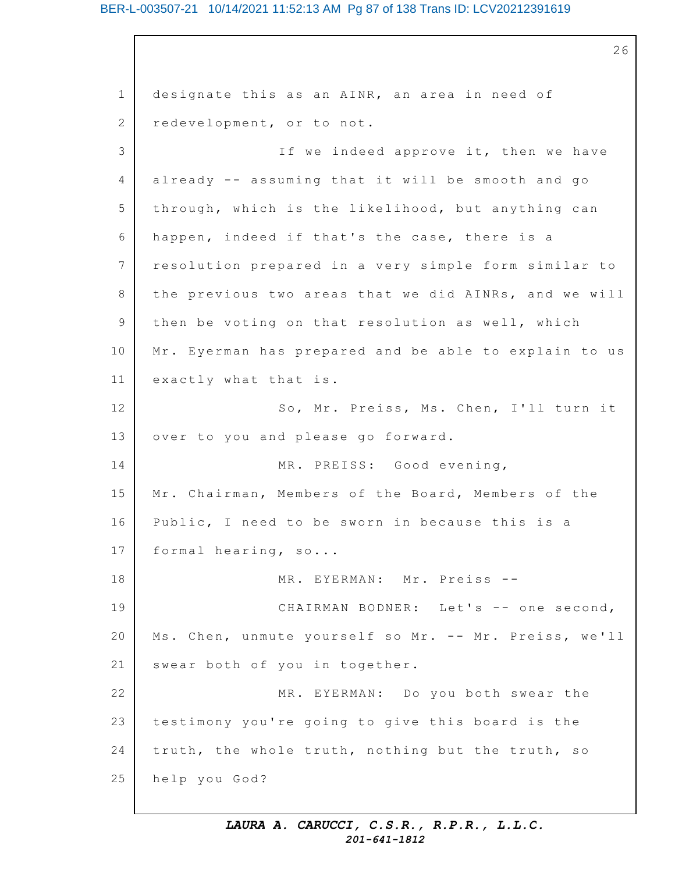#### BER-L-003507-21 10/14/2021 11:52:13 AM Pg 87 of 138 Trans ID: LCV20212391619

1 2 3 4 5 6 7 8 9 10 11 12 13 14 15 16 17 18 19 20 21 22 23 24 25 26 designate this as an AINR, an area in need of redevelopment, or to not. If we indeed approve it, then we have already  $--$  assuming that it will be smooth and go through, which is the likelihood, but anything can happen, indeed if that's the case, there is a resolution prepared in a very simple form similar to the previous two areas that we did AINRs, and we will then be voting on that resolution as well, which Mr. Eyerman has prepared and be able to explain to us exactly what that is. So, Mr. Preiss, Ms. Chen, I'll turn it over to you and please go forward. MR. PREISS: Good evening, Mr. Chairman, Members of the Board, Members of the Public, I need to be sworn in because this is a formal hearing,  $so...$ MR. EYERMAN: Mr. Preiss --CHAIRMAN BODNER: Let's -- one second, Ms. Chen, unmute yourself so Mr. -- Mr. Preiss, we'll swear both of you in together. MR. EYERMAN: Do you both swear the testimony you're going to give this board is the truth, the whole truth, nothing but the truth, so help you God?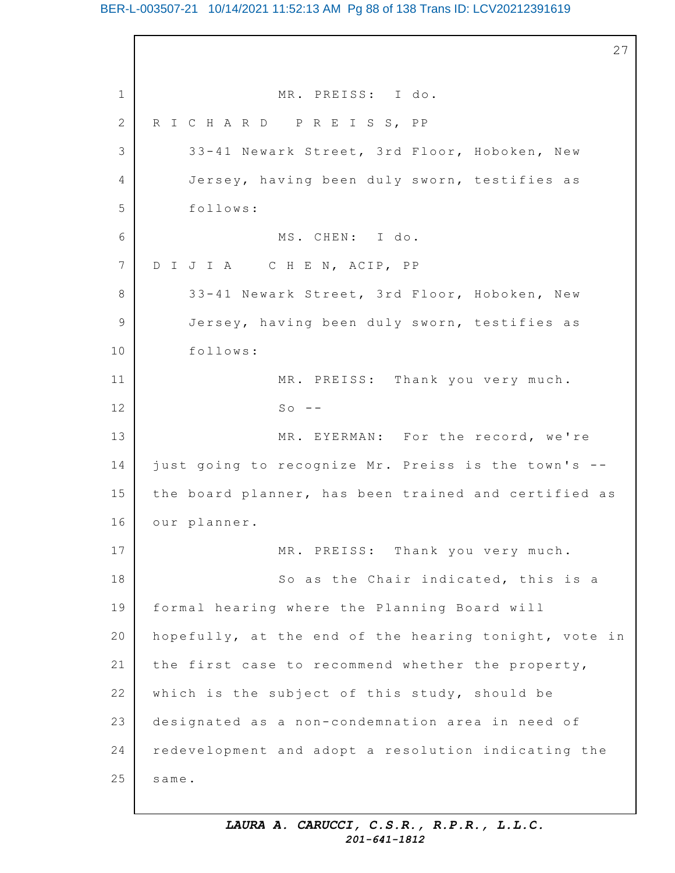### BER-L-003507-21 10/14/2021 11:52:13 AM Pg 88 of 138 Trans ID: LCV20212391619

1 2 3 4 5 6 7 8 9 10 11 12 13 14 15 16 17 18 19 20 21 22 23 24 25 27 MR. PREISS: I do. R I C H A R D P R E I S S, PP 33-41 Newark Street, 3rd Floor, Hoboken, New Jersey, having been duly sworn, testifies as follows: MS. CHEN: I do. D I J I A C H E N, ACIP, PP 33-41 Newark Street, 3rd Floor, Hoboken, New Jersey, having been duly sworn, testifies as follows: MR. PREISS: Thank you very much.  $SO = -$ MR. EYERMAN: For the record, we're just going to recognize Mr. Preiss is the town's -the board planner, has been trained and certified as our planner. MR. PREISS: Thank you very much. So as the Chair indicated, this is a formal hearing where the Planning Board will hopefully, at the end of the hearing tonight, vote in the first case to recommend whether the property, which is the subject of this study, should be designated as a non-condemnation area in need of redevelopment and adopt a resolution indicating the same.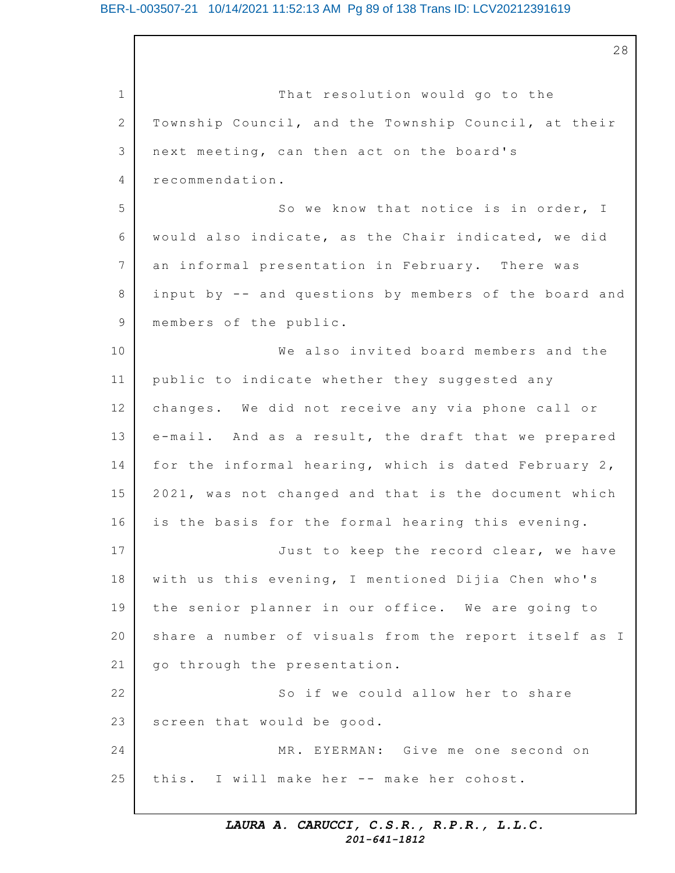### BER-L-003507-21 10/14/2021 11:52:13 AM Pg 89 of 138 Trans ID: LCV20212391619

1 2 3 4 5 6 7 8 9 10 11 12 13 14 15 16 17 18 19 20 21 22 23 24 25 That resolution would go to the Township Council, and the Township Council, at their next meeting, can then act on the board's recommendation. So we know that notice is in order, I would also indicate, as the Chair indicated, we did an informal presentation in February. There was input by -- and questions by members of the board and members of the public. We also invited board members and the public to indicate whether they suggested any changes. We did not receive any via phone call or e-mail. And as a result, the draft that we prepared for the informal hearing, which is dated February 2, 2021, was not changed and that is the document which is the basis for the formal hearing this evening. Just to keep the record clear, we have with us this evening, I mentioned Dijia Chen who's the senior planner in our office. We are going to share a number of visuals from the report itself as I go through the presentation. So if we could allow her to share screen that would be good. MR. EYERMAN: Give me one second on this. I will make her -- make her cohost.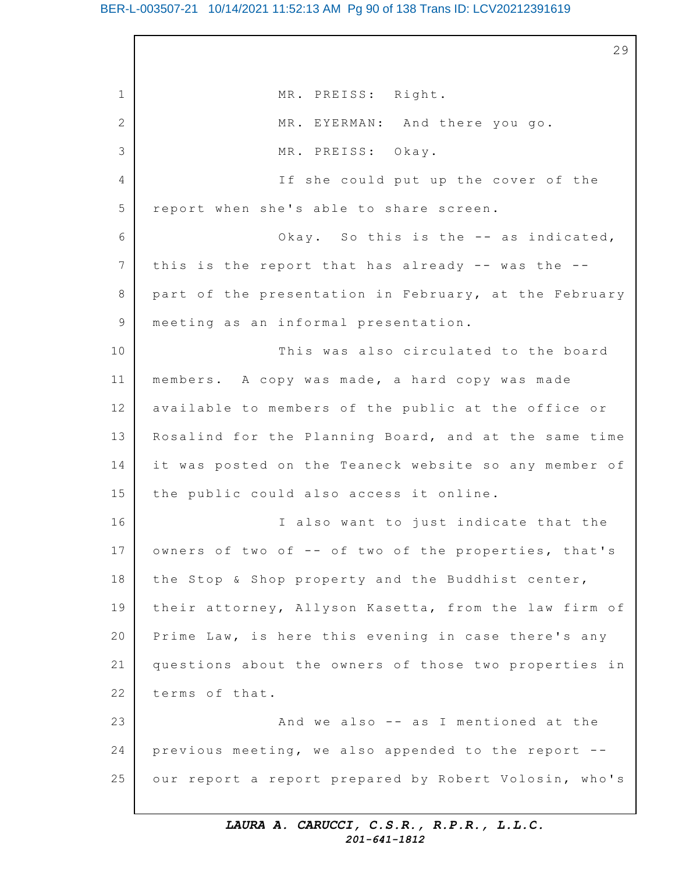#### BER-L-003507-21 10/14/2021 11:52:13 AM Pg 90 of 138 Trans ID: LCV20212391619

1 2 3 4 5 6 7 8 9 10 11 12 13 14 15 16 17 18 19 20 21 22 23 24 25 29 MR. PREISS: Right. MR. EYERMAN: And there you go. MR. PREISS: Okay. If she could put up the cover of the report when she's able to share screen. Okay. So this is the  $-$  as indicated, this is the report that has already  $-$ - was the  $-$ part of the presentation in February, at the February meeting as an informal presentation. This was also circulated to the board members. A copy was made, a hard copy was made available to members of the public at the office or Rosalind for the Planning Board, and at the same time it was posted on the Teaneck website so any member of the public could also access it online. I also want to just indicate that the owners of two of -- of two of the properties, that's the Stop & Shop property and the Buddhist center, their attorney, Allyson Kasetta, from the law firm of Prime Law, is here this evening in case there's any questions about the owners of those two properties in terms of that. And we also  $-$  as I mentioned at the previous meeting, we also appended to the report  $-$ our report a report prepared by Robert Volosin, who's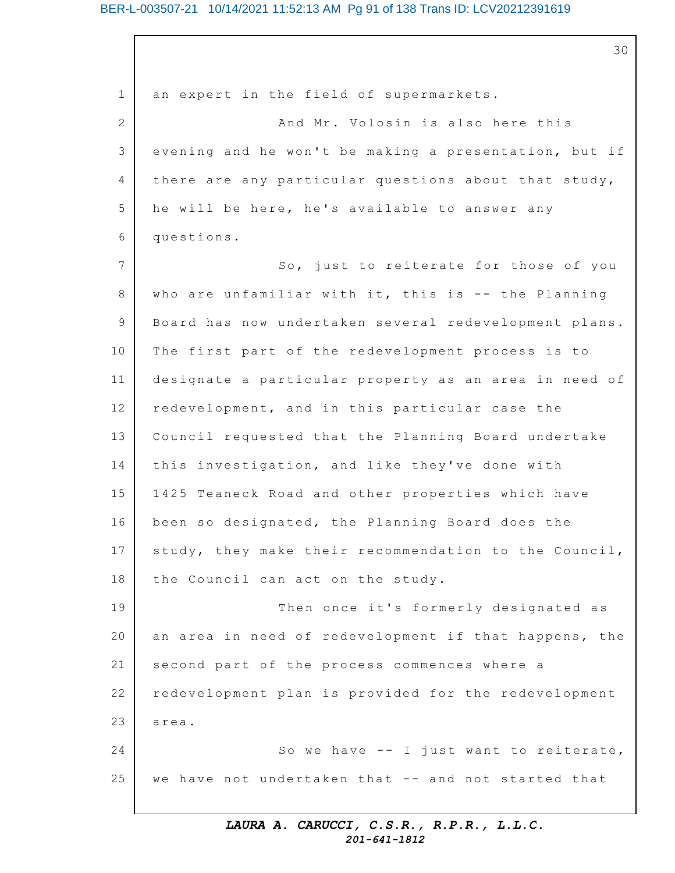#### BER-L-003507-21 10/14/2021 11:52:13 AM Pg 91 of 138 Trans ID: LCV20212391619

1 2 3 4 5 6 7 8 9 10 11 12 13 14 15 16 17 18 19 20 21 22 23 24 25 30 an expert in the field of supermarkets. And Mr. Volosin is also here this evening and he won't be making a presentation, but if there are any particular questions about that study, he will be here, he's available to answer any questions. So, just to reiterate for those of you who are unfamiliar with it, this is  $-$  the Planning Board has now undertaken several redevelopment plans. The first part of the redevelopment process is to designate a particular property as an area in need of redevelopment, and in this particular case the Council requested that the Planning Board undertake this investigation, and like they've done with 1425 Teaneck Road and other properties which have been so designated, the Planning Board does the study, they make their recommendation to the Council, the Council can act on the study. Then once it's formerly designated as an area in need of redevelopment if that happens, the second part of the process commences where a redevelopment plan is provided for the redevelopment area. So we have  $-$ - I just want to reiterate, we have not undertaken that -- and not started that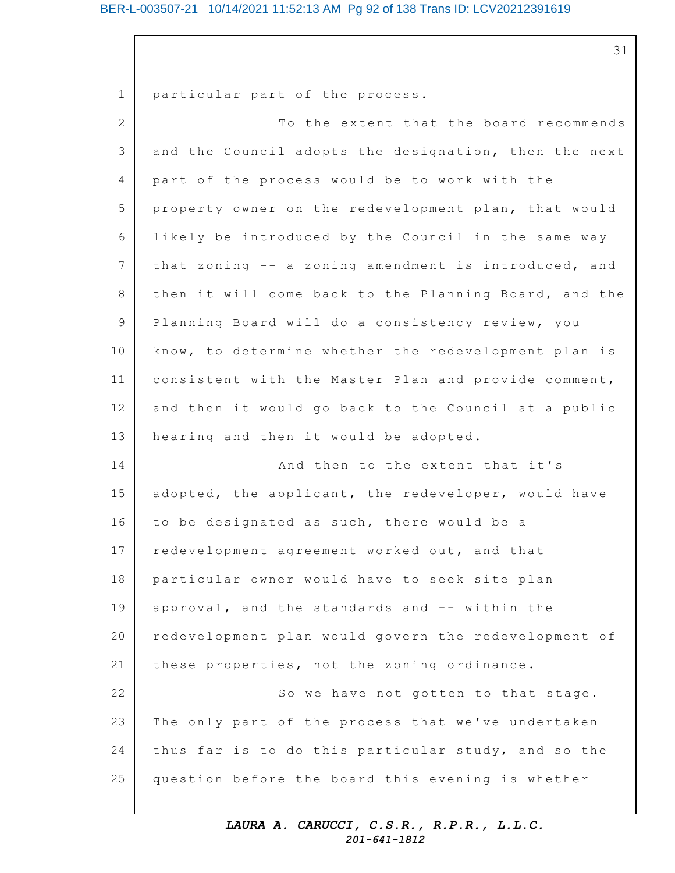#### BER-L-003507-21 10/14/2021 11:52:13 AM Pg 92 of 138 Trans ID: LCV20212391619

31

1 2 3 4 5 6 7 8 9 10 11 12 13 14 15 16 17 18 19 20 21 22 23 24 25 particular part of the process. To the extent that the board recommends and the Council adopts the designation, then the next part of the process would be to work with the property owner on the redevelopment plan, that would likely be introduced by the Council in the same way that zoning -- a zoning amendment is introduced, and then it will come back to the Planning Board, and the Planning Board will do a consistency review, you know, to determine whether the redevelopment plan is consistent with the Master Plan and provide comment, and then it would go back to the Council at a public hearing and then it would be adopted. And then to the extent that it's adopted, the applicant, the redeveloper, would have to be designated as such, there would be a redevelopment agreement worked out, and that particular owner would have to seek site plan approval, and the standards and -- within the redevelopment plan would govern the redevelopment of these properties, not the zoning ordinance. So we have not gotten to that stage. The only part of the process that we've undertaken thus far is to do this particular study, and so the question before the board this evening is whether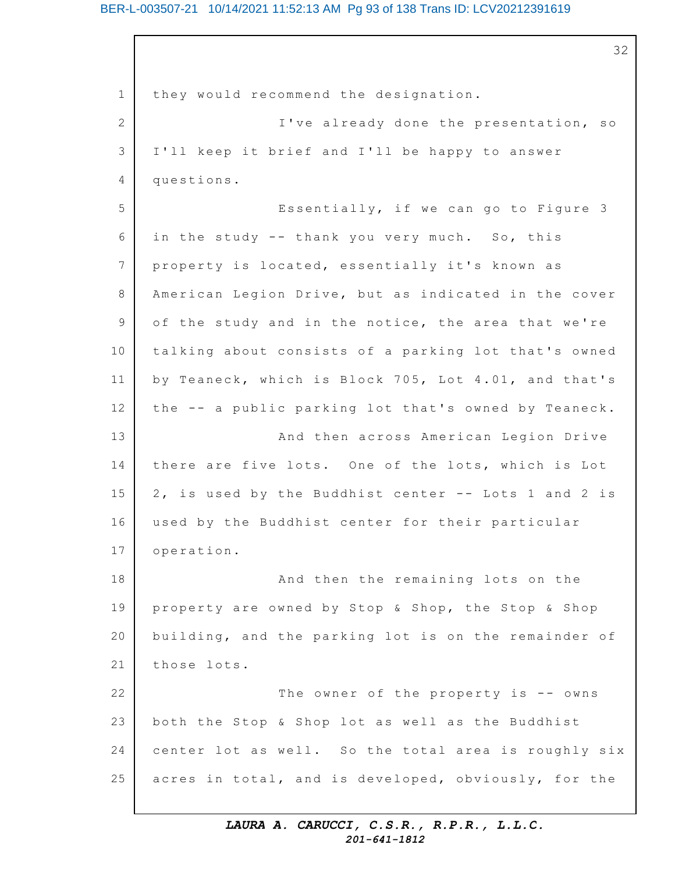#### BER-L-003507-21 10/14/2021 11:52:13 AM Pg 93 of 138 Trans ID: LCV20212391619

1 2 3 4 5 6 7 8 9 10 11 12 13 14 15 16 17 18 19 20 21 22 23 24 25 32 they would recommend the designation. I've already done the presentation, so I'll keep it brief and I'll be happy to answer questions. Essentially, if we can go to Figure  $3$ in the study  $-$ - thank you very much. So, this property is located, essentially it's known as American Legion Drive, but as indicated in the cover of the study and in the notice, the area that we're talking about consists of a parking lot that's owned by Teaneck, which is Block 705, Lot 4.01, and that's the -- a public parking lot that's owned by Teaneck. And then across American Legion Drive there are five lots. One of the lots, which is Lot 2, is used by the Buddhist center -- Lots 1 and 2 is used by the Buddhist center for their particular operation. And then the remaining lots on the property are owned by Stop & Shop, the Stop & Shop building, and the parking lot is on the remainder of those lots. The owner of the property is  $-$  owns both the Stop & Shop lot as well as the Buddhist center lot as well. So the total area is roughly six acres in total, and is developed, obviously, for the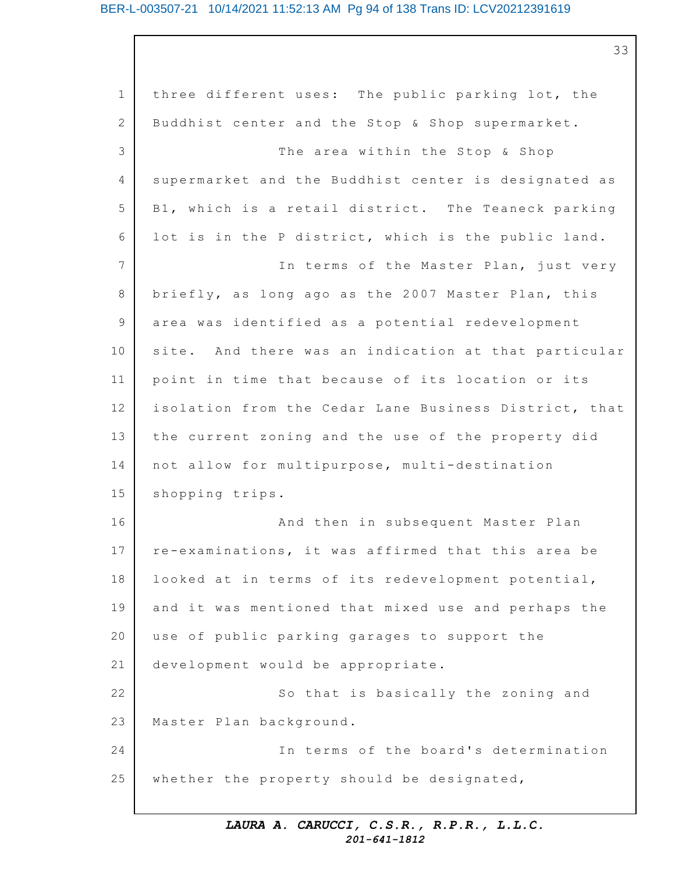# BER-L-003507-21 10/14/2021 11:52:13 AM Pg 94 of 138 Trans ID: LCV20212391619

33

| $\mathbf 1$  | three different uses: The public parking lot, the     |
|--------------|-------------------------------------------------------|
| $\mathbf{2}$ | Buddhist center and the Stop & Shop supermarket.      |
| 3            | The area within the Stop & Shop                       |
| 4            | supermarket and the Buddhist center is designated as  |
| 5            | B1, which is a retail district. The Teaneck parking   |
| 6            | lot is in the P district, which is the public land.   |
| 7            | In terms of the Master Plan, just very                |
| 8            | briefly, as long ago as the 2007 Master Plan, this    |
| $\mathsf 9$  | area was identified as a potential redevelopment      |
| 10           | site. And there was an indication at that particular  |
| 11           | point in time that because of its location or its     |
| 12           | isolation from the Cedar Lane Business District, that |
| 13           | the current zoning and the use of the property did    |
| 14           | not allow for multipurpose, multi-destination         |
| 15           | shopping trips.                                       |
| 16           | And then in subsequent Master Plan                    |
| 17           | re-examinations, it was affirmed that this area be    |
| 18           | looked at in terms of its redevelopment potential,    |
| 19           | and it was mentioned that mixed use and perhaps the   |
| 20           | use of public parking garages to support the          |
| 21           | development would be appropriate.                     |
| 22           | So that is basically the zoning and                   |
| 23           | Master Plan background.                               |
| 24           | In terms of the board's determination                 |
| 25           | whether the property should be designated,            |
|              |                                                       |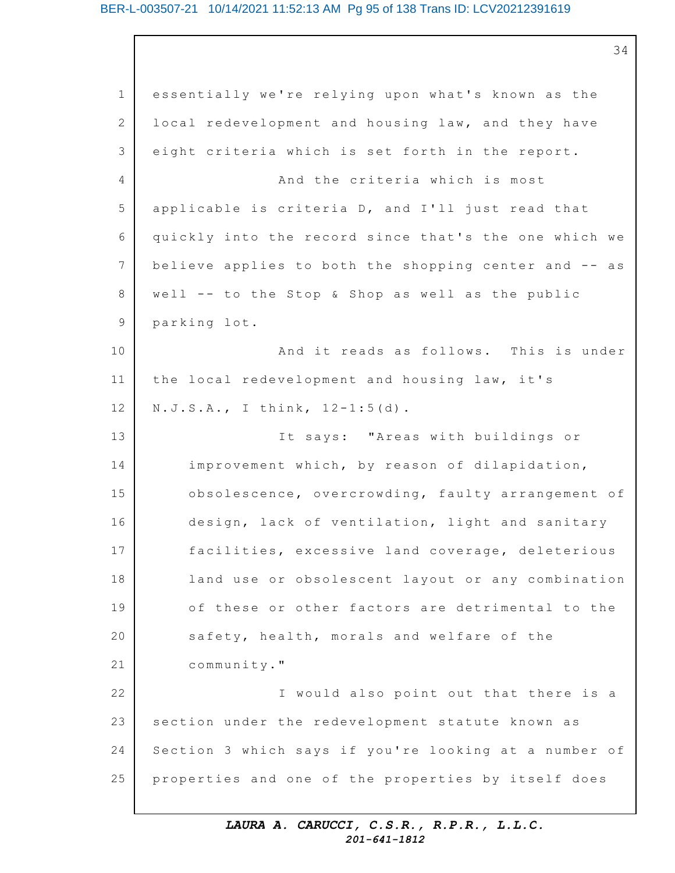#### BER-L-003507-21 10/14/2021 11:52:13 AM Pg 95 of 138 Trans ID: LCV20212391619

34

1 2 3 4 5 6 7 8 9 10 11 12 13 14 15 16 17 18 19 20 21 22 23 24 25 essentially we're relying upon what's known as the local redevelopment and housing law, and they have eight criteria which is set forth in the report. And the criteria which is most applicable is criteria  $D$ , and  $I'11$  just read that quickly into the record since that's the one which we believe applies to both the shopping center and -- as well  $--$  to the Stop & Shop as well as the public parking lot. And it reads as follows. This is under the local redevelopment and housing law, it's  $N.J.S.A., I think, 12-1:5(d).$ It says: "Areas with buildings or improvement which, by reason of dilapidation, obsolescence, overcrowding, faulty arrangement of design, lack of ventilation, light and sanitary facilities, excessive land coverage, deleterious land use or obsolescent layout or any combination of these or other factors are detrimental to the safety, health, morals and welfare of the community." I would also point out that there is a section under the redevelopment statute known as Section 3 which says if you're looking at a number of properties and one of the properties by itself does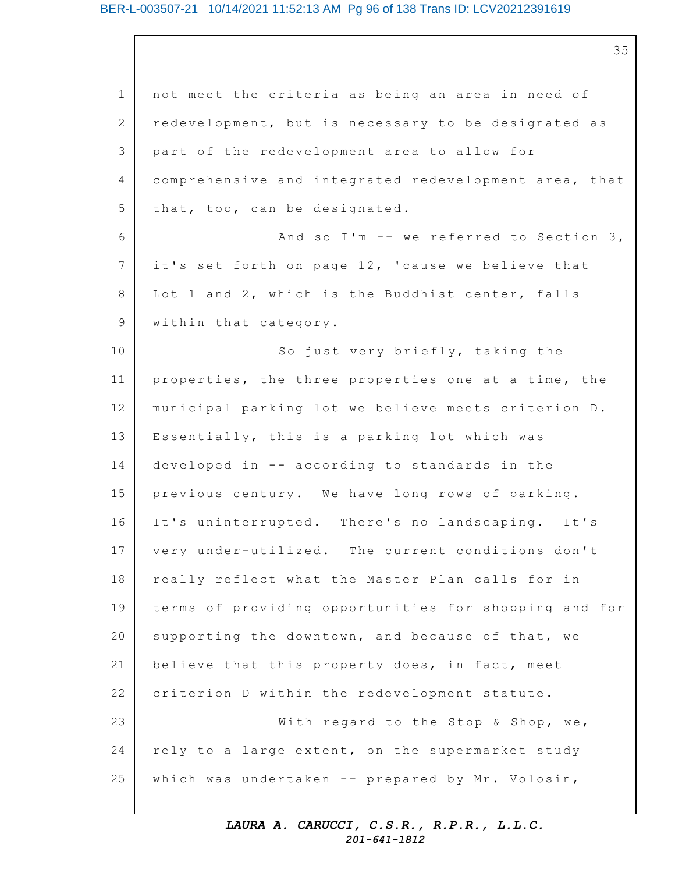#### BER-L-003507-21 10/14/2021 11:52:13 AM Pg 96 of 138 Trans ID: LCV20212391619

35

1 2 3 4 5 6 7 8 9 10 11 12 13 14 15 16 17 18 19 20 21 22 23 24 25 not meet the criteria as being an area in need of redevelopment, but is necessary to be designated as part of the redevelopment area to allow for comprehensive and integrated redevelopment area, that that, too, can be designated. And so I'm  $--$  we referred to Section 3, it's set forth on page 12, 'cause we believe that Lot 1 and 2, which is the Buddhist center, falls within that category. So just very briefly, taking the properties, the three properties one at a time, the municipal parking lot we believe meets criterion D. Essentially, this is a parking lot which was developed in  $-$  according to standards in the previous century. We have long rows of parking. It's uninterrupted. There's no landscaping. It's very under-utilized. The current conditions don't really reflect what the Master Plan calls for in terms of providing opportunities for shopping and for supporting the downtown, and because of that, we believe that this property does, in fact, meet criterion D within the redevelopment statute. With regard to the Stop & Shop, we, rely to a large extent, on the supermarket study which was undertaken  $--$  prepared by Mr. Volosin,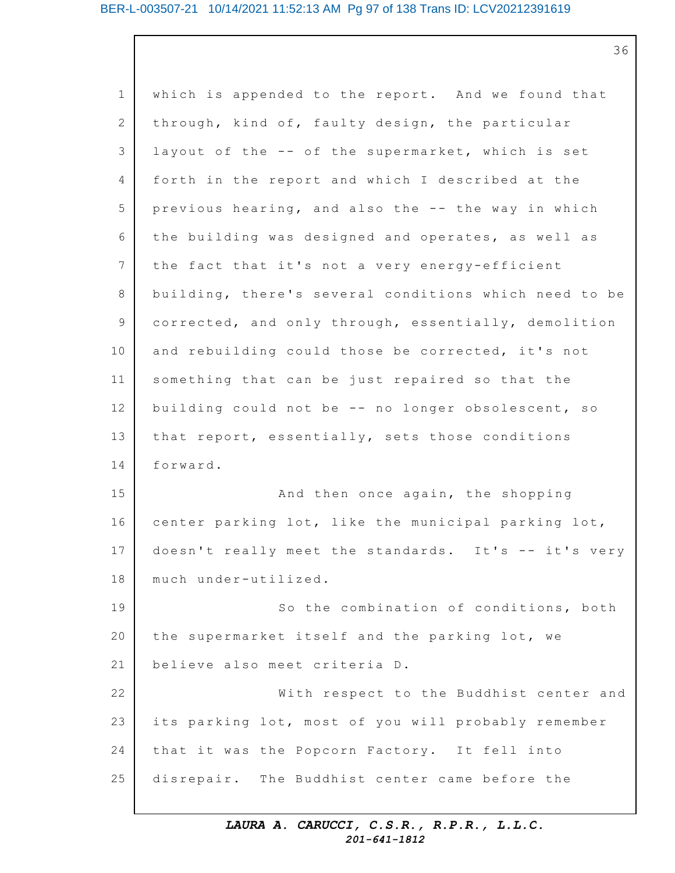36

1 2 3 4 5 6 7 8 9 10 11 12 13 14 15 16 17 18 19 20 21 22 23 24 25 which is appended to the report. And we found that through, kind of, faulty design, the particular layout of the -- of the supermarket, which is set forth in the report and which I described at the previous hearing, and also the  $--$  the way in which the building was designed and operates, as well as the fact that it's not a very energy-efficient building, there's several conditions which need to be corrected, and only through, essentially, demolition and rebuilding could those be corrected, it's not something that can be just repaired so that the building could not be -- no longer obsolescent, so that report, essentially, sets those conditions forward. And then once again, the shopping center parking lot, like the municipal parking lot, doesn't really meet the standards. It's -- it's very much under-utilized. So the combination of conditions, both the supermarket itself and the parking lot, we believe also meet criteria D. With respect to the Buddhist center and its parking lot, most of you will probably remember that it was the Popcorn Factory. It fell into disrepair. The Buddhist center came before the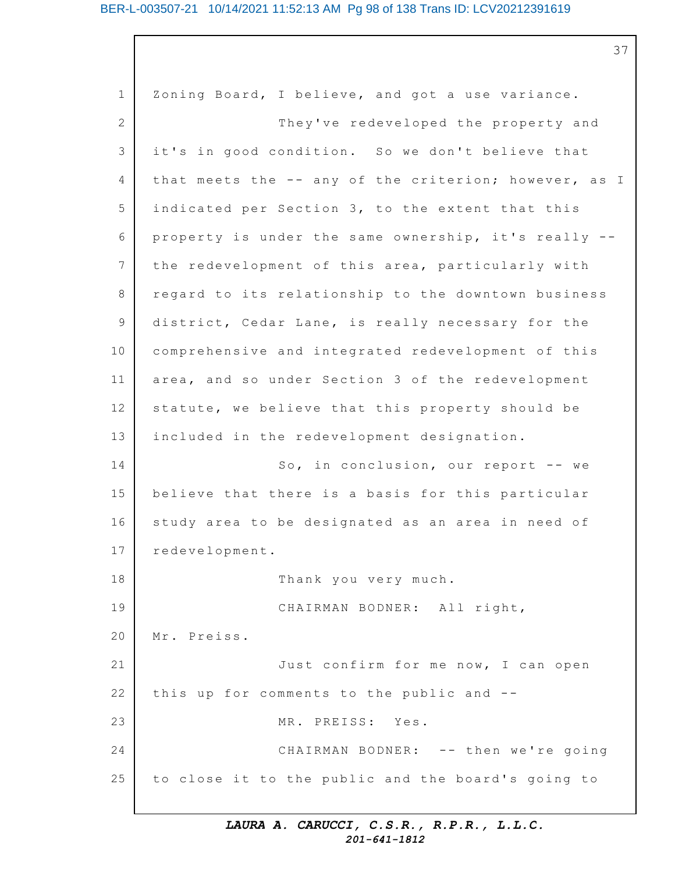#### BER-L-003507-21 10/14/2021 11:52:13 AM Pg 98 of 138 Trans ID: LCV20212391619

37

1 2 3 4 5 6 7 8 9 10 11 12 13 14 15 16 17 18 19 20 21 22 23 24 25 Zoning Board, I believe, and got a use variance. They've redeveloped the property and it's in good condition. So we don't believe that that meets the -- any of the criterion; however, as I indicated per Section 3, to the extent that this property is under the same ownership, it's really  $-$ the redevelopment of this area, particularly with regard to its relationship to the downtown business district, Cedar Lane, is really necessary for the comprehensive and integrated redevelopment of this area, and so under Section 3 of the redevelopment statute, we believe that this property should be included in the redevelopment designation. So, in conclusion, our report  $-$ - we believe that there is a basis for this particular study area to be designated as an area in need of redevelopment. Thank you very much. CHAIRMAN BODNER: All right, Mr. Preiss. Just confirm for me now, I can open this up for comments to the public and  $-$ -MR. PREISS: Yes. CHAIRMAN BODNER: -- then we're going to close it to the public and the board's going to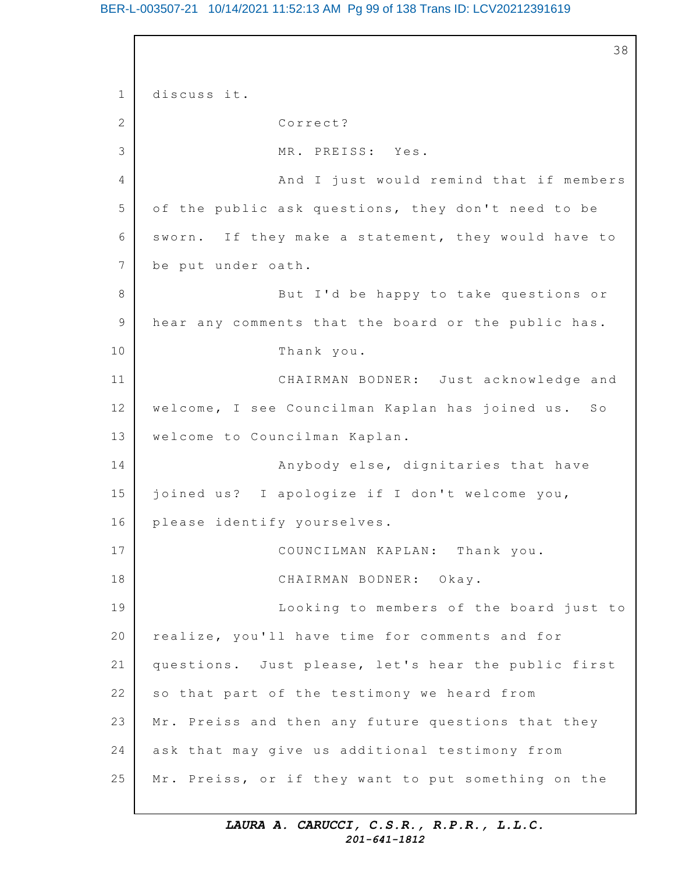# BER-L-003507-21 10/14/2021 11:52:13 AM Pg 99 of 138 Trans ID: LCV20212391619

```
1
2
3
4
5
6
7
8
9
10
11
12
13
14
15
16
17
18
19
20
21
22
23
24
25
                                                          38
    discuss it.
                   Correct?
                   MR. PREISS: Yes.
                   And I just would remind that if members
    of the public ask questions, they don't need to be
    sworn. If they make a statement, they would have to
    be put under oath.
                   But I'd be happy to take questions or
    hear any comments that the board or the public has.
                   Thank you.
                   CHAIRMAN BODNER: Just acknowledge and
    welcome, I see Councilman Kaplan has joined us. So
    welcome to Councilman Kaplan.
                   Anybody else, dignitaries that have
    joined us? I apologize if I don't welcome you,
    please identify yourselves.
                   COUNCILMAN KAPLAN: Thank you.
                   CHAIRMAN BODNER: Okay.
                   Looking to members of the board just to
    realize, you'll have time for comments and for
    questions. Just please, let's hear the public first
    so that part of the testimony we heard from
    Mr. Preiss and then any future questions that they
    ask that may give us additional testimony from
    Mr. Preiss, or if they want to put something on the
```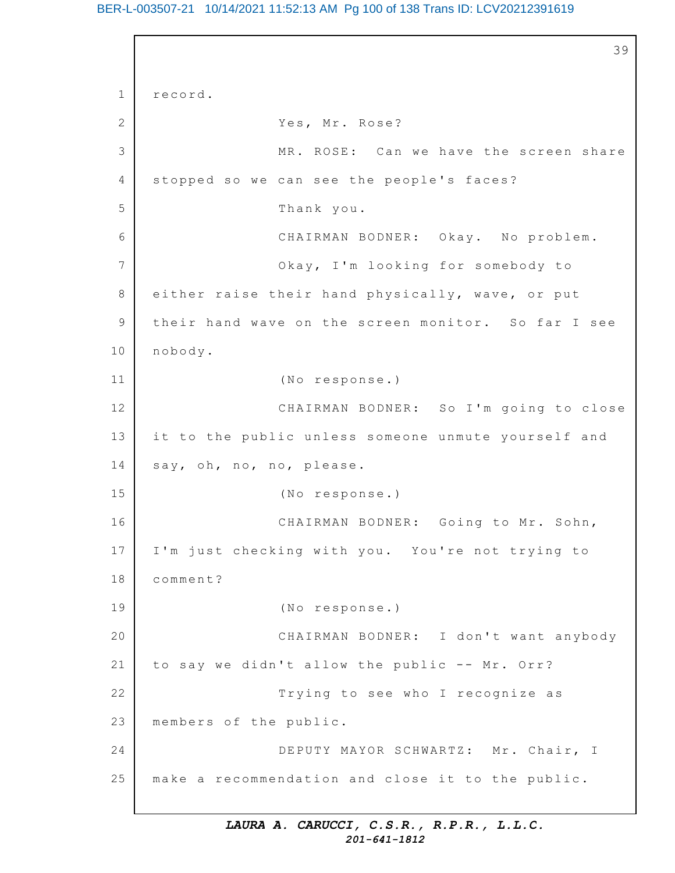BER-L-003507-21 10/14/2021 11:52:13 AM Pg 100 of 138 Trans ID: LCV20212391619

```
1
2
3
4
5
6
7
8
9
10
11
12
13
14
15
16
17
18
19
20
21
22
23
24
25
                                                           39
    record.
                   Yes, Mr. Rose?
                   MR. ROSE: Can we have the screen share
    stopped so we can see the people's faces?
                   Thank you.
                   CHAIRMAN BODNER: Okay. No problem.
                   Okay, I'm looking for somebody to
    either raise their hand physically, wave, or put
    their hand wave on the screen monitor. So far I see
    nobody.
                   (No response.)
                   CHAIRMAN BODNER: So I'm going to close
    it to the public unless someone unmute yourself and
    say, oh, no, no, please.
                   (No response.)
                   CHAIRMAN BODNER: Going to Mr. Sohn,
    I'm just checking with you. You're not trying to
    comment?
                   (No response.)
                   CHAIRMAN BODNER: I don't want anybody
    to say we didn't allow the public -- Mr. Orr?
                   Trying to see who I recognize as
    members of the public.
                   DEPUTY MAYOR SCHWARTZ: Mr. Chair, I
    make a recommendation and close it to the public.
```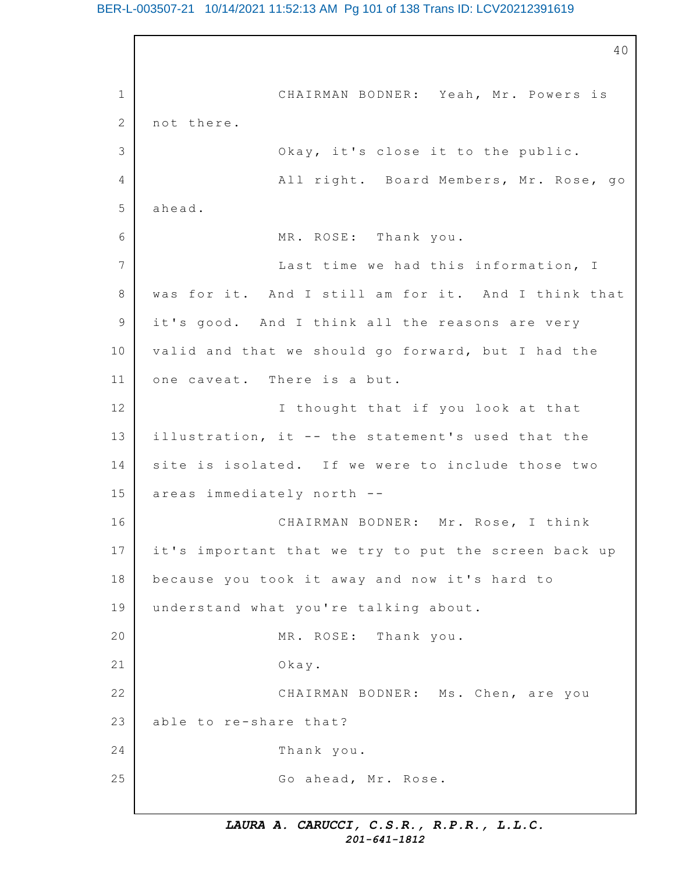## BER-L-003507-21 10/14/2021 11:52:13 AM Pg 101 of 138 Trans ID: LCV20212391619

1 2 3 4 5 6 7 8 9 10 11 12 13 14 15 16 17 18 19 20 21 22 23 24 25 40 CHAIRMAN BODNER: Yeah, Mr. Powers is not there. Okay, it's close it to the public. All right. Board Members, Mr. Rose, go ahead. MR. ROSE: Thank you. Last time we had this information, I was for it. And I still am for it. And I think that it's good. And I think all the reasons are very valid and that we should go forward, but I had the one caveat. There is a but. I thought that if you look at that illustration, it -- the statement's used that the site is isolated. If we were to include those two areas immediately north -- CHAIRMAN BODNER: Mr. Rose, I think it's important that we try to put the screen back up because you took it away and now it's hard to understand what you're talking about. MR. ROSE: Thank you. Okay. CHAIRMAN BODNER: Ms. Chen, are you able to re-share that? Thank you. Go ahead, Mr. Rose.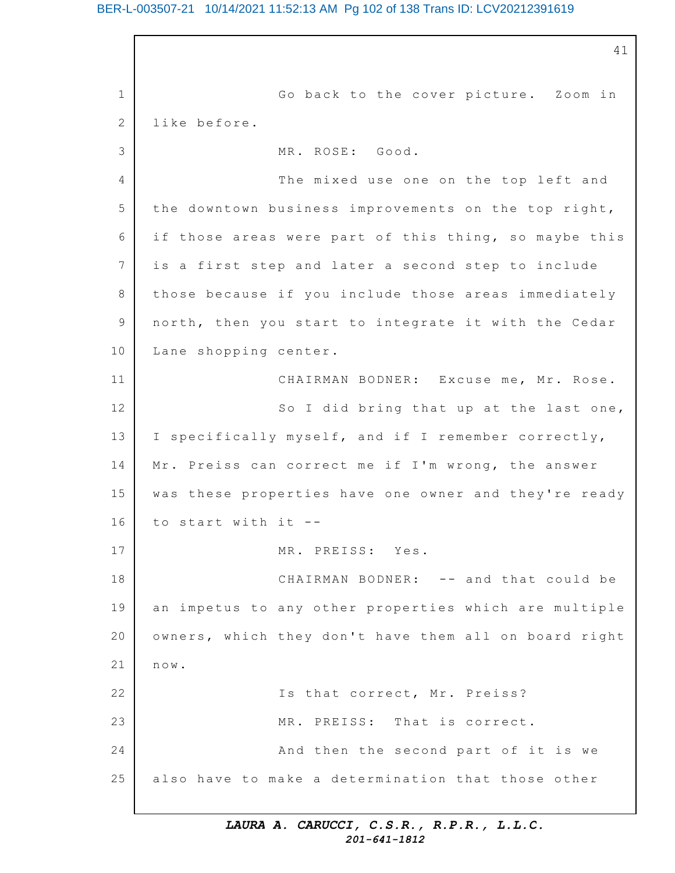1 2 3 4 5 6 7 8 9 10 11 12 13 14 15 16 17 18 19 20 21 22 23 24 25 41 Go back to the cover picture. Zoom in like before. MR. ROSE: Good. The mixed use one on the top left and the downtown business improvements on the top right, if those areas were part of this thing, so maybe this is a first step and later a second step to include those because if you include those areas immediately north, then you start to integrate it with the Cedar Lane shopping center. CHAIRMAN BODNER: Excuse me, Mr. Rose. So I did bring that up at the last one, I specifically myself, and if I remember correctly, Mr. Preiss can correct me if I'm wrong, the answer was these properties have one owner and they're ready to start with it  $-$ MR. PREISS: Yes. CHAIRMAN BODNER: -- and that could be an impetus to any other properties which are multiple owners, which they don't have them all on board right now. Is that correct, Mr. Preiss? MR. PREISS: That is correct. And then the second part of it is we also have to make a determination that those other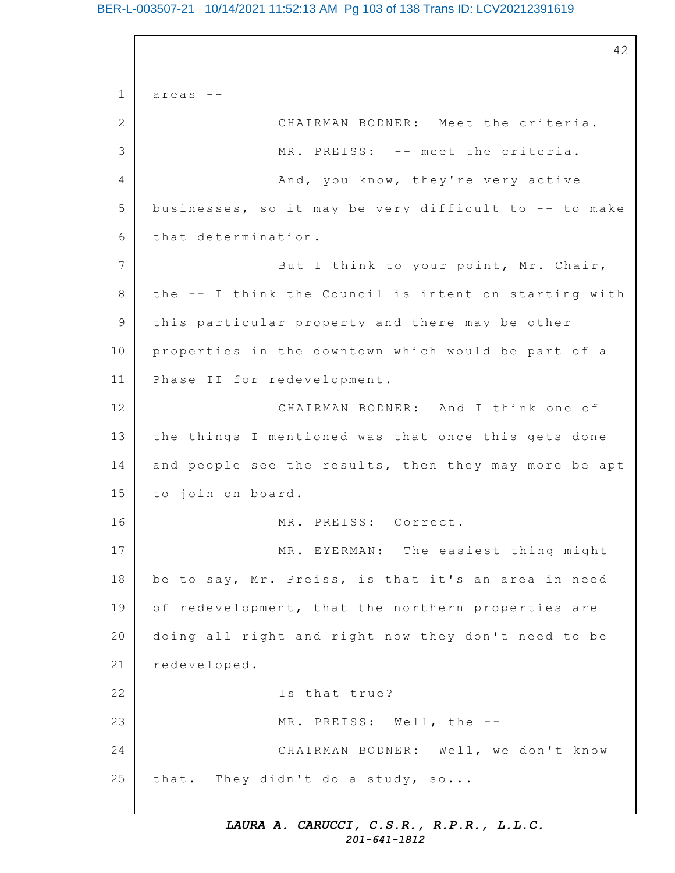# BER-L-003507-21 10/14/2021 11:52:13 AM Pg 103 of 138 Trans ID: LCV20212391619

1 2 3 4 5 6 7 8 9 10 11 12 13 14 15 16 17 18 19 20 21 22 23 24 25 42 areas -- CHAIRMAN BODNER: Meet the criteria. MR. PREISS: -- meet the criteria. And, you know, they're very active businesses, so it may be very difficult to  $-$ - to make that determination. But I think to your point, Mr. Chair, the  $--$  I think the Council is intent on starting with this particular property and there may be other properties in the downtown which would be part of a Phase II for redevelopment. CHAIRMAN BODNER: And I think one of the things I mentioned was that once this gets done and people see the results, then they may more be apt to join on board. MR. PREISS: Correct. MR. EYERMAN: The easiest thing might be to say, Mr. Preiss, is that it's an area in need of redevelopment, that the northern properties are doing all right and right now they don't need to be redeveloped. Is that true? MR. PREISS: Well, the --CHAIRMAN BODNER: Well, we don't know that. They didn't do a study, so...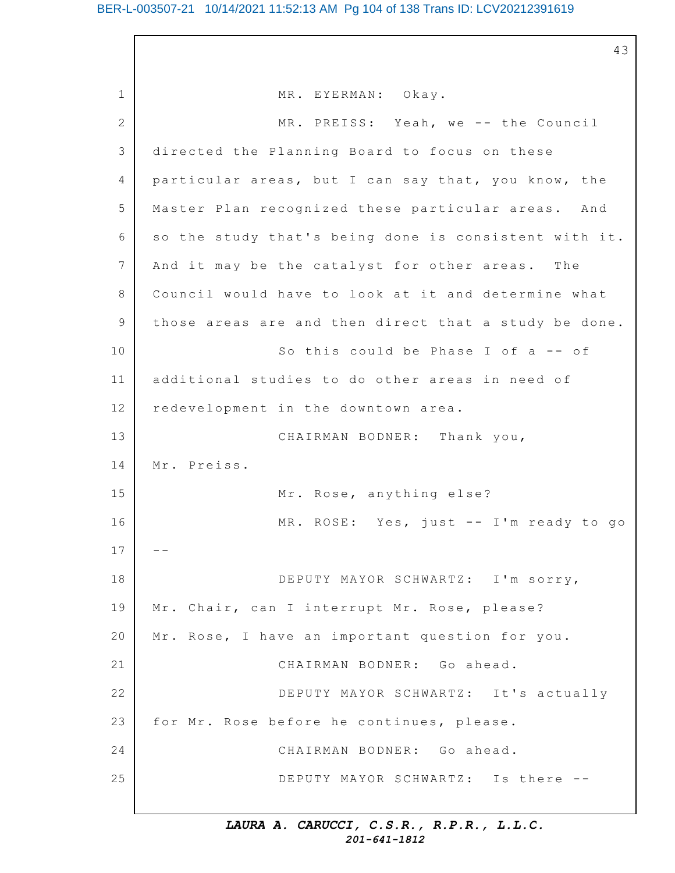43

1 2 3 4 5 6 7 8 9 10 11 12 13 14 15 16 17 18 19 20 21 22 23 24 25 MR. EYERMAN: Okay. MR. PREISS: Yeah, we -- the Council directed the Planning Board to focus on these particular areas, but I can say that, you know, the Master Plan recognized these particular areas. And so the study that's being done is consistent with it. And it may be the catalyst for other areas. The Council would have to look at it and determine what those areas are and then direct that a study be done. So this could be Phase I of  $a - - of$ additional studies to do other areas in need of redevelopment in the downtown area. CHAIRMAN BODNER: Thank you, Mr. Preiss. Mr. Rose, anything else? MR. ROSE: Yes, just -- I'm ready to go -- DEPUTY MAYOR SCHWARTZ: I'm sorry, Mr. Chair, can I interrupt Mr. Rose, please? Mr. Rose, I have an important question for you. CHAIRMAN BODNER: Go ahead. DEPUTY MAYOR SCHWARTZ: It's actually for Mr. Rose before he continues, please. CHAIRMAN BODNER: Go ahead. DEPUTY MAYOR SCHWARTZ: Is there --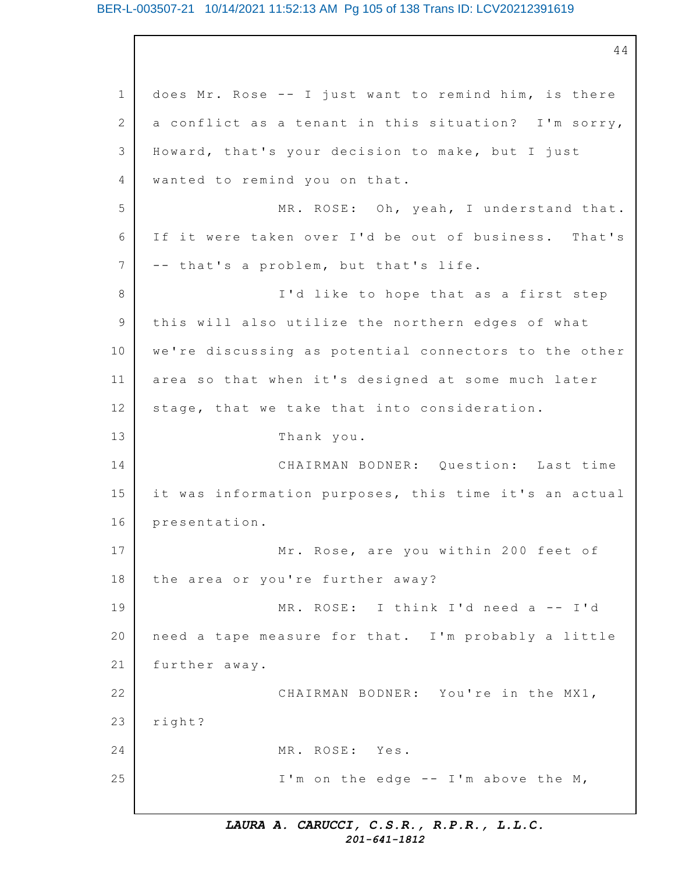#### BER-L-003507-21 10/14/2021 11:52:13 AM Pg 105 of 138 Trans ID: LCV20212391619

1 2 3 4 5 6 7 8 9 10 11 12 13 14 15 16 17 18 19 20 21 22 23 24 25 44 does Mr. Rose  $-$ - I just want to remind him, is there a conflict as a tenant in this situation? I'm sorry, Howard, that's your decision to make, but I just wanted to remind you on that. MR. ROSE: Oh, yeah, I understand that. If it were taken over I'd be out of business. That's -- that's a problem, but that's life. I'd like to hope that as a first step this will also utilize the northern edges of what we're discussing as potential connectors to the other area so that when it's designed at some much later stage, that we take that into consideration. Thank you. CHAIRMAN BODNER: Question: Last time it was information purposes, this time it's an actual presentation. Mr. Rose, are you within 200 feet of the area or you're further away? MR. ROSE: I think I'd need a -- I'd need a tape measure for that. I'm probably a little further away. CHAIRMAN BODNER: You're in the MX1, right? MR. ROSE: Yes. I'm on the edge  $--$  I'm above the M,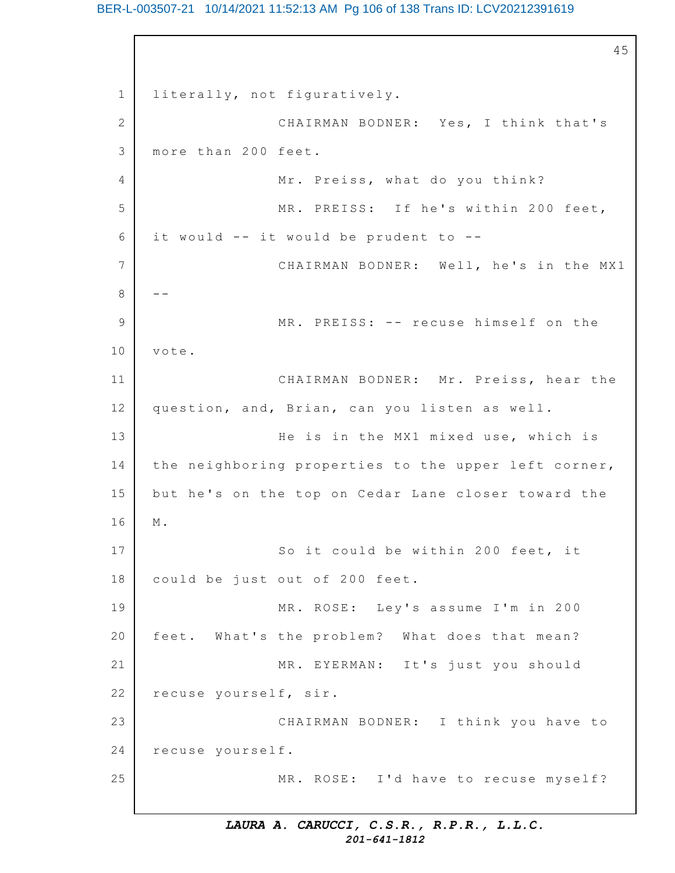# BER-L-003507-21 10/14/2021 11:52:13 AM Pg 106 of 138 Trans ID: LCV20212391619

1 2 3 4 5 6 7 8 9 10 11 12 13 14 15 16 17 18 19 20 21 22 23 24 25 45 literally, not figuratively. CHAIRMAN BODNER: Yes, I think that's more than 200 feet. Mr. Preiss, what do you think? MR. PREISS: If he's within 200 feet, it would  $--$  it would be prudent to  $--$ CHAIRMAN BODNER: Well, he's in the MX1  $- -$ MR. PREISS: -- recuse himself on the vote. CHAIRMAN BODNER: Mr. Preiss, hear the question, and, Brian, can you listen as well. He is in the MX1 mixed use, which is the neighboring properties to the upper left corner, but he's on the top on Cedar Lane closer toward the M. So it could be within 200 feet, it could be just out of 200 feet. MR. ROSE: Ley's assume I'm in 200 feet. What's the problem? What does that mean? MR. EYERMAN: It's just you should recuse yourself, sir. CHAIRMAN BODNER: I think you have to recuse yourself. MR. ROSE: I'd have to recuse myself?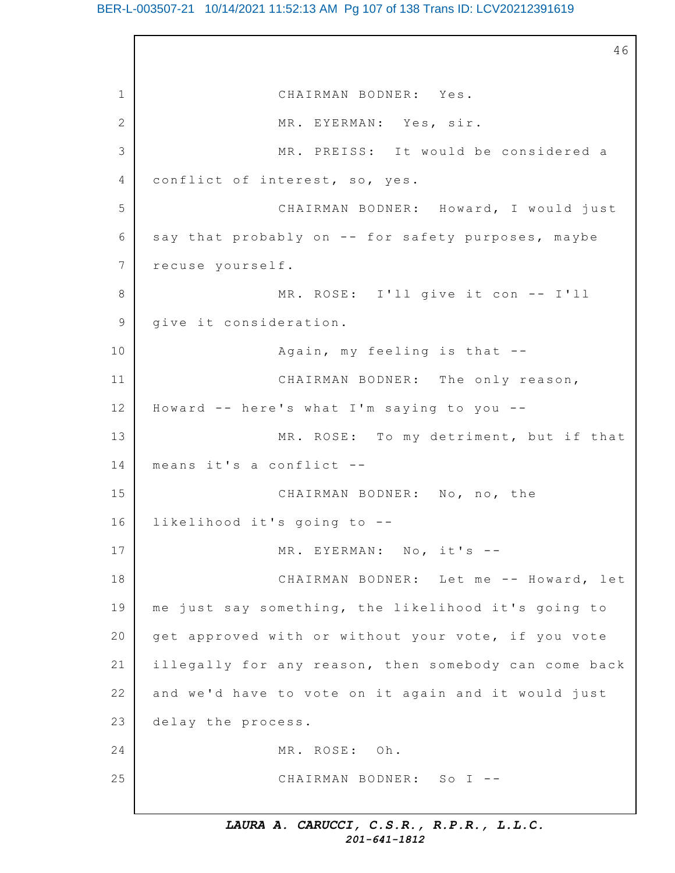# BER-L-003507-21 10/14/2021 11:52:13 AM Pg 107 of 138 Trans ID: LCV20212391619

1 2 3 4 5 6 7 8 9 10 11 12 13 14 15 16 17 18 19 20 21 22 23 24 25 46 CHAIRMAN BODNER: Yes. MR. EYERMAN: Yes, sir. MR. PREISS: It would be considered a conflict of interest, so, yes. CHAIRMAN BODNER: Howard, I would just say that probably on  $-$  for safety purposes, maybe recuse yourself. MR. ROSE: I'll give it con -- I'll give it consideration. Again, my feeling is that  $-$ -CHAIRMAN BODNER: The only reason, Howard  $--$  here's what I'm saying to you  $--$ MR. ROSE: To my detriment, but if that means it's a conflict --CHAIRMAN BODNER: No, no, the likelihood it's going to --MR. EYERMAN: No, it's --CHAIRMAN BODNER: Let me -- Howard, let me just say something, the likelihood it's going to get approved with or without your vote, if you vote illegally for any reason, then somebody can come back and we'd have to vote on it again and it would just delay the process. MR. ROSE: Oh. CHAIRMAN BODNER: So I --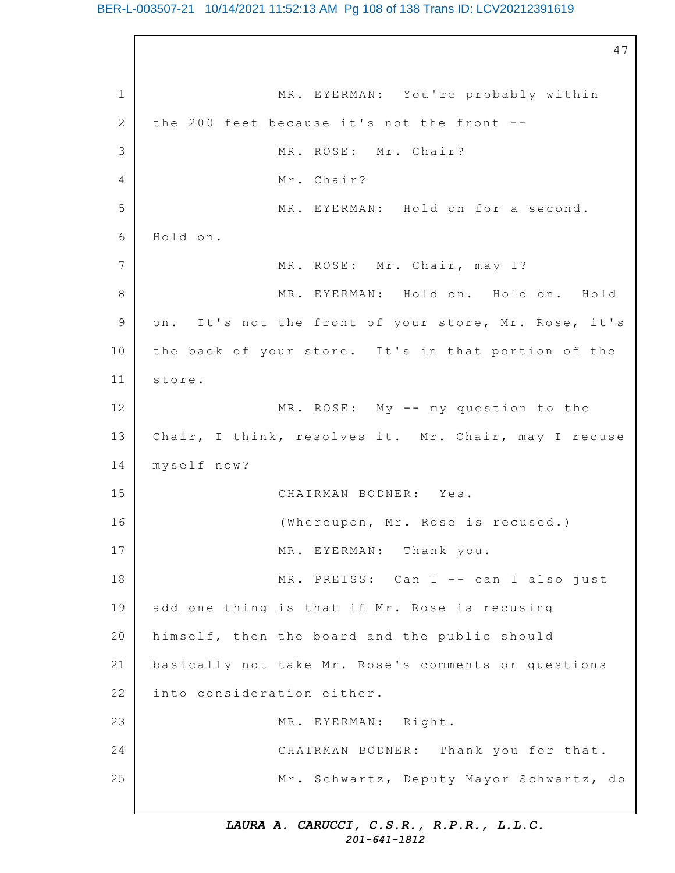### BER-L-003507-21 10/14/2021 11:52:13 AM Pg 108 of 138 Trans ID: LCV20212391619

1 2 3 4 5 6 7 8 9 10 11 12 13 14 15 16 17 18 19 20 21 22 23 24 25 47 MR. EYERMAN: You're probably within the 200 feet because it's not the front  $-$ -MR. ROSE: Mr. Chair? Mr. Chair? MR. EYERMAN: Hold on for a second. Hold on. MR. ROSE: Mr. Chair, may I? MR. EYERMAN: Hold on. Hold on. Hold on. It's not the front of your store, Mr. Rose, it's the back of your store. It's in that portion of the store. MR. ROSE: My -- my question to the Chair, I think, resolves it. Mr. Chair, may I recuse myself now? CHAIRMAN BODNER: Yes. (Whereupon, Mr. Rose is recused.) MR. EYERMAN: Thank you. MR. PREISS: Can I -- can I also just add one thing is that if Mr. Rose is recusing himself, then the board and the public should basically not take Mr. Rose's comments or questions into consideration either. MR. EYERMAN: Right. CHAIRMAN BODNER: Thank you for that. Mr. Schwartz, Deputy Mayor Schwartz, do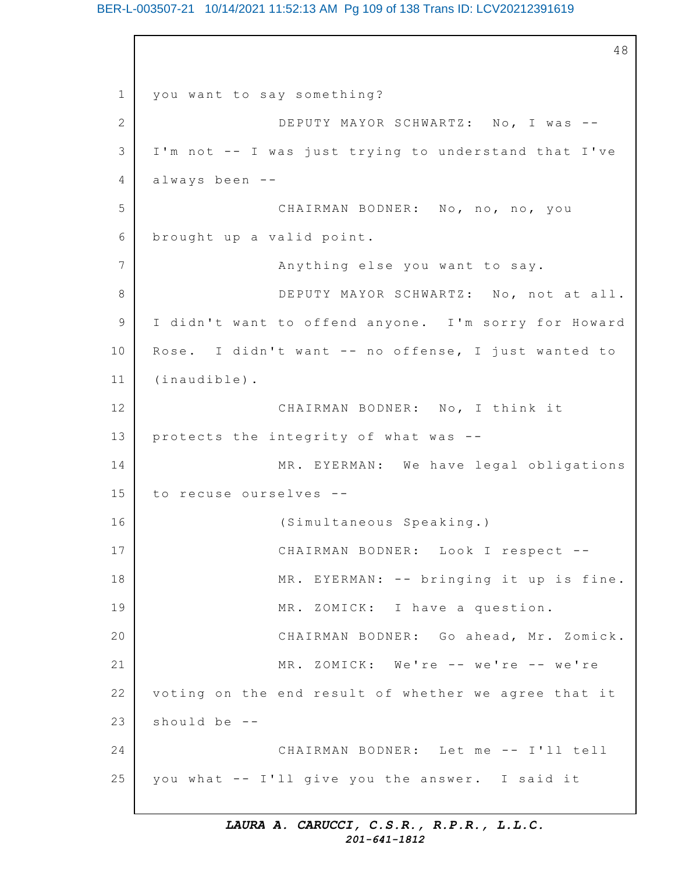# BER-L-003507-21 10/14/2021 11:52:13 AM Pg 109 of 138 Trans ID: LCV20212391619

1 2 3 4 5 6 7 8 9 10 11 12 13 14 15 16 17 18 19 20 21 22 23 24 25 48 you want to say something? DEPUTY MAYOR SCHWARTZ: No, I was --I'm not -- I was just trying to understand that I've always been -- CHAIRMAN BODNER: No, no, no, you brought up a valid point. Anything else you want to say. DEPUTY MAYOR SCHWARTZ: No, not at all. I didn't want to offend anyone. I'm sorry for Howard Rose. I didn't want  $--$  no offense, I just wanted to (inaudible). CHAIRMAN BODNER: No, I think it protects the integrity of what was  $-$ -MR. EYERMAN: We have legal obligations to recuse ourselves --(Simultaneous Speaking.) CHAIRMAN BODNER: Look I respect -- MR. EYERMAN: -- bringing it up is fine. MR. ZOMICK: I have a question. CHAIRMAN BODNER: Go ahead, Mr. Zomick.  $MR. ZOMICK: We're -- we're -- we're$ voting on the end result of whether we agree that it should be  $-$ -CHAIRMAN BODNER: Let me -- I'll tell you what -- I'll give you the answer. I said it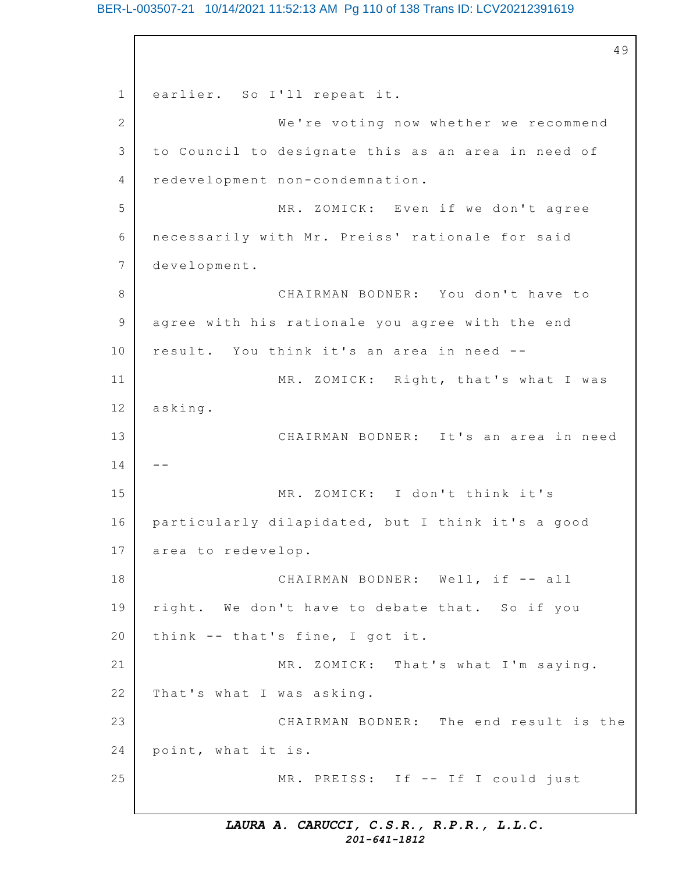# BER-L-003507-21 10/14/2021 11:52:13 AM Pg 110 of 138 Trans ID: LCV20212391619

1 2 3 4 5 6 7 8 9 10 11 12 13 14 15 16 17 18 19 20 21 22 23 24 25 49 earlier. So I'll repeat it. We're voting now whether we recommend to Council to designate this as an area in need of redevelopment non-condemnation. MR. ZOMICK: Even if we don't agree necessarily with Mr. Preiss' rationale for said development. CHAIRMAN BODNER: You don't have to agree with his rationale you agree with the end result. You think it's an area in need --MR. ZOMICK: Right, that's what I was asking. CHAIRMAN BODNER: It's an area in need -- MR. ZOMICK: I don't think it's particularly dilapidated, but I think it's a good area to redevelop. CHAIRMAN BODNER: Well, if -- all right. We don't have to debate that. So if you think  $--$  that's fine, I got it. MR. ZOMICK: That's what I'm saying. That's what I was asking. CHAIRMAN BODNER: The end result is the point, what it is. MR. PREISS: If -- If I could just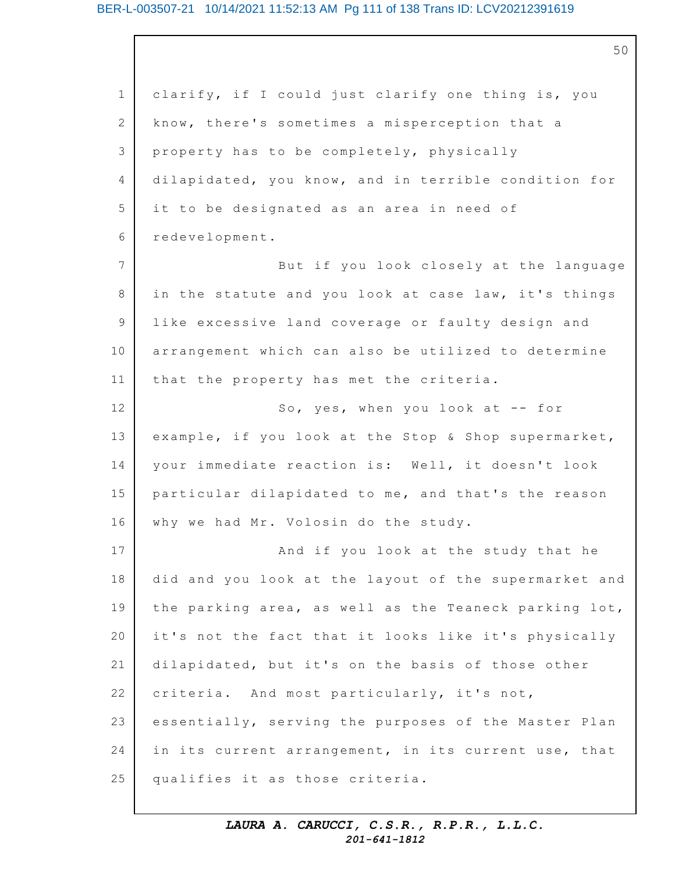50

1 2 3 4 5 6 7 8 9 10 11 12 13 14 15 16 17 18 19 20 21 22 23 24 25 clarify, if I could just clarify one thing is, you know, there's sometimes a misperception that a property has to be completely, physically dilapidated, you know, and in terrible condition for it to be designated as an area in need of redevelopment. But if you look closely at the language in the statute and you look at case law, it's things like excessive land coverage or faulty design and arrangement which can also be utilized to determine that the property has met the criteria. So, yes, when you look at  $-$  for example, if you look at the Stop & Shop supermarket, your immediate reaction is: Well, it doesn't look particular dilapidated to me, and that's the reason why we had Mr. Volosin do the study. And if you look at the study that he did and you look at the layout of the supermarket and the parking area, as well as the Teaneck parking lot, it's not the fact that it looks like it's physically dilapidated, but it's on the basis of those other criteria. And most particularly, it's not, essentially, serving the purposes of the Master Plan in its current arrangement, in its current use, that qualifies it as those criteria.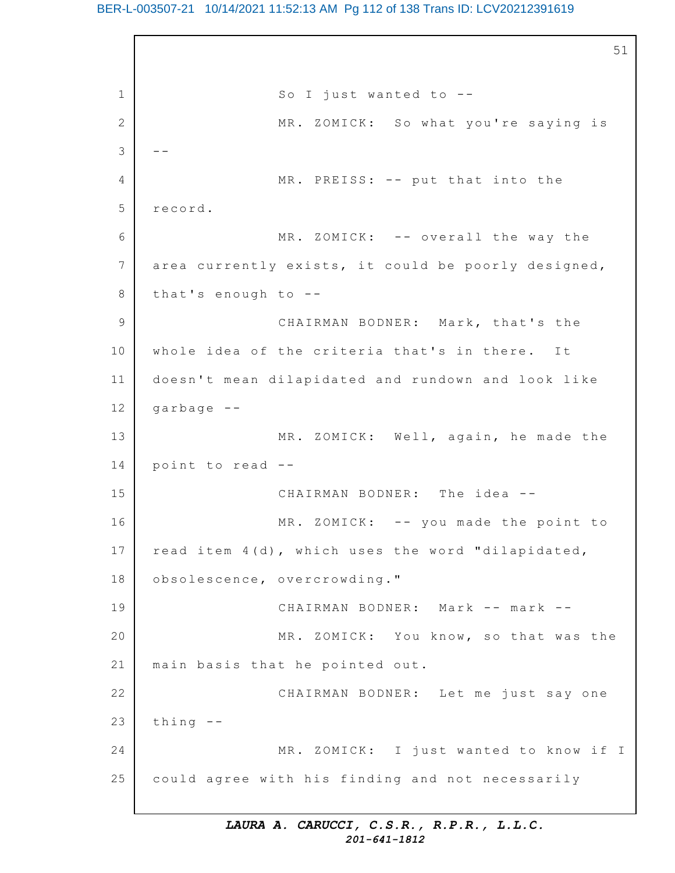# BER-L-003507-21 10/14/2021 11:52:13 AM Pg 112 of 138 Trans ID: LCV20212391619

1 2 3 4 5 6 7 8 9 10 11 12 13 14 15 16 17 18 19 20 21 22 23 24 25 51 So I just wanted to  $-$ -MR. ZOMICK: So what you're saying is -- MR. PREISS: -- put that into the record. MR. ZOMICK: -- overall the way the area currently exists, it could be poorly designed, that's enough to  $-$ -CHAIRMAN BODNER: Mark, that's the whole idea of the criteria that's in there. It doesn't mean dilapidated and rundown and look like garbage -- MR. ZOMICK: Well, again, he made the point to read --CHAIRMAN BODNER: The idea -- MR. ZOMICK: -- you made the point to read item 4(d), which uses the word "dilapidated, obsolescence, overcrowding." CHAIRMAN BODNER: Mark -- mark -- MR. ZOMICK: You know, so that was the main basis that he pointed out. CHAIRMAN BODNER: Let me just say one thing -- MR. ZOMICK: I just wanted to know if I could agree with his finding and not necessarily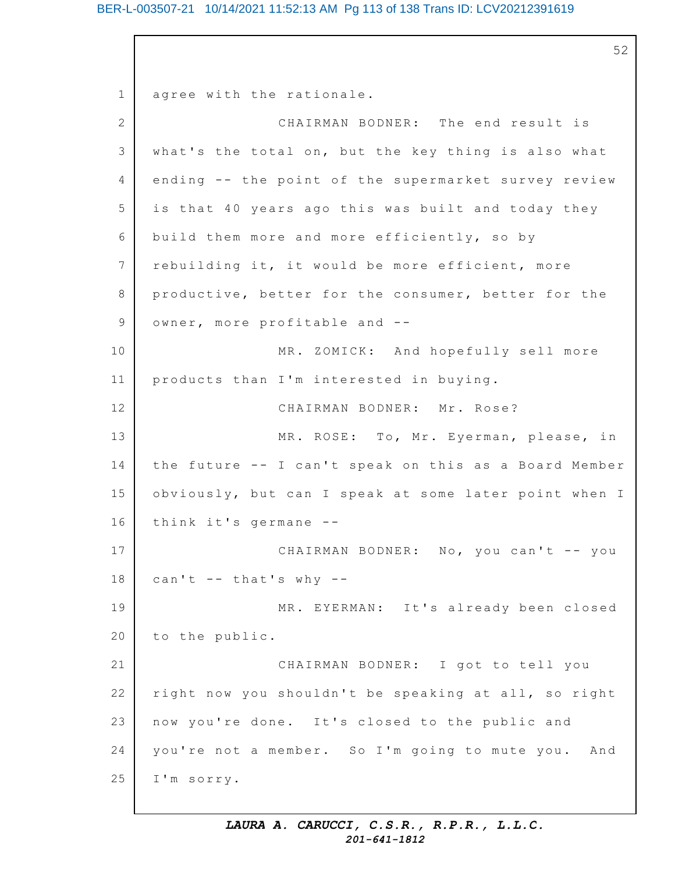# BER-L-003507-21 10/14/2021 11:52:13 AM Pg 113 of 138 Trans ID: LCV20212391619

52

1 2 3 4 5 6 7 8 9 10 11 12 13 14 15 16 17 18 19 20 21 22 23 24 25 agree with the rationale. CHAIRMAN BODNER: The end result is what's the total on, but the key thing is also what ending -- the point of the supermarket survey review is that 40 years ago this was built and today they build them more and more efficiently, so by rebuilding it, it would be more efficient, more productive, better for the consumer, better for the owner, more profitable and -- MR. ZOMICK: And hopefully sell more products than I'm interested in buying. CHAIRMAN BODNER: Mr. Rose? MR. ROSE: To, Mr. Eyerman, please, in the future -- I can't speak on this as a Board Member obviously, but can I speak at some later point when I think it's germane  $-$ -CHAIRMAN BODNER: No, you can't -- you can't  $--$  that's why  $--$ MR. EYERMAN: It's already been closed to the public. CHAIRMAN BODNER: I got to tell you right now you shouldn't be speaking at all, so right now you're done. It's closed to the public and you're not a member. So I'm going to mute you. And I'm sorry.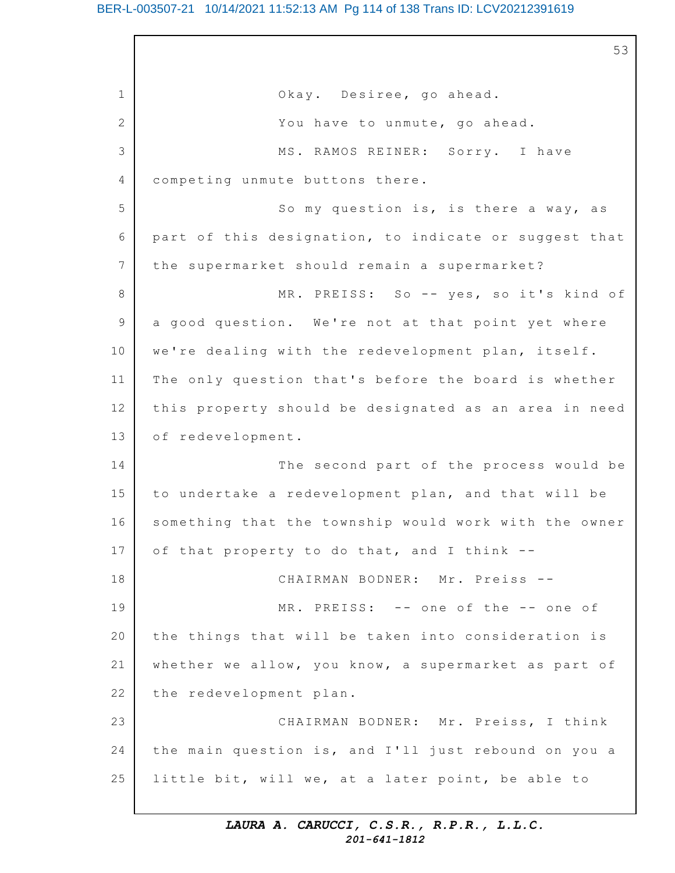# BER-L-003507-21 10/14/2021 11:52:13 AM Pg 114 of 138 Trans ID: LCV20212391619

1 2 3 4 5 6 7 8 9 10 11 12 13 14 15 16 17 18 19 20 21 22 23 24 25 53 Okay. Desiree, go ahead. You have to unmute, go ahead. MS. RAMOS REINER: Sorry. I have competing unmute buttons there. So my question is, is there a way, as part of this designation, to indicate or suggest that the supermarket should remain a supermarket? MR. PREISS: So -- yes, so it's kind of a good question. We're not at that point yet where we're dealing with the redevelopment plan, itself. The only question that's before the board is whether this property should be designated as an area in need of redevelopment. The second part of the process would be to undertake a redevelopment plan, and that will be something that the township would work with the owner of that property to do that, and I think  $--$ CHAIRMAN BODNER: Mr. Preiss --MR. PREISS: -- one of the -- one of the things that will be taken into consideration is whether we allow, you know, a supermarket as part of the redevelopment plan. CHAIRMAN BODNER: Mr. Preiss, I think the main question is, and I'll just rebound on you a little bit, will we, at a later point, be able to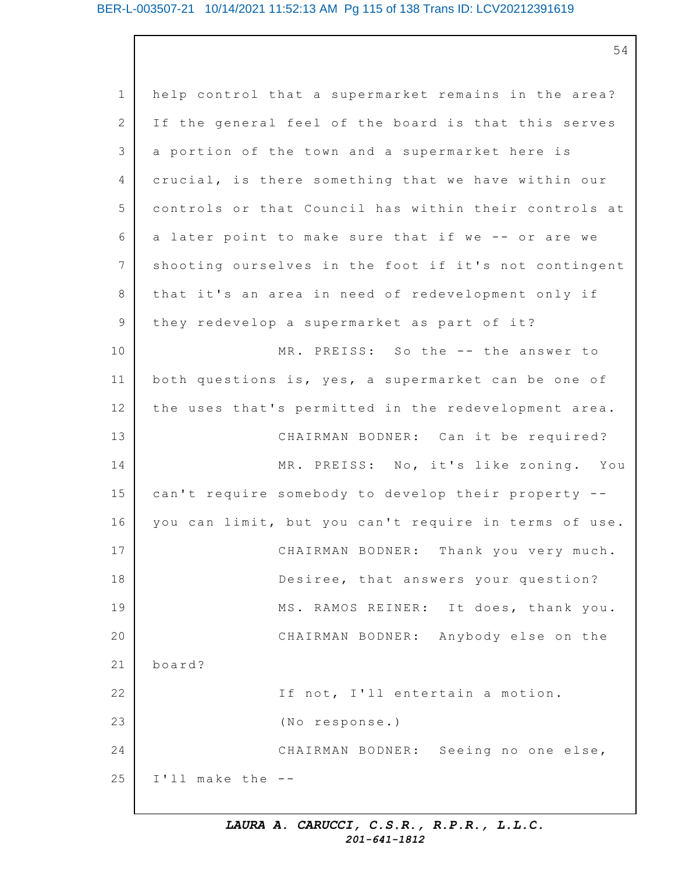# BER-L-003507-21 10/14/2021 11:52:13 AM Pg 115 of 138 Trans ID: LCV20212391619

54

1 2 3 4 5 6 7 8 9 10 11 12 13 14 15 16 17 18 19 20 21 22 23 24 25 help control that a supermarket remains in the area? If the general feel of the board is that this serves a portion of the town and a supermarket here is crucial, is there something that we have within our controls or that Council has within their controls at a later point to make sure that if we -- or are we shooting ourselves in the foot if it's not contingent that it's an area in need of redevelopment only if they redevelop a supermarket as part of it? MR. PREISS: So the -- the answer to both questions is, yes, a supermarket can be one of the uses that's permitted in the redevelopment area. CHAIRMAN BODNER: Can it be required? MR. PREISS: No, it's like zoning. You can't require somebody to develop their property -you can limit, but you can't require in terms of use. CHAIRMAN BODNER: Thank you very much. Desiree, that answers your question? MS. RAMOS REINER: It does, thank you. CHAIRMAN BODNER: Anybody else on the board? If not, I'll entertain a motion. (No response.) CHAIRMAN BODNER: Seeing no one else, I'll make the --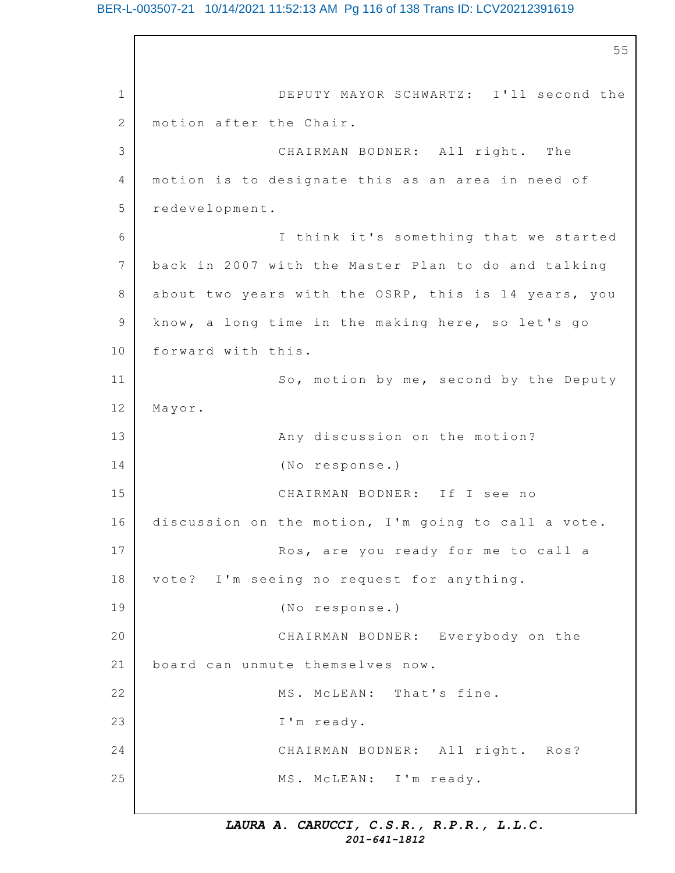# BER-L-003507-21 10/14/2021 11:52:13 AM Pg 116 of 138 Trans ID: LCV20212391619

1 2 3 4 5 6 7 8 9 10 11 12 13 14 15 16 17 18 19 20 21 22 23 24 25 55 DEPUTY MAYOR SCHWARTZ: I'll second the motion after the Chair. CHAIRMAN BODNER: All right. The motion is to designate this as an area in need of redevelopment. I think it's something that we started back in 2007 with the Master Plan to do and talking about two years with the OSRP, this is 14 years, you know, a long time in the making here, so let's go forward with this. So, motion by me, second by the Deputy Mayor. Any discussion on the motion? (No response.) CHAIRMAN BODNER: If I see no discussion on the motion, I'm going to call a vote. Ros, are you ready for me to call a vote? I'm seeing no request for anything. (No response.) CHAIRMAN BODNER: Everybody on the board can unmute themselves now. MS. McLEAN: That's fine. I'm ready. CHAIRMAN BODNER: All right. Ros? MS. McLEAN: I'm ready.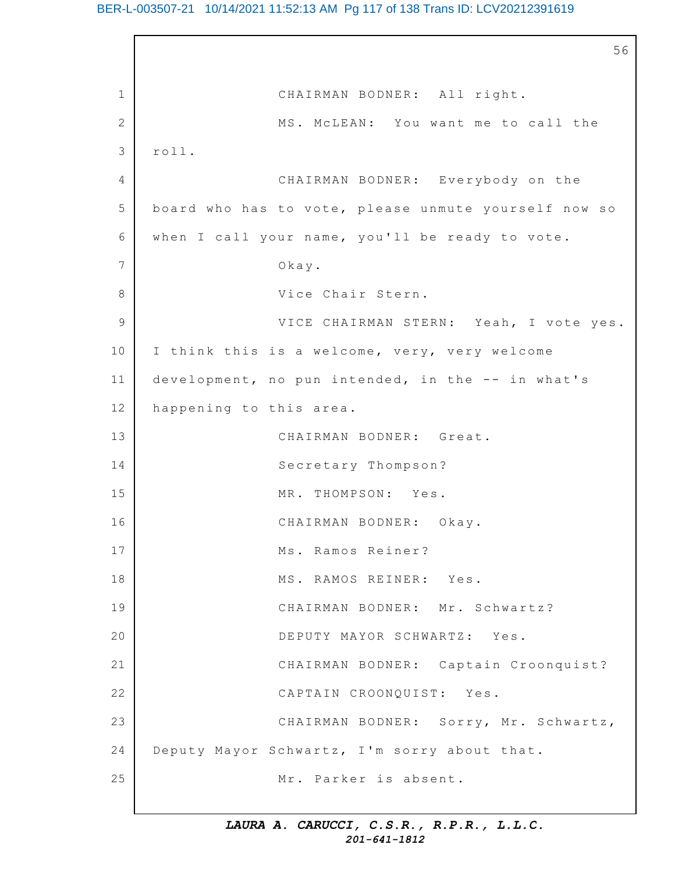1 2 3 4 5 6 7 8 9 10 11 12 13 14 15 16 17 18 19 20 21 22 23 24 25 56 CHAIRMAN BODNER: All right. MS. MCLEAN: You want me to call the roll. CHAIRMAN BODNER: Everybody on the board who has to vote, please unmute yourself now so when I call your name, you'll be ready to vote. Okay. Vice Chair Stern. VICE CHAIRMAN STERN: Yeah, I vote yes. I think this is a welcome, very, very welcome development, no pun intended, in the  $--$  in what's happening to this area. CHAIRMAN BODNER: Great. Secretary Thompson? MR. THOMPSON: Yes. CHAIRMAN BODNER: Okay. Ms. Ramos Reiner? MS. RAMOS REINER: Yes. CHAIRMAN BODNER: Mr. Schwartz? DEPUTY MAYOR SCHWARTZ: Yes. CHAIRMAN BODNER: Captain Croonquist? CAPTAIN CROONQUIST: Yes. CHAIRMAN BODNER: Sorry, Mr. Schwartz, Deputy Mayor Schwartz, I'm sorry about that. Mr. Parker is absent.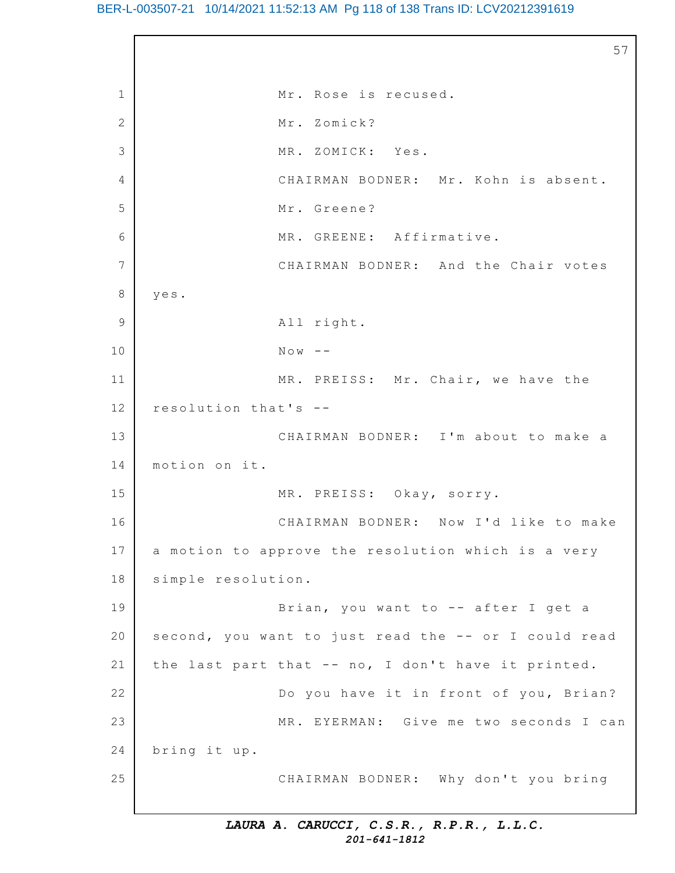# BER-L-003507-21 10/14/2021 11:52:13 AM Pg 118 of 138 Trans ID: LCV20212391619

1 2 3 4 5 6 7 8 9 10 11 12 13 14 15 16 17 18 19 20 21 22 23 24 25 57 Mr. Rose is recused. Mr. Zomick? MR. ZOMICK: Yes. CHAIRMAN BODNER: Mr. Kohn is absent. Mr. Greene? MR. GREENE: Affirmative. CHAIRMAN BODNER: And the Chair votes yes. All right.  $N \circ w$  --MR. PREISS: Mr. Chair, we have the resolution that's -- CHAIRMAN BODNER: I'm about to make a motion on it. MR. PREISS: Okay, sorry. CHAIRMAN BODNER: Now I'd like to make a motion to approve the resolution which is a very simple resolution. Brian, you want to  $-$  after I get a second, you want to just read the  $-$ - or I could read the last part that  $-$ - no, I don't have it printed. Do you have it in front of you, Brian? MR. EYERMAN: Give me two seconds I can bring it up. CHAIRMAN BODNER: Why don't you bring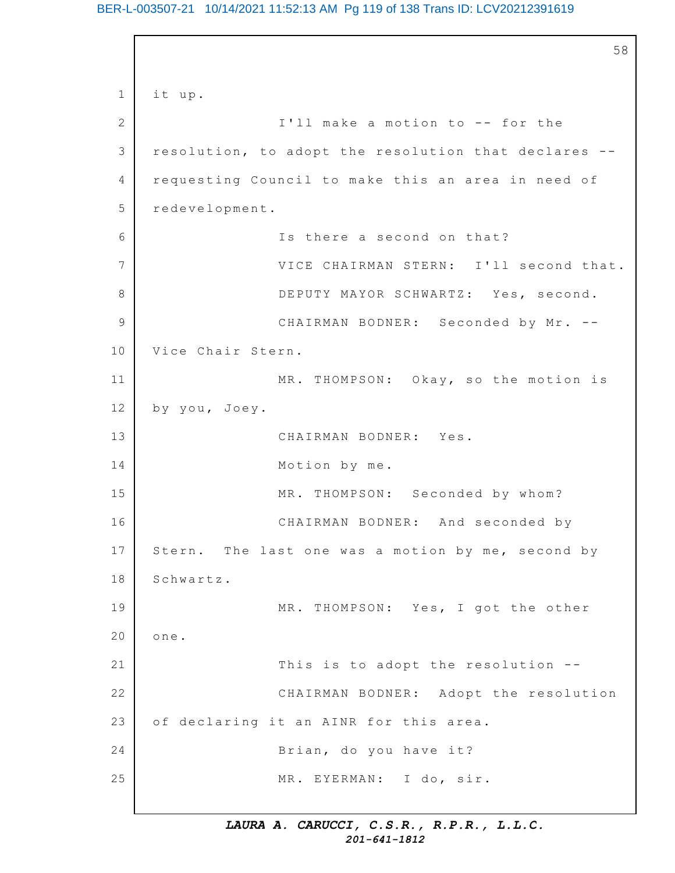# BER-L-003507-21 10/14/2021 11:52:13 AM Pg 119 of 138 Trans ID: LCV20212391619

```
1
2
3
4
5
6
7
8
9
10
11
12
13
14
15
16
17
18
19
20
21
22
23
24
25
                                                          58
    it up.
                   I'll make a motion to -- for the
    resolution, to adopt the resolution that declares --
    requesting Council to make this an area in need of
    redevelopment.
                   Is there a second on that?
                   VICE CHAIRMAN STERN: I'll second that.
                   DEPUTY MAYOR SCHWARTZ: Yes, second.
                   CHAIRMAN BODNER: Seconded by Mr. --
    Vice Chair Stern.
                   MR. THOMPSON: Okay, so the motion is
    by you, Joey.
                   CHAIRMAN BODNER: Yes.
                   Motion by me.
                   MR. THOMPSON: Seconded by whom?
                   CHAIRMAN BODNER: And seconded by
    Stern. The last one was a motion by me, second by
    Schwartz.
                   MR. THOMPSON: Yes, I got the other
    one.
                   This is to adopt the resolution --
                   CHAIRMAN BODNER: Adopt the resolution
    of declaring it an AINR for this area.
                   Brian, do you have it?
                   MR. EYERMAN: I do, sir.
```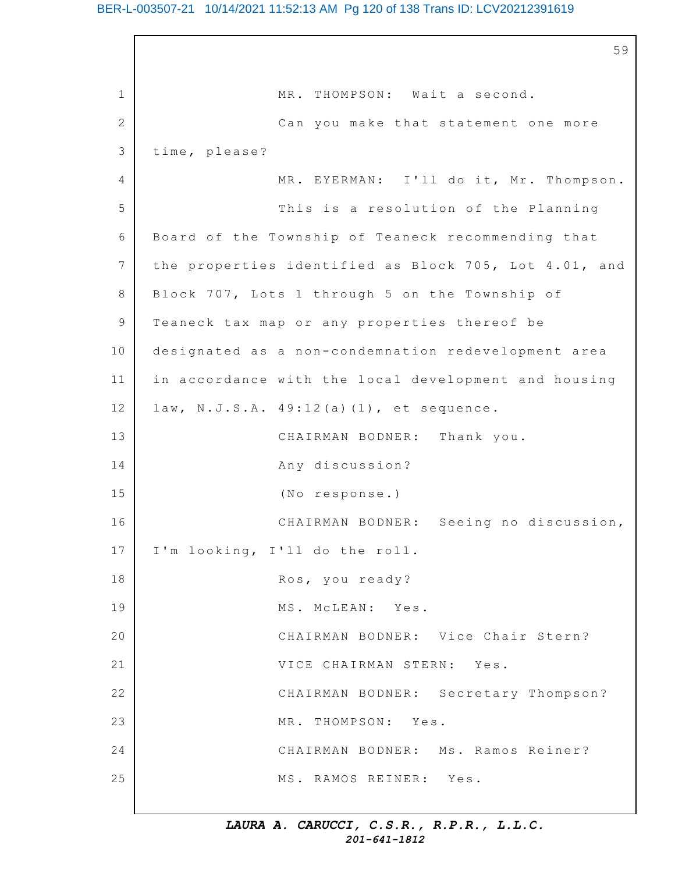1 2 3  $\Delta$ 5 6 7 8 9 10 11 12 13 14 15 16 17 18 19 20 21 22 23 24 25 59 MR. THOMPSON: Wait a second. Can you make that statement one more time, please? MR. EYERMAN: I'll do it, Mr. Thompson. This is a resolution of the Planning Board of the Township of Teaneck recommending that the properties identified as Block 705, Lot 4.01, and Block 707, Lots 1 through 5 on the Township of Teaneck tax map or any properties thereof be designated as a non-condemnation redevelopment area in accordance with the local development and housing law, N.J.S.A.  $49:12(a)(1)$ , et sequence. CHAIRMAN BODNER: Thank you. Any discussion? (No response.) CHAIRMAN BODNER: Seeing no discussion, I'm looking, I'll do the roll. Ros, you ready? MS. McLEAN: Yes. CHAIRMAN BODNER: Vice Chair Stern? VICE CHAIRMAN STERN: Yes. CHAIRMAN BODNER: Secretary Thompson? MR. THOMPSON: Yes. CHAIRMAN BODNER: Ms. Ramos Reiner? MS. RAMOS REINER: Yes.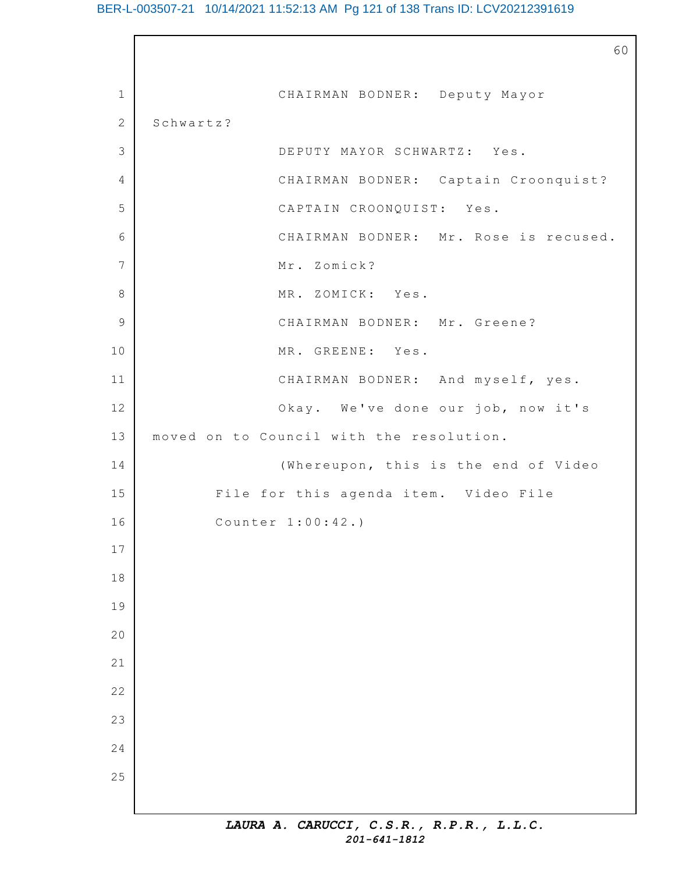# BER-L-003507-21 10/14/2021 11:52:13 AM Pg 121 of 138 Trans ID: LCV20212391619

 $\Gamma$ 

|                | 60                                       |
|----------------|------------------------------------------|
| $\mathbf 1$    | CHAIRMAN BODNER: Deputy Mayor            |
| 2              | Schwartz?                                |
| $\mathfrak{Z}$ | DEPUTY MAYOR SCHWARTZ: Yes.              |
| 4              | CHAIRMAN BODNER: Captain Croonquist?     |
| 5              | CAPTAIN CROONQUIST: Yes.                 |
| 6              | CHAIRMAN BODNER: Mr. Rose is recused.    |
| $\overline{7}$ | Mr. Zomick?                              |
| $\,8\,$        | MR. ZOMICK: Yes.                         |
| $\mathcal{G}$  | CHAIRMAN BODNER: Mr. Greene?             |
| 10             | MR. GREENE: Yes.                         |
| 11             | CHAIRMAN BODNER: And myself, yes.        |
| 12             | Okay. We've done our job, now it's       |
| 13             | moved on to Council with the resolution. |
| 14             | (Whereupon, this is the end of Video     |
| 15             | File for this agenda item. Video File    |
| 16             | Counter 1:00:42.)                        |
| 17             |                                          |
| $1\,8$         |                                          |
| 19             |                                          |
| 20             |                                          |
| 21             |                                          |
| 22             |                                          |
| 23             |                                          |
| 24             |                                          |
| 25             |                                          |
|                |                                          |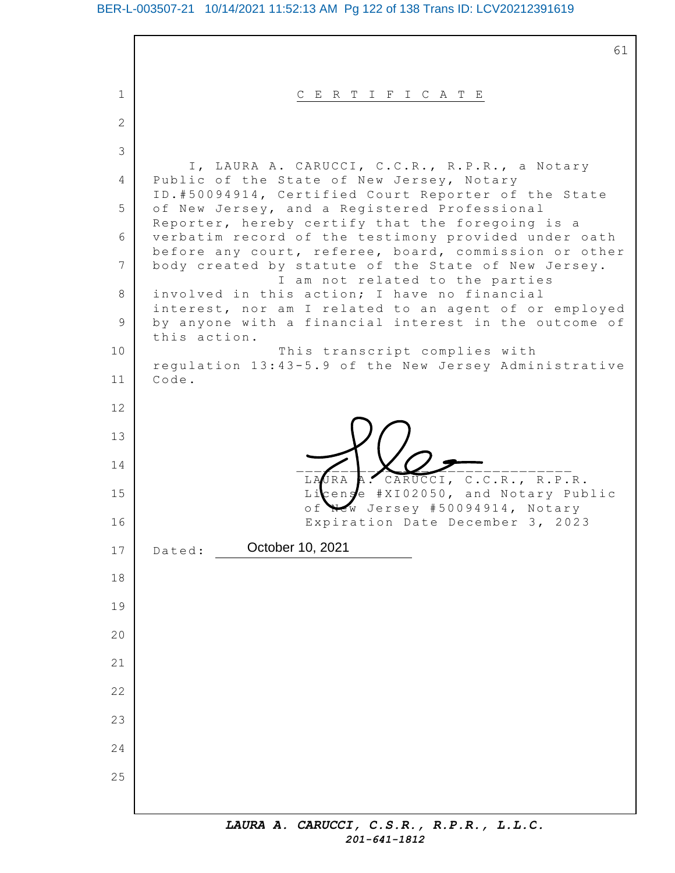1 2 3 4 5 6 7 8 9 10 11 12 13 14 15 16 17 18 19 20 21 22 23 24 25 61 C E R T I F I C A T E I, LAURA A. CARUCCI, C.C.R., R.P.R., a Notary Public of the State of New Jersey, Notary ID.#50094914, Certified Court Reporter of the State of New Jersey, and a Registered Professional Reporter, hereby certify that the foregoing is a verbatim record of the testimony provided under oath before any court, referee, board, commission or other body created by statute of the State of New Jersey. I am not related to the parties involved in this action; I have no financial interest, nor am I related to an agent of or employed by anyone with a financial interest in the outcome of this action. This transcript complies with regulation 13:43-5.9 of the New Jersey Administrative Code. \_\_\_\_\_\_\_\_\_\_\_\_\_\_\_\_\_\_\_\_\_\_\_\_\_\_\_\_\_\_\_ LAURA A. CARUCCI, C.C.R., R.P.R. License #XI02050, and Notary Public of New Jersey #50094914, Notary Expiration Date December 3, 2023 Dated: **October 10, 2021**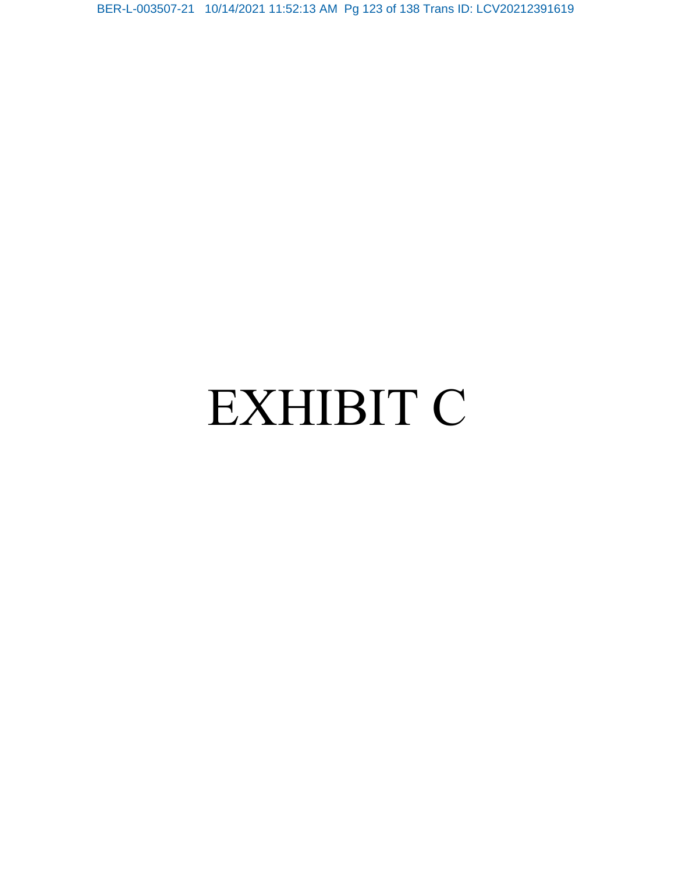BER-L-003507-21 10/14/2021 11:52:13 AM Pg 123 of 138 Trans ID: LCV20212391619

# EXHIBIT C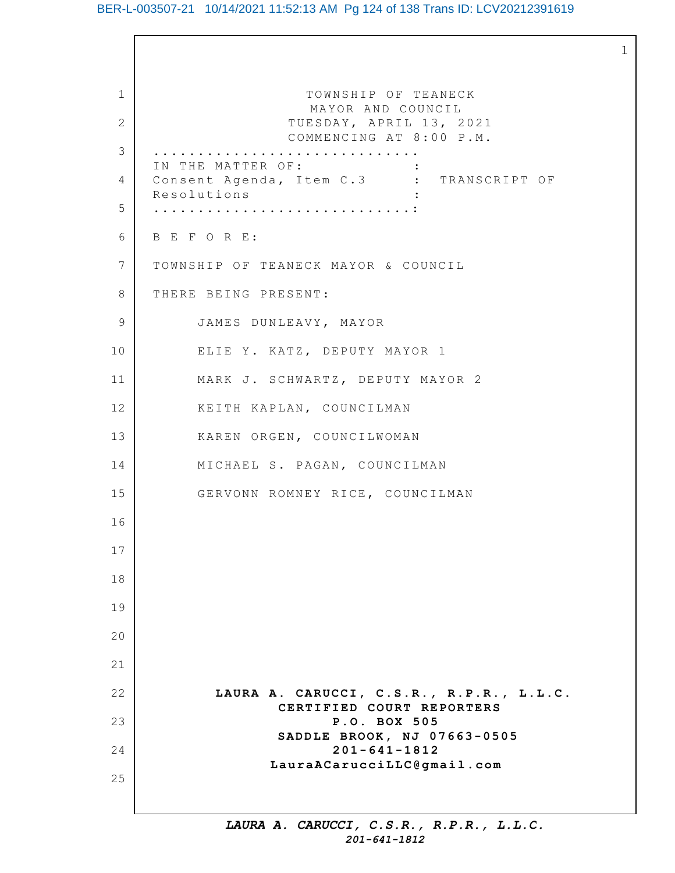# BER-L-003507-21 10/14/2021 11:52:13 AM Pg 124 of 138 Trans ID: LCV20212391619

1

1 2 3 4 5 6 7 8 9 10 11 12 13 14 15 16 17 18 19 20 21 22 23 24 25 TOWNSHIP OF TEANECK MAYOR AND COUNCIL TUESDAY, APRIL 13, 2021 COMMENCING AT 8:00 P.M. .............................. IN THE MATTER OF: Consent Agenda, Item C.3 : TRANSCRIPT OF Resolutions : .............................: B E F O R E: TOWNSHIP OF TEANECK MAYOR & COUNCIL THERE BEING PRESENT: JAMES DUNLEAVY, MAYOR ELIE Y. KATZ, DEPUTY MAYOR 1 MARK J. SCHWARTZ, DEPUTY MAYOR 2 KEITH KAPLAN, COUNCILMAN KAREN ORGEN, COUNCILWOMAN MICHAEL S. PAGAN, COUNCILMAN GERVONN ROMNEY RICE, COUNCILMAN **LAURA A. CARUCCI, C.S.R., R.P.R., L.L.C. CERTIFIED COURT REPORTERS P.O. BOX 505** SADDLE **BROOK, NJ 07663-0505 201-641-1812 LauraACarucciLLC@gmail.com**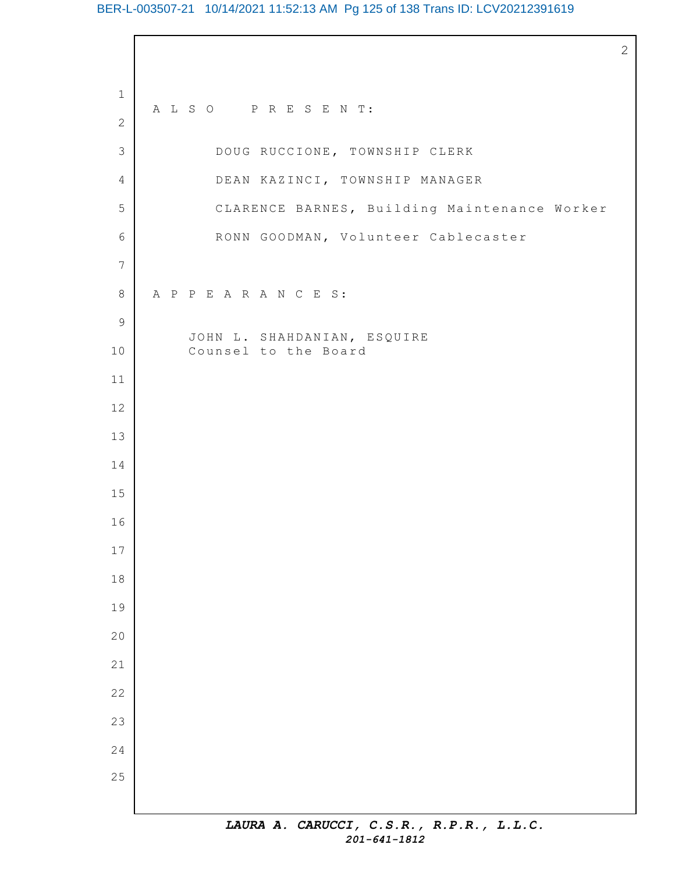# BER-L-003507-21 10/14/2021 11:52:13 AM Pg 125 of 138 Trans ID: LCV20212391619

 A L S O P R E S E N T: DOUG RUCCIONE, TOWNSHIP CLERK DEAN KAZINCI, TOWNSHIP MANAGER CLARENCE BARNES, Building Maintenance Worker RONN GOODMAN, Volunteer Cablecaster A P P E A R A N C E S: JOHN L. SHAHDANIAN, ESQUIRE Counsel to the Board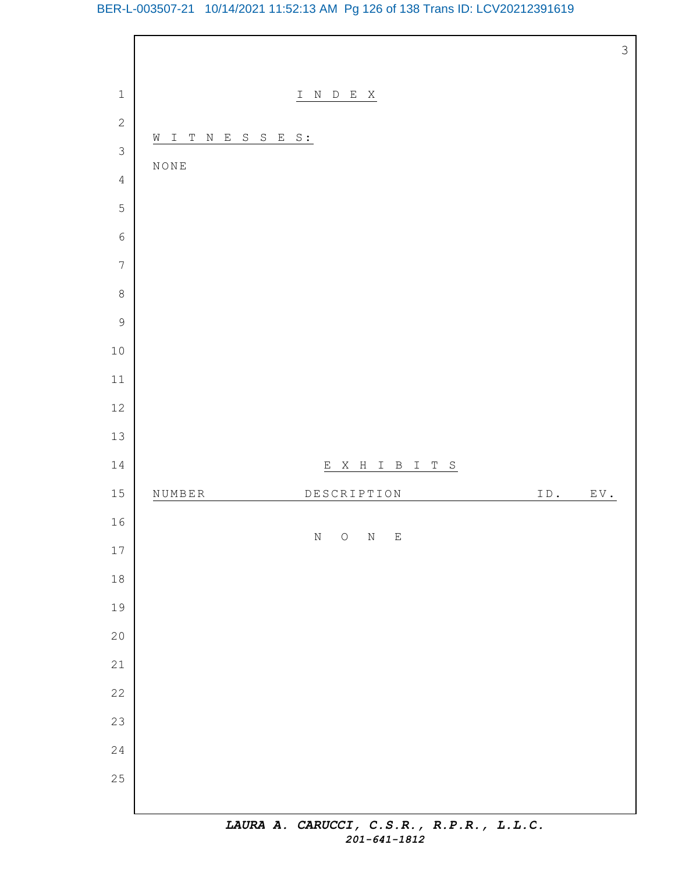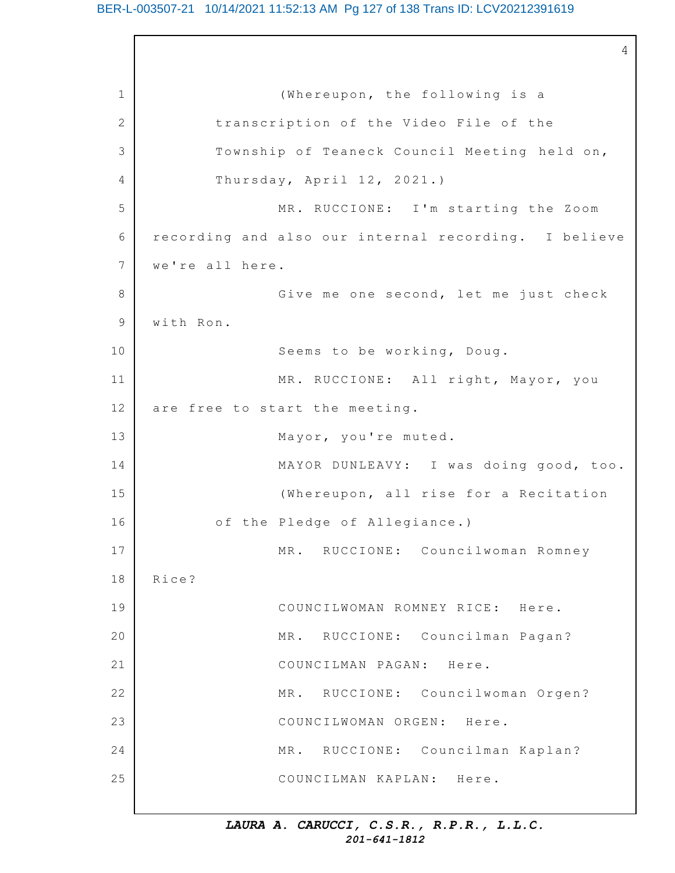4

1 2 3 4 5 6 7 8 9 10 11 12 13 14 15 16 17 18 19 20 21 22 23 24 25 (Whereupon, the following is a transcription of the Video File of the Township of Teaneck Council Meeting held on, Thursday, April  $12$ ,  $2021$ .) MR. RUCCIONE: I'm starting the Zoom recording and also our internal recording. I believe we're all here. Give me one second, let me just check with Ron. Seems to be working, Doug. MR. RUCCIONE: All right, Mayor, you are free to start the meeting. Mayor, you're muted. MAYOR DUNLEAVY: I was doing good, too. (Whereupon, all rise for a Recitation of the Pledge of Allegiance.) MR. RUCCIONE: Councilwoman Romney Rice? COUNCILWOMAN ROMNEY RICE: Here. MR. RUCCIONE: Councilman Pagan? COUNCILMAN PAGAN: Here. MR. RUCCIONE: Councilwoman Orgen? COUNCILWOMAN ORGEN: Here. MR. RUCCIONE: Councilman Kaplan? COUNCILMAN KAPLAN: Here.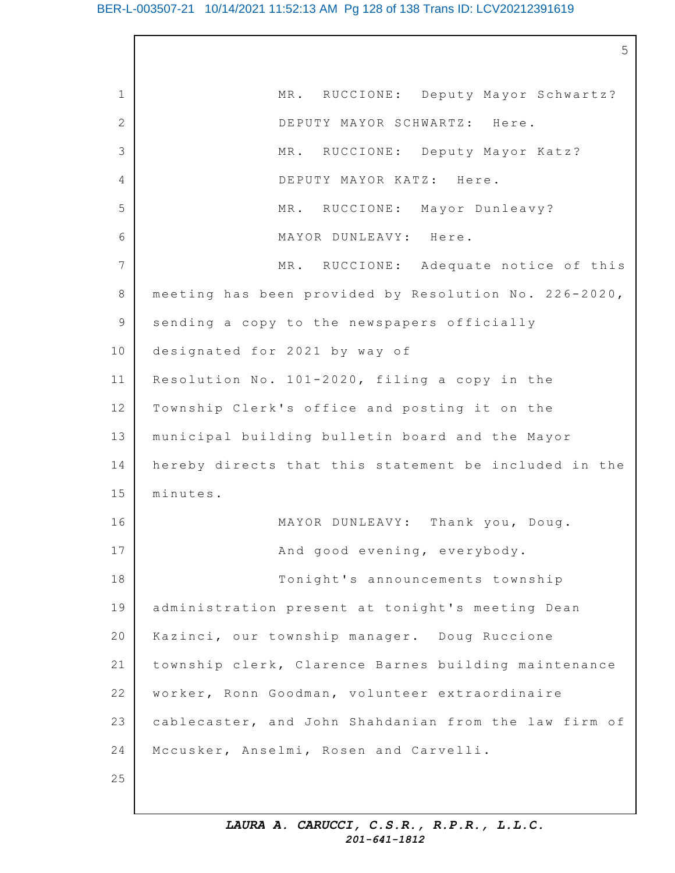|             | 5                                                     |
|-------------|-------------------------------------------------------|
| $\mathbf 1$ | MR. RUCCIONE: Deputy Mayor Schwartz?                  |
| 2           | DEPUTY MAYOR SCHWARTZ: Here.                          |
| 3           | MR. RUCCIONE: Deputy Mayor Katz?                      |
| 4           | DEPUTY MAYOR KATZ: Here.                              |
| 5           | MR. RUCCIONE: Mayor Dunleavy?                         |
| 6           | MAYOR DUNLEAVY: Here.                                 |
| 7           | MR. RUCCIONE: Adequate notice of this                 |
| 8           | meeting has been provided by Resolution No. 226-2020, |
| 9           | sending a copy to the newspapers officially           |
| 10          | designated for 2021 by way of                         |
| 11          | Resolution No. 101-2020, filing a copy in the         |
| 12          | Township Clerk's office and posting it on the         |
| 13          | municipal building bulletin board and the Mayor       |
| 14          | hereby directs that this statement be included in the |
| 15          | minutes.                                              |
| 16          | MAYOR DUNLEAVY: Thank you, Doug.                      |
| 17          | And good evening, everybody.                          |
| 18          | Tonight's announcements township                      |
| 19          | administration present at tonight's meeting Dean      |
| 20          | Kazinci, our township manager. Doug Ruccione          |
| 21          | township clerk, Clarence Barnes building maintenance  |
| 22          | worker, Ronn Goodman, volunteer extraordinaire        |
| 23          | cablecaster, and John Shahdanian from the law firm of |
| 24          | Mccusker, Anselmi, Rosen and Carvelli.                |
| 25          |                                                       |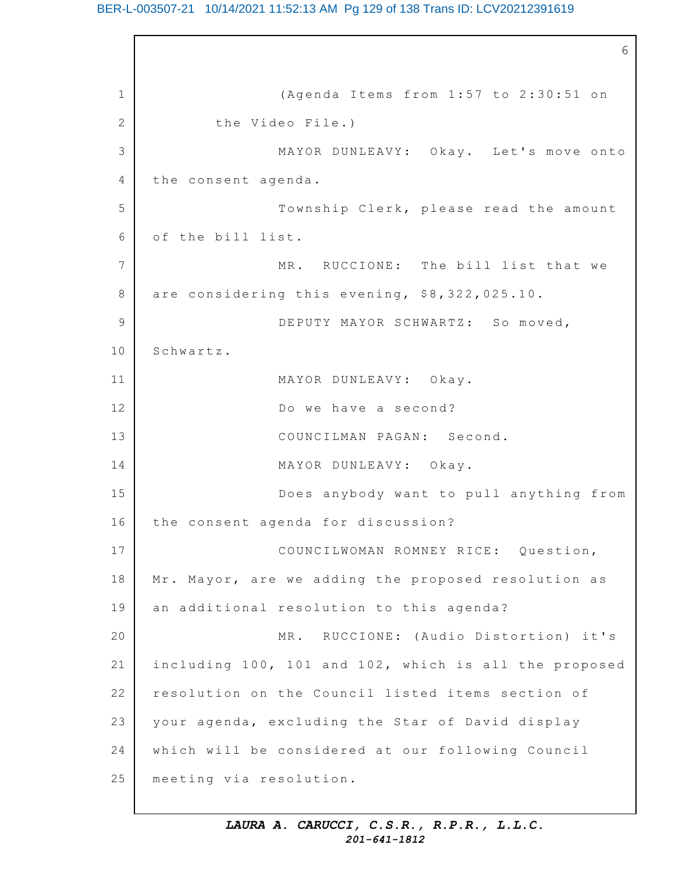# BER-L-003507-21 10/14/2021 11:52:13 AM Pg 129 of 138 Trans ID: LCV20212391619

1 2 3 4 5 6 7 8 9 10 11 12 13 14 15 16 17 18 19 20 21 22 23 24 25 6 (Agenda Items from  $1:57$  to  $2:30:51$  on the Video File.) MAYOR DUNLEAVY: Okay. Let's move onto the consent agenda. Township Clerk, please read the amount of the bill list. MR. RUCCIONE: The bill list that we are considering this evening, \$8,322,025.10. DEPUTY MAYOR SCHWARTZ: So moved, Schwartz. MAYOR DUNLEAVY: Okay. Do we have a second? COUNCILMAN PAGAN: Second. MAYOR DUNLEAVY: Okay. Does anybody want to pull anything from the consent agenda for discussion? COUNCILWOMAN ROMNEY RICE: Question, Mr. Mayor, are we adding the proposed resolution as an additional resolution to this agenda? MR. RUCCIONE: (Audio Distortion) it's including 100, 101 and 102, which is all the proposed resolution on the Council listed items section of your agenda, excluding the Star of David display which will be considered at our following Council meeting via resolution.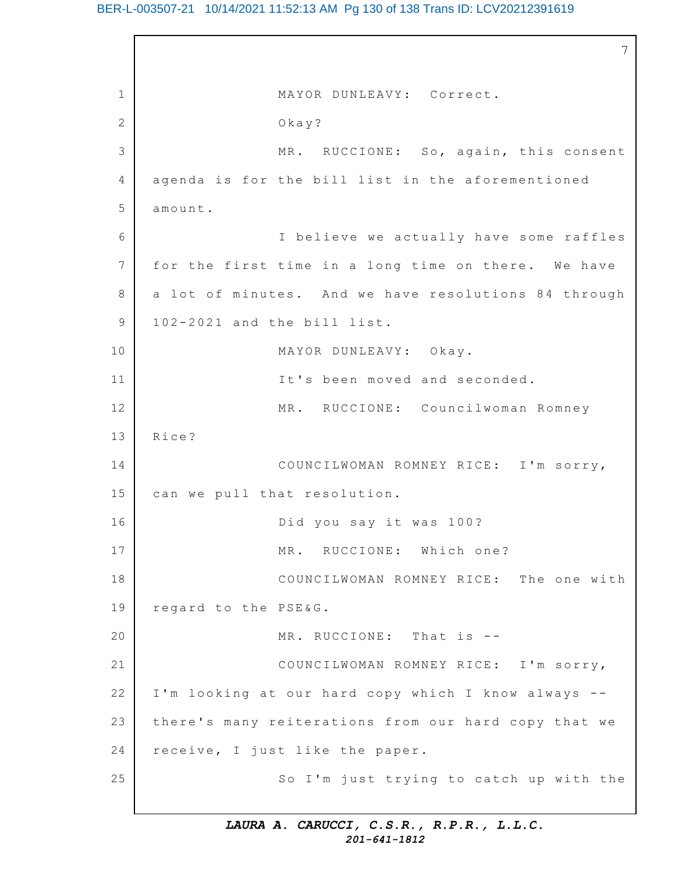# BER-L-003507-21 10/14/2021 11:52:13 AM Pg 130 of 138 Trans ID: LCV20212391619

1 2 3 4 5 6 7 8 9 10 11 12 13 14 15 16 17 18 19 20 21 22 23 24 25 7 MAYOR DUNLEAVY: Correct. Okay? MR. RUCCIONE: So, again, this consent agenda is for the bill list in the aforementioned amount. I believe we actually have some raffles for the first time in a long time on there. We have a lot of minutes. And we have resolutions 84 through 102-2021 and the bill list. MAYOR DUNLEAVY: Okay. It's been moved and seconded. MR. RUCCIONE: Councilwoman Romney Rice? COUNCILWOMAN ROMNEY RICE: I'm sorry, can we pull that resolution. Did you say it was 100? MR. RUCCIONE: Which one? COUNCILWOMAN ROMNEY RICE: The one with regard to the PSE&G. MR. RUCCIONE: That is --COUNCILWOMAN ROMNEY RICE: I'm sorry, I'm looking at our hard copy which I know always -there's many reiterations from our hard copy that we receive, I just like the paper. So I'm just trying to catch up with the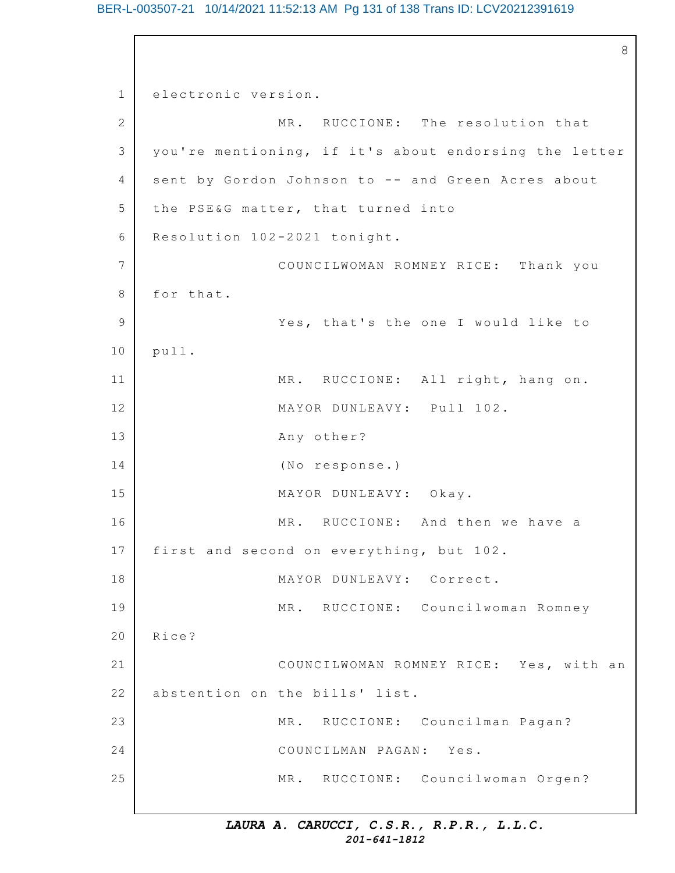8

```
1
2
3
4
5
6
7
8
9
10
11
12
13
14
15
16
17
18
19
20
21
22
23
24
25
    electronic version.
                   MR. RUCCIONE: The resolution that
    you're mentioning, if it's about endorsing the letter
    sent by Gordon Johnson to -- and Green Acres about
    the PSE&G matter, that turned into
    Resolution 102-2021 tonight.
                   COUNCILWOMAN ROMNEY RICE: Thank you
    for that.
                   Yes, that's the one I would like to
    pull.
                   MR. RUCCIONE: All right, hang on.
                   MAYOR DUNLEAVY: Pull 102.
                   Any other?
                   (No response.)
                   MAYOR DUNLEAVY: Okay.
                   MR. RUCCIONE: And then we have a
    first and second on everything, but 102.
                   MAYOR DUNLEAVY: Correct.
                   MR. RUCCIONE: Councilwoman Romney
    Rice?
                   COUNCILWOMAN ROMNEY RICE: Yes, with an
    abstention on the bills' list.
                   MR. RUCCIONE: Councilman Pagan?
                   COUNCILMAN PAGAN: Yes.
                   MR. RUCCIONE: Councilwoman Orgen?
```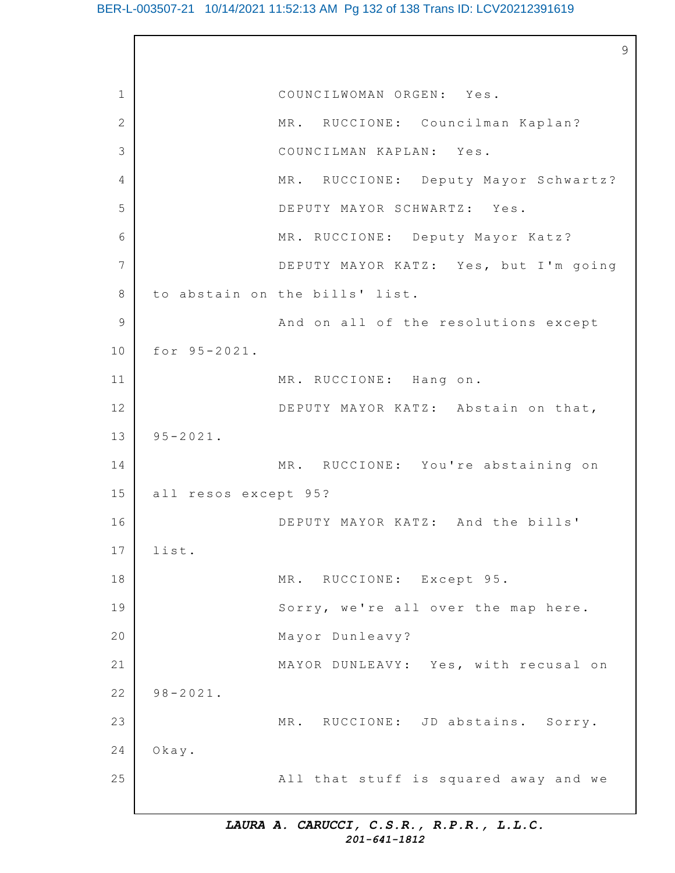|                |                      |                                       | 9 |
|----------------|----------------------|---------------------------------------|---|
| $\mathbf 1$    |                      | COUNCILWOMAN ORGEN: Yes.              |   |
| $\overline{2}$ |                      | MR. RUCCIONE: Councilman Kaplan?      |   |
| 3              |                      | COUNCILMAN KAPLAN: Yes.               |   |
| 4              |                      | MR. RUCCIONE: Deputy Mayor Schwartz?  |   |
| 5              |                      | DEPUTY MAYOR SCHWARTZ: Yes.           |   |
| 6              |                      | MR. RUCCIONE: Deputy Mayor Katz?      |   |
| 7              |                      | DEPUTY MAYOR KATZ: Yes, but I'm going |   |
| $\,8\,$        |                      | to abstain on the bills' list.        |   |
| $\mathcal{G}$  |                      | And on all of the resolutions except  |   |
| 10             | for 95-2021.         |                                       |   |
| 11             |                      | MR. RUCCIONE: Hang on.                |   |
| 12             |                      | DEPUTY MAYOR KATZ: Abstain on that,   |   |
| 13             | $95 - 2021$ .        |                                       |   |
| 14             |                      | MR. RUCCIONE: You're abstaining on    |   |
| 15             | all resos except 95? |                                       |   |
| 16             |                      | DEPUTY MAYOR KATZ: And the bills'     |   |
| 17             | list.                |                                       |   |
| 18             |                      | MR. RUCCIONE: Except 95.              |   |
| 19             |                      | Sorry, we're all over the map here.   |   |
| 20             |                      | Mayor Dunleavy?                       |   |
| 21             |                      | MAYOR DUNLEAVY: Yes, with recusal on  |   |
| 22             | $98 - 2021$ .        |                                       |   |
| 23             |                      | MR. RUCCIONE: JD abstains. Sorry.     |   |
| 24             | $0$ kay.             |                                       |   |
| 25             |                      | All that stuff is squared away and we |   |
|                |                      |                                       |   |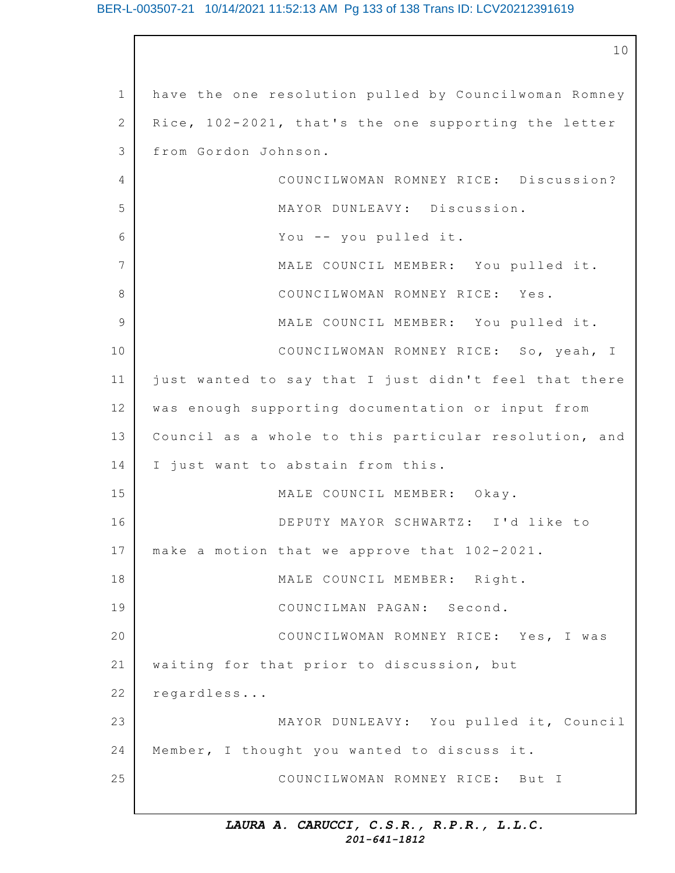1 2 3  $\Delta$ 5 6 7 8 9 10 11 12 13 14 15 16 17 18 19 20 21 22 23 24 25 10 have the one resolution pulled by Councilwoman Romney Rice, 102-2021, that's the one supporting the letter from Gordon Johnson. COUNCILWOMAN ROMNEY RICE: Discussion? MAYOR DUNLEAVY: Discussion. You  $--$  you pulled it. MALE COUNCIL MEMBER: You pulled it. COUNCILWOMAN ROMNEY RICE: Yes. MALE COUNCIL MEMBER: You pulled it. COUNCILWOMAN ROMNEY RICE: So, yeah, I just wanted to say that I just didn't feel that there was enough supporting documentation or input from Council as a whole to this particular resolution, and I just want to abstain from this. MALE COUNCIL MEMBER: Okay. DEPUTY MAYOR SCHWARTZ: I'd like to make a motion that we approve that 102-2021. MALE COUNCIL MEMBER: Right. COUNCILMAN PAGAN: Second. COUNCILWOMAN ROMNEY RICE: Yes, I was waiting for that prior to discussion, but regardless... MAYOR DUNLEAVY: You pulled it, Council Member, I thought you wanted to discuss it. COUNCILWOMAN ROMNEY RICE: But I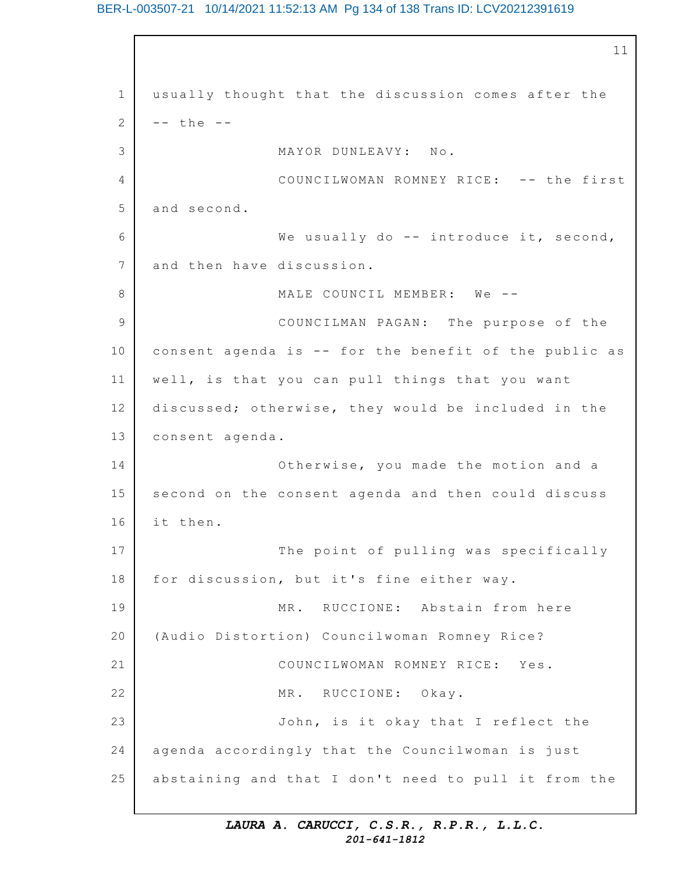1 2 3 4 5 6 7 8 9 10 11 12 13 14 15 16 17 18 19 20 21 22 23 24 25 11 usually thought that the discussion comes after the -- the -- MAYOR DUNLEAVY: No. COUNCILWOMAN ROMNEY RICE: -- the first and second. We usually do  $-$  introduce it, second, and then have discussion. MALE COUNCIL MEMBER: We --COUNCILMAN PAGAN: The purpose of the consent agenda is  $-$ - for the benefit of the public as well, is that you can pull things that you want discussed; otherwise, they would be included in the consent agenda. Otherwise, you made the motion and a second on the consent agenda and then could discuss it then. The point of pulling was specifically for discussion, but it's fine either way. MR. RUCCIONE: Abstain from here (Audio Distortion) Councilwoman Romney Rice? COUNCILWOMAN ROMNEY RICE: Yes. MR. RUCCIONE: Okay. John, is it okay that I reflect the agenda accordingly that the Councilwoman is just abstaining and that I don't need to pull it from the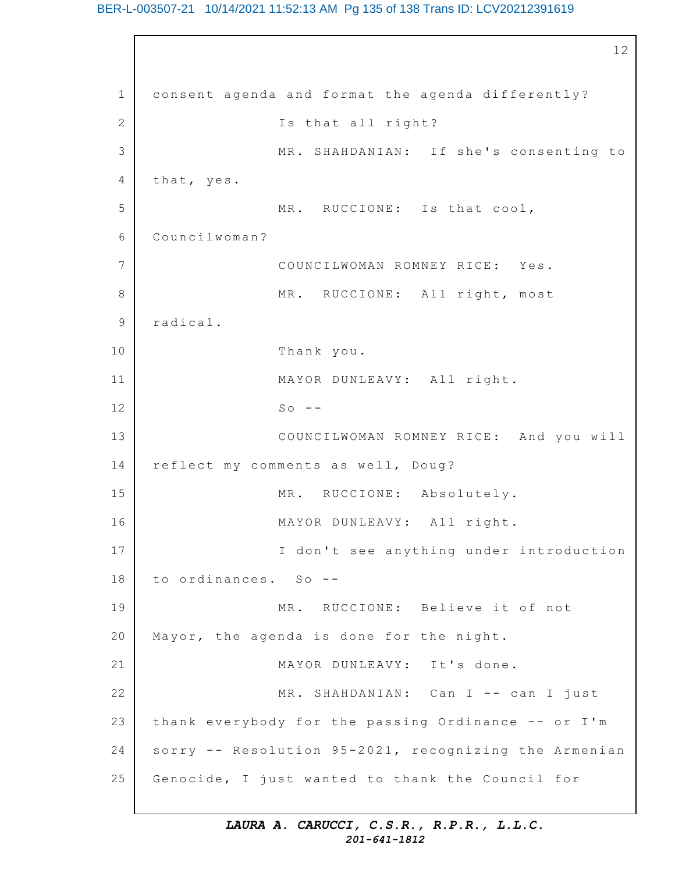BER-L-003507-21 10/14/2021 11:52:13 AM Pg 135 of 138 Trans ID: LCV20212391619

```
1
2
3
4
5
6
7
8
9
10
11
12
13
14
15
16
17
18
19
20
21
22
23
24
25
                                                          12
    consent agenda and format the agenda differently?
                   Is that all right?
                   MR. SHAHDANIAN: If she's consenting to
    that, yes.
                   MR. RUCCIONE: Is that cool,
    Councilwoman?
                   COUNCILWOMAN ROMNEY RICE: Yes.
                   MR. RUCCIONE: All right, most
    radical.
                   Thank you.
                   MAYOR DUNLEAVY: All right.
                   SO = -COUNCILWOMAN ROMNEY RICE: And you will
    reflect my comments as well, Doug?
                   MR. RUCCIONE: Absolutely.
                   MAYOR DUNLEAVY: All right.
                   I don't see anything under introduction
    to ordinances. So --
                   MR. RUCCIONE: Believe it of not
    Mayor, the agenda is done for the night.
                   MAYOR DUNLEAVY: It's done.
                   MR. SHAHDANIAN: Can I -- can I just
    thank everybody for the passing Ordinance -- or I'm
    sorry -- Resolution 95-2021, recognizing the Armenian
    Genocide, I just wanted to thank the Council for
```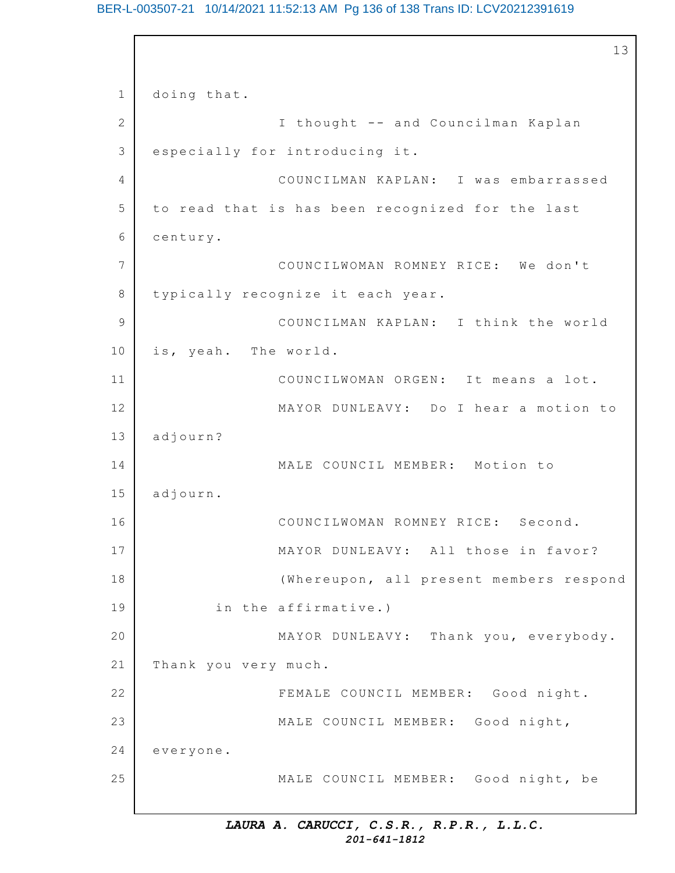# BER-L-003507-21 10/14/2021 11:52:13 AM Pg 136 of 138 Trans ID: LCV20212391619

```
1
2
3
4
5
6
7
8
9
10
11
12
13
14
15
16
17
18
19
20
21
22
23
24
25
                                                          13
    doing that.
                   I thought -- and Councilman Kaplan
    especially for introducing it.
                   COUNCILMAN KAPLAN: I was embarrassed
    to read that is has been recognized for the last
    century.
                   COUNCILWOMAN ROMNEY RICE: We don't
    typically recognize it each year.
                   COUNCILMAN KAPLAN: I think the world
    is, yeah. The world.
                   COUNCILWOMAN ORGEN: It means a lot.
                   MAYOR DUNLEAVY: Do I hear a motion to
    adjourn?
                   MALE COUNCIL MEMBER: Motion to
    adjourn.
                   COUNCILWOMAN ROMNEY RICE: Second.
                   MAYOR DUNLEAVY: All those in favor?
                   (Whereupon, all present members respond
            in the affirmative.)
                   MAYOR DUNLEAVY: Thank you, everybody.
    Thank you very much.
                   FEMALE COUNCIL MEMBER: Good night.
                   MALE COUNCIL MEMBER: Good night,
    everyone.
                   MALE COUNCIL MEMBER: Good night, be
```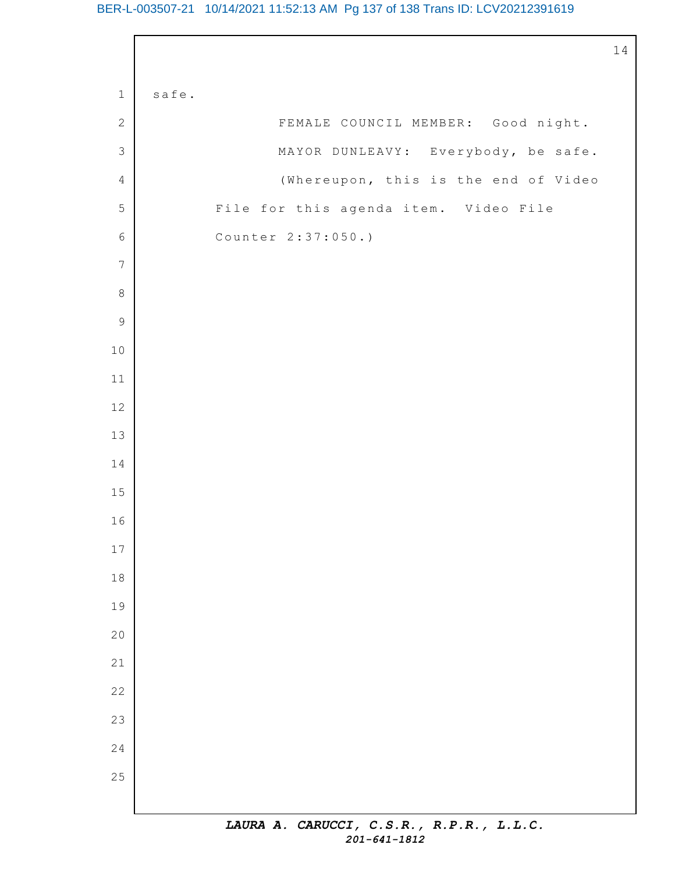# BER-L-003507-21 10/14/2021 11:52:13 AM Pg 137 of 138 Trans ID: LCV20212391619

|                  |       |                                       | $\mathbf{1}$ |
|------------------|-------|---------------------------------------|--------------|
| $1\,$            | safe. |                                       |              |
| $\mathbf{2}$     |       | FEMALE COUNCIL MEMBER: Good night.    |              |
| $\mathfrak{Z}$   |       | MAYOR DUNLEAVY: Everybody, be safe.   |              |
| $\overline{4}$   |       | (Whereupon, this is the end of Video  |              |
| 5                |       | File for this agenda item. Video File |              |
| $\sqrt{6}$       |       | Counter 2:37:050.)                    |              |
| $\boldsymbol{7}$ |       |                                       |              |
| $\,8\,$          |       |                                       |              |
| $\mathsf 9$      |       |                                       |              |
| $1\,0$           |       |                                       |              |
| $11\,$           |       |                                       |              |
| 12               |       |                                       |              |
| 13               |       |                                       |              |
| 14               |       |                                       |              |
| $15\,$           |       |                                       |              |
| 16               |       |                                       |              |
| $17\,$           |       |                                       |              |
| $1\,8$           |       |                                       |              |
| 19               |       |                                       |              |
| 20               |       |                                       |              |
| 21               |       |                                       |              |
| 22               |       |                                       |              |
| 23               |       |                                       |              |
| 24               |       |                                       |              |
| 25               |       |                                       |              |
|                  |       |                                       |              |